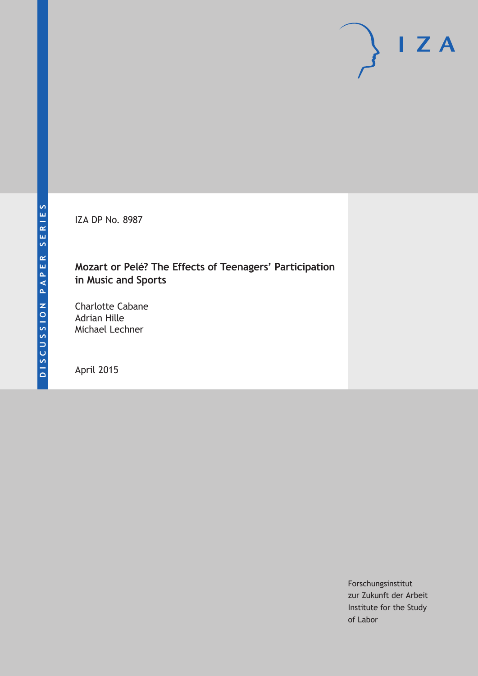IZA DP No. 8987

# **Mozart or Pelé? The Effects of Teenagers' Participation in Music and Sports**

Charlotte Cabane Adrian Hille Michael Lechner

April 2015

Forschungsinstitut zur Zukunft der Arbeit Institute for the Study of Labor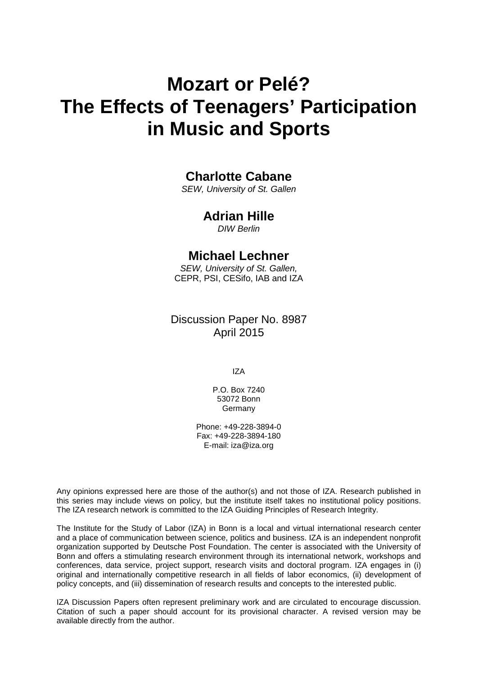# **Mozart or Pelé? The Effects of Teenagers' Participation in Music and Sports**

# **Charlotte Cabane**

*SEW, University of St. Gallen*

# **Adrian Hille**

*DIW Berlin*

## **Michael Lechner**

*SEW, University of St. Gallen,* CEPR, PSI, CESifo, IAB and IZA

Discussion Paper No. 8987 April 2015

IZA

P.O. Box 7240 53072 Bonn **Germany** 

Phone: +49-228-3894-0 Fax: +49-228-3894-180 E-mail: iza@iza.org

Any opinions expressed here are those of the author(s) and not those of IZA. Research published in this series may include views on policy, but the institute itself takes no institutional policy positions. The IZA research network is committed to the IZA Guiding Principles of Research Integrity.

The Institute for the Study of Labor (IZA) in Bonn is a local and virtual international research center and a place of communication between science, politics and business. IZA is an independent nonprofit organization supported by Deutsche Post Foundation. The center is associated with the University of Bonn and offers a stimulating research environment through its international network, workshops and conferences, data service, project support, research visits and doctoral program. IZA engages in (i) original and internationally competitive research in all fields of labor economics, (ii) development of policy concepts, and (iii) dissemination of research results and concepts to the interested public.

<span id="page-1-0"></span>IZA Discussion Papers often represent preliminary work and are circulated to encourage discussion. Citation of such a paper should account for its provisional character. A revised version may be available directly from the author.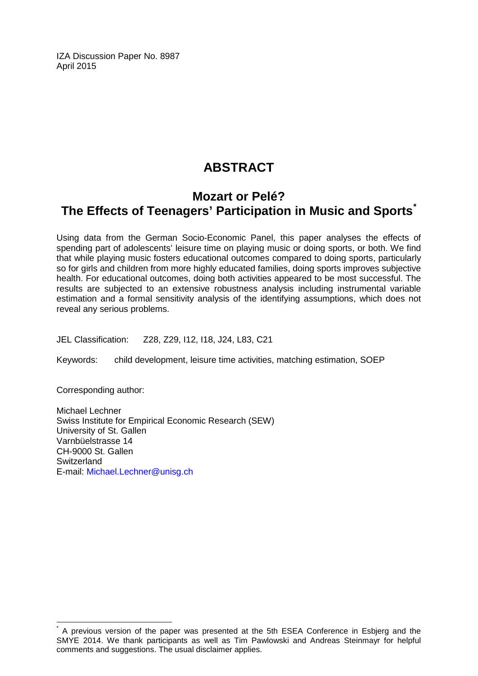IZA Discussion Paper No. 8987 April 2015

# **ABSTRACT**

# **Mozart or Pelé? The Effects of Teenagers' Participation in Music and Sports[\\*](#page-1-0)**

Using data from the German Socio-Economic Panel, this paper analyses the effects of spending part of adolescents' leisure time on playing music or doing sports, or both. We find that while playing music fosters educational outcomes compared to doing sports, particularly so for girls and children from more highly educated families, doing sports improves subjective health. For educational outcomes, doing both activities appeared to be most successful. The results are subjected to an extensive robustness analysis including instrumental variable estimation and a formal sensitivity analysis of the identifying assumptions, which does not reveal any serious problems.

JEL Classification: Z28, Z29, I12, I18, J24, L83, C21

Keywords: child development, leisure time activities, matching estimation, SOEP

Corresponding author:

Michael Lechner Swiss Institute for Empirical Economic Research (SEW) University of St. Gallen Varnbüelstrasse 14 CH-9000 St. Gallen **Switzerland** E-mail: [Michael.Lechner@unisg.ch](mailto:Michael.Lechner@unisg.ch)

A previous version of the paper was presented at the 5th ESEA Conference in Esbjerg and the SMYE 2014. We thank participants as well as Tim Pawlowski and Andreas Steinmayr for helpful comments and suggestions. The usual disclaimer applies.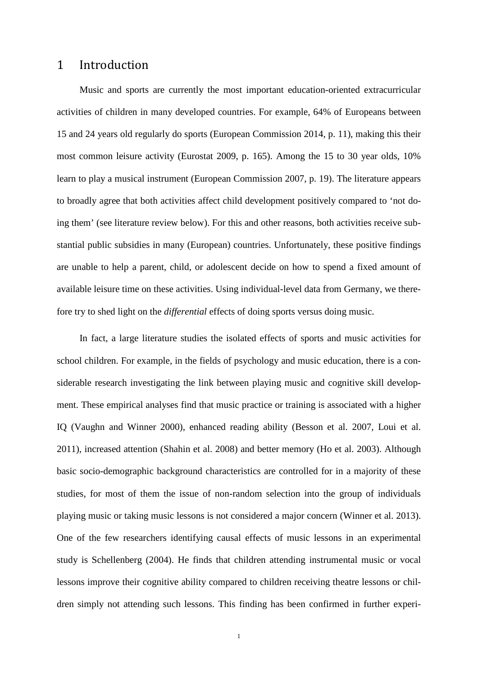## 1 Introduction

Music and sports are currently the most important education-oriented extracurricular activities of children in many developed countries. For example, 64% of Europeans between 15 and 24 years old regularly do sports (European Commission 2014, p. 11), making this their most common leisure activity (Eurostat 2009, p. 165). Among the 15 to 30 year olds, 10% learn to play a musical instrument (European Commission 2007, p. 19). The literature appears to broadly agree that both activities affect child development positively compared to 'not doing them' (see literature review below). For this and other reasons, both activities receive substantial public subsidies in many (European) countries. Unfortunately, these positive findings are unable to help a parent, child, or adolescent decide on how to spend a fixed amount of available leisure time on these activities. Using individual-level data from Germany, we therefore try to shed light on the *differential* effects of doing sports versus doing music.

In fact, a large literature studies the isolated effects of sports and music activities for school children. For example, in the fields of psychology and music education, there is a considerable research investigating the link between playing music and cognitive skill development. These empirical analyses find that music practice or training is associated with a higher IQ (Vaughn and Winner 2000), enhanced reading ability (Besson et al. 2007, Loui et al. 2011), increased attention (Shahin et al. 2008) and better memory (Ho et al. 2003). Although basic socio-demographic background characteristics are controlled for in a majority of these studies, for most of them the issue of non-random selection into the group of individuals playing music or taking music lessons is not considered a major concern (Winner et al. 2013). One of the few researchers identifying causal effects of music lessons in an experimental study is Schellenberg (2004). He finds that children attending instrumental music or vocal lessons improve their cognitive ability compared to children receiving theatre lessons or children simply not attending such lessons. This finding has been confirmed in further experi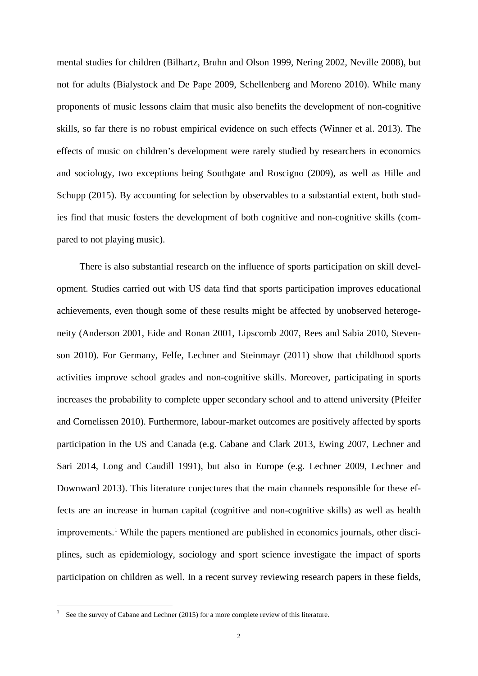mental studies for children (Bilhartz, Bruhn and Olson 1999, Nering 2002, Neville 2008), but not for adults (Bialystock and De Pape 2009, Schellenberg and Moreno 2010). While many proponents of music lessons claim that music also benefits the development of non-cognitive skills, so far there is no robust empirical evidence on such effects (Winner et al. 2013). The effects of music on children's development were rarely studied by researchers in economics and sociology, two exceptions being Southgate and Roscigno (2009), as well as Hille and Schupp (2015). By accounting for selection by observables to a substantial extent, both studies find that music fosters the development of both cognitive and non-cognitive skills (compared to not playing music).

There is also substantial research on the influence of sports participation on skill development. Studies carried out with US data find that sports participation improves educational achievements, even though some of these results might be affected by unobserved heterogeneity (Anderson 2001, Eide and Ronan 2001, Lipscomb 2007, Rees and Sabia 2010, Stevenson 2010). For Germany, Felfe, Lechner and Steinmayr (2011) show that childhood sports activities improve school grades and non-cognitive skills. Moreover, participating in sports increases the probability to complete upper secondary school and to attend university (Pfeifer and Cornelissen 2010). Furthermore, labour-market outcomes are positively affected by sports participation in the US and Canada (e.g. Cabane and Clark 2013, Ewing 2007, Lechner and Sari 2014, Long and Caudill 1991), but also in Europe (e.g. Lechner 2009, Lechner and Downward 2013). This literature conjectures that the main channels responsible for these effects are an increase in human capital (cognitive and non-cognitive skills) as well as health improvements. [1](#page-4-0) While the papers mentioned are published in economics journals, other disciplines, such as epidemiology, sociology and sport science investigate the impact of sports participation on children as well. In a recent survey reviewing research papers in these fields,

<span id="page-4-0"></span>See the survey of Cabane and Lechner (2015) for a more complete review of this literature.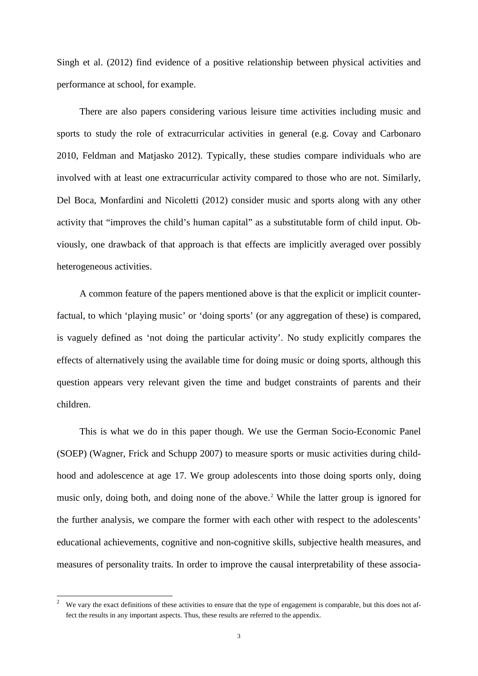Singh et al. (2012) find evidence of a positive relationship between physical activities and performance at school, for example.

There are also papers considering various leisure time activities including music and sports to study the role of extracurricular activities in general (e.g. Covay and Carbonaro 2010, Feldman and Matjasko 2012). Typically, these studies compare individuals who are involved with at least one extracurricular activity compared to those who are not. Similarly, Del Boca, Monfardini and Nicoletti (2012) consider music and sports along with any other activity that "improves the child's human capital" as a substitutable form of child input. Obviously, one drawback of that approach is that effects are implicitly averaged over possibly heterogeneous activities.

A common feature of the papers mentioned above is that the explicit or implicit counterfactual, to which 'playing music' or 'doing sports' (or any aggregation of these) is compared, is vaguely defined as 'not doing the particular activity'. No study explicitly compares the effects of alternatively using the available time for doing music or doing sports, although this question appears very relevant given the time and budget constraints of parents and their children.

This is what we do in this paper though. We use the German Socio-Economic Panel (SOEP) (Wagner, Frick and Schupp 2007) to measure sports or music activities during childhood and adolescence at age 17. We group adolescents into those doing sports only, doing music only, doing both, and doing none of the above.<sup>[2](#page-5-0)</sup> While the latter group is ignored for the further analysis, we compare the former with each other with respect to the adolescents' educational achievements, cognitive and non-cognitive skills, subjective health measures, and measures of personality traits. In order to improve the causal interpretability of these associa-

<span id="page-5-0"></span>We vary the exact definitions of these activities to ensure that the type of engagement is comparable, but this does not affect the results in any important aspects. Thus, these results are referred to the appendix.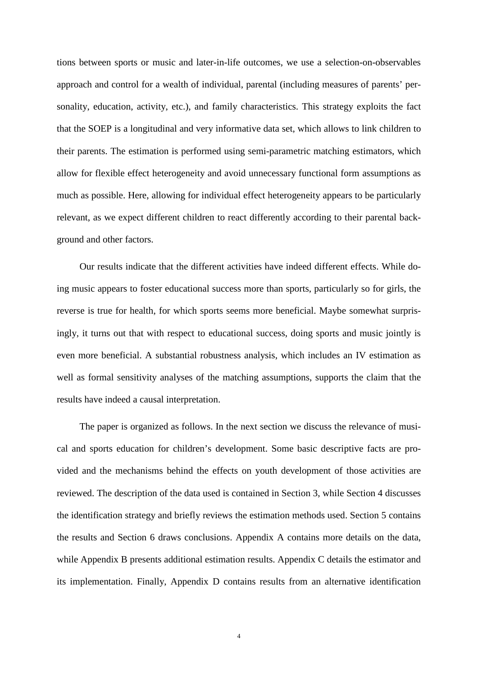tions between sports or music and later-in-life outcomes, we use a selection-on-observables approach and control for a wealth of individual, parental (including measures of parents' personality, education, activity, etc.), and family characteristics. This strategy exploits the fact that the SOEP is a longitudinal and very informative data set, which allows to link children to their parents. The estimation is performed using semi-parametric matching estimators, which allow for flexible effect heterogeneity and avoid unnecessary functional form assumptions as much as possible. Here, allowing for individual effect heterogeneity appears to be particularly relevant, as we expect different children to react differently according to their parental background and other factors.

Our results indicate that the different activities have indeed different effects. While doing music appears to foster educational success more than sports, particularly so for girls, the reverse is true for health, for which sports seems more beneficial. Maybe somewhat surprisingly, it turns out that with respect to educational success, doing sports and music jointly is even more beneficial. A substantial robustness analysis, which includes an IV estimation as well as formal sensitivity analyses of the matching assumptions, supports the claim that the results have indeed a causal interpretation.

The paper is organized as follows. In the next section we discuss the relevance of musical and sports education for children's development. Some basic descriptive facts are provided and the mechanisms behind the effects on youth development of those activities are reviewed. The description of the data used is contained in Section 3, while Section 4 discusses the identification strategy and briefly reviews the estimation methods used. Section 5 contains the results and Section 6 draws conclusions. Appendix A contains more details on the data, while Appendix B presents additional estimation results. Appendix C details the estimator and its implementation. Finally, Appendix D contains results from an alternative identification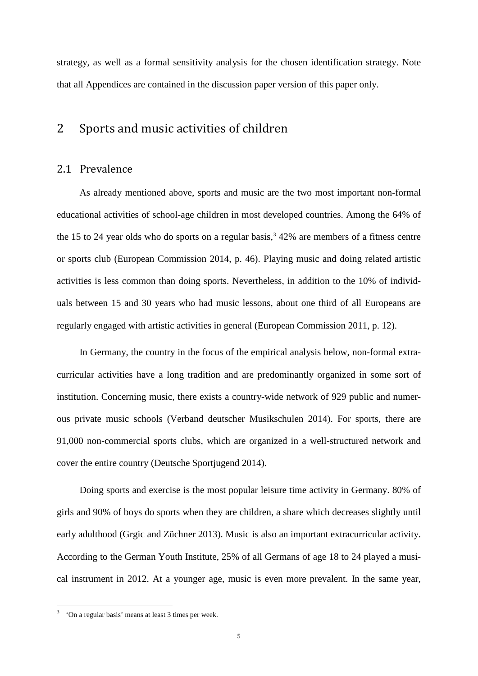strategy, as well as a formal sensitivity analysis for the chosen identification strategy. Note that all Appendices are contained in the discussion paper version of this paper only.

# 2 Sports and music activities of children

#### 2.1 Prevalence

As already mentioned above, sports and music are the two most important non-formal educational activities of school-age children in most developed countries. Among the 64% of the 15 to 24 year olds who do sports on a regular basis, [3](#page-7-0) 42% are members of a fitness centre or sports club (European Commission 2014, p. 46). Playing music and doing related artistic activities is less common than doing sports. Nevertheless, in addition to the 10% of individuals between 15 and 30 years who had music lessons, about one third of all Europeans are regularly engaged with artistic activities in general (European Commission 2011, p. 12).

In Germany, the country in the focus of the empirical analysis below, non-formal extracurricular activities have a long tradition and are predominantly organized in some sort of institution. Concerning music, there exists a country-wide network of 929 public and numerous private music schools (Verband deutscher Musikschulen 2014). For sports, there are 91,000 non-commercial sports clubs, which are organized in a well-structured network and cover the entire country (Deutsche Sportjugend 2014).

Doing sports and exercise is the most popular leisure time activity in Germany. 80% of girls and 90% of boys do sports when they are children, a share which decreases slightly until early adulthood (Grgic and Züchner 2013). Music is also an important extracurricular activity. According to the German Youth Institute, 25% of all Germans of age 18 to 24 played a musical instrument in 2012. At a younger age, music is even more prevalent. In the same year,

<span id="page-7-0"></span><sup>3</sup> 'On a regular basis' means at least 3 times per week.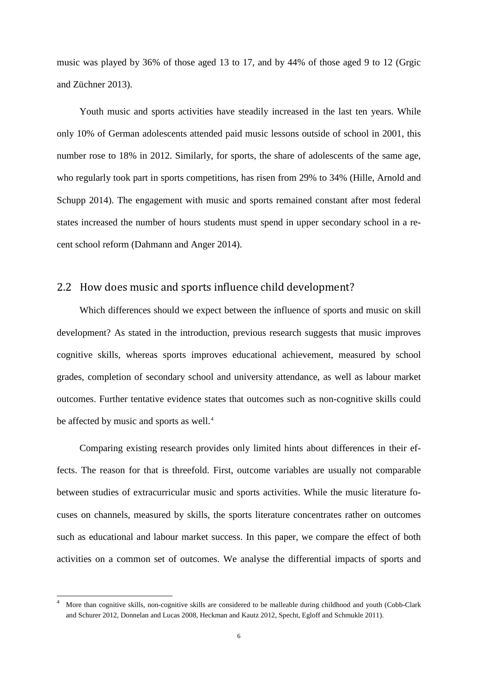music was played by 36% of those aged 13 to 17, and by 44% of those aged 9 to 12 (Grgic and Züchner 2013).

Youth music and sports activities have steadily increased in the last ten years. While only 10% of German adolescents attended paid music lessons outside of school in 2001, this number rose to 18% in 2012. Similarly, for sports, the share of adolescents of the same age, who regularly took part in sports competitions, has risen from 29% to 34% (Hille, Arnold and Schupp 2014). The engagement with music and sports remained constant after most federal states increased the number of hours students must spend in upper secondary school in a recent school reform (Dahmann and Anger 2014).

## 2.2 How does music and sports influence child development?

Which differences should we expect between the influence of sports and music on skill development? As stated in the introduction, previous research suggests that music improves cognitive skills, whereas sports improves educational achievement, measured by school grades, completion of secondary school and university attendance, as well as labour market outcomes. Further tentative evidence states that outcomes such as non-cognitive skills could be affected by music and sports as well.<sup>[4](#page-8-0)</sup>

Comparing existing research provides only limited hints about differences in their effects. The reason for that is threefold. First, outcome variables are usually not comparable between studies of extracurricular music and sports activities. While the music literature focuses on channels, measured by skills, the sports literature concentrates rather on outcomes such as educational and labour market success. In this paper, we compare the effect of both activities on a common set of outcomes. We analyse the differential impacts of sports and

<span id="page-8-0"></span><sup>4</sup> More than cognitive skills, non-cognitive skills are considered to be malleable during childhood and youth (Cobb-Clark and Schurer 2012, Donnelan and Lucas 2008, Heckman and Kautz 2012, Specht, Egloff and Schmukle 2011).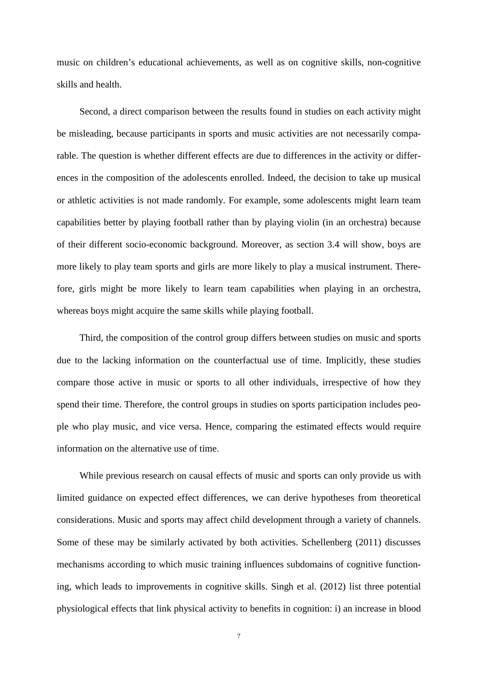music on children's educational achievements, as well as on cognitive skills, non-cognitive skills and health.

Second, a direct comparison between the results found in studies on each activity might be misleading, because participants in sports and music activities are not necessarily comparable. The question is whether different effects are due to differences in the activity or differences in the composition of the adolescents enrolled. Indeed, the decision to take up musical or athletic activities is not made randomly. For example, some adolescents might learn team capabilities better by playing football rather than by playing violin (in an orchestra) because of their different socio-economic background. Moreover, as section 3.4 will show, boys are more likely to play team sports and girls are more likely to play a musical instrument. Therefore, girls might be more likely to learn team capabilities when playing in an orchestra, whereas boys might acquire the same skills while playing football.

Third, the composition of the control group differs between studies on music and sports due to the lacking information on the counterfactual use of time. Implicitly, these studies compare those active in music or sports to all other individuals, irrespective of how they spend their time. Therefore, the control groups in studies on sports participation includes people who play music, and vice versa. Hence, comparing the estimated effects would require information on the alternative use of time.

While previous research on causal effects of music and sports can only provide us with limited guidance on expected effect differences, we can derive hypotheses from theoretical considerations. Music and sports may affect child development through a variety of channels. Some of these may be similarly activated by both activities. Schellenberg (2011) discusses mechanisms according to which music training influences subdomains of cognitive functioning, which leads to improvements in cognitive skills. Singh et al. (2012) list three potential physiological effects that link physical activity to benefits in cognition: i) an increase in blood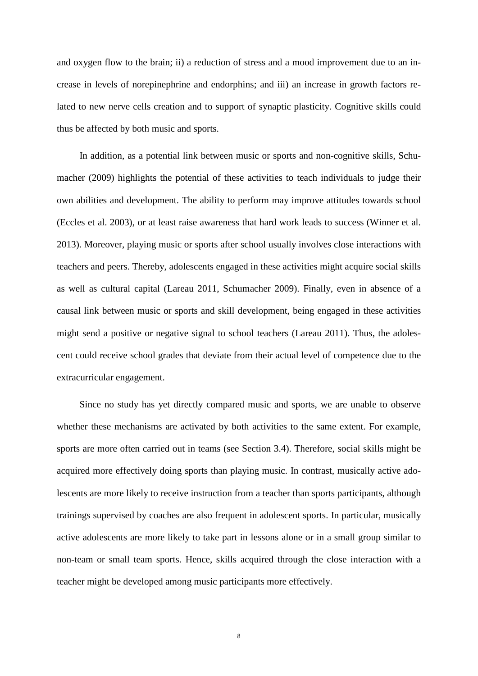and oxygen flow to the brain; ii) a reduction of stress and a mood improvement due to an increase in levels of norepinephrine and endorphins; and iii) an increase in growth factors related to new nerve cells creation and to support of synaptic plasticity. Cognitive skills could thus be affected by both music and sports.

In addition, as a potential link between music or sports and non-cognitive skills, Schumacher (2009) highlights the potential of these activities to teach individuals to judge their own abilities and development. The ability to perform may improve attitudes towards school (Eccles et al. 2003), or at least raise awareness that hard work leads to success (Winner et al. 2013). Moreover, playing music or sports after school usually involves close interactions with teachers and peers. Thereby, adolescents engaged in these activities might acquire social skills as well as cultural capital (Lareau 2011, Schumacher 2009). Finally, even in absence of a causal link between music or sports and skill development, being engaged in these activities might send a positive or negative signal to school teachers (Lareau 2011). Thus, the adolescent could receive school grades that deviate from their actual level of competence due to the extracurricular engagement.

Since no study has yet directly compared music and sports, we are unable to observe whether these mechanisms are activated by both activities to the same extent. For example, sports are more often carried out in teams (see Section 3.4). Therefore, social skills might be acquired more effectively doing sports than playing music. In contrast, musically active adolescents are more likely to receive instruction from a teacher than sports participants, although trainings supervised by coaches are also frequent in adolescent sports. In particular, musically active adolescents are more likely to take part in lessons alone or in a small group similar to non-team or small team sports. Hence, skills acquired through the close interaction with a teacher might be developed among music participants more effectively.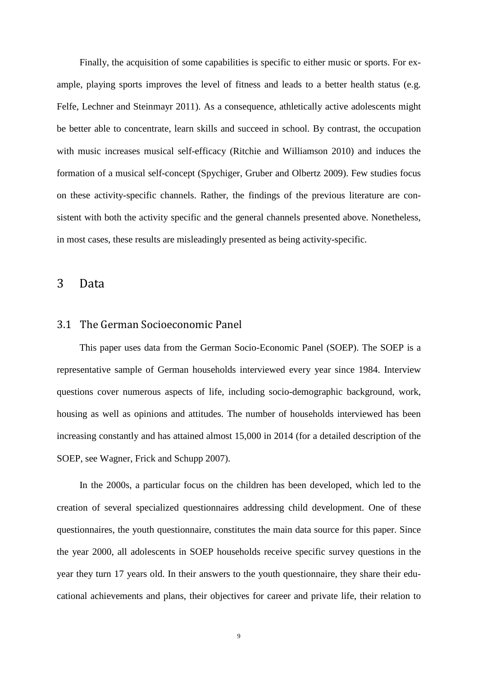Finally, the acquisition of some capabilities is specific to either music or sports. For example, playing sports improves the level of fitness and leads to a better health status (e.g. Felfe, Lechner and Steinmayr 2011). As a consequence, athletically active adolescents might be better able to concentrate, learn skills and succeed in school. By contrast, the occupation with music increases musical self-efficacy (Ritchie and Williamson 2010) and induces the formation of a musical self-concept (Spychiger, Gruber and Olbertz 2009). Few studies focus on these activity-specific channels. Rather, the findings of the previous literature are consistent with both the activity specific and the general channels presented above. Nonetheless, in most cases, these results are misleadingly presented as being activity-specific.

3 Data

## 3.1 The German Socioeconomic Panel

This paper uses data from the German Socio-Economic Panel (SOEP). The SOEP is a representative sample of German households interviewed every year since 1984. Interview questions cover numerous aspects of life, including socio-demographic background, work, housing as well as opinions and attitudes. The number of households interviewed has been increasing constantly and has attained almost 15,000 in 2014 (for a detailed description of the SOEP, see Wagner, Frick and Schupp 2007).

In the 2000s, a particular focus on the children has been developed, which led to the creation of several specialized questionnaires addressing child development. One of these questionnaires, the youth questionnaire, constitutes the main data source for this paper. Since the year 2000, all adolescents in SOEP households receive specific survey questions in the year they turn 17 years old. In their answers to the youth questionnaire, they share their educational achievements and plans, their objectives for career and private life, their relation to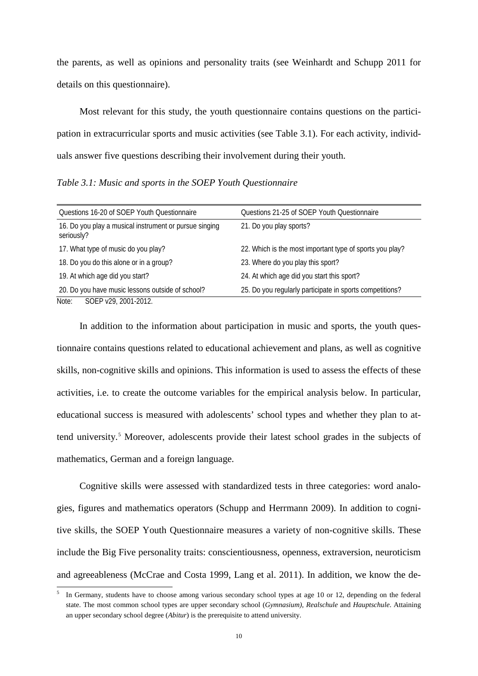the parents, as well as opinions and personality traits (see Weinhardt and Schupp 2011 for details on this questionnaire).

Most relevant for this study, the youth questionnaire contains questions on the participation in extracurricular sports and music activities (see Table 3.1). For each activity, individuals answer five questions describing their involvement during their youth.

*Table 3.1: Music and sports in the SOEP Youth Questionnaire*

| Questions 16-20 of SOEP Youth Questionnaire                          | Questions 21-25 of SOEP Youth Questionnaire              |
|----------------------------------------------------------------------|----------------------------------------------------------|
| 16. Do you play a musical instrument or pursue singing<br>seriously? | 21. Do you play sports?                                  |
| 17. What type of music do you play?                                  | 22. Which is the most important type of sports you play? |
| 18. Do you do this alone or in a group?                              | 23. Where do you play this sport?                        |
| 19. At which age did you start?                                      | 24. At which age did you start this sport?               |
| 20. Do you have music lessons outside of school?                     | 25. Do you regularly participate in sports competitions? |
| Note:<br>SOEP v29, 2001-2012.                                        |                                                          |

In addition to the information about participation in music and sports, the youth questionnaire contains questions related to educational achievement and plans, as well as cognitive skills, non-cognitive skills and opinions. This information is used to assess the effects of these activities, i.e. to create the outcome variables for the empirical analysis below. In particular, educational success is measured with adolescents' school types and whether they plan to attend university. [5](#page-12-0) Moreover, adolescents provide their latest school grades in the subjects of mathematics, German and a foreign language.

Cognitive skills were assessed with standardized tests in three categories: word analogies, figures and mathematics operators (Schupp and Herrmann 2009). In addition to cognitive skills, the SOEP Youth Questionnaire measures a variety of non-cognitive skills. These include the Big Five personality traits: conscientiousness, openness, extraversion, neuroticism and agreeableness (McCrae and Costa 1999, Lang et al. 2011). In addition, we know the de-

<span id="page-12-0"></span>In Germany, students have to choose among various secondary school types at age 10 or 12, depending on the federal state. The most common school types are upper secondary school (*Gymnasium), Realschule* and *Hauptschule*. Attaining an upper secondary school degree (*Abitur*) is the prerequisite to attend university.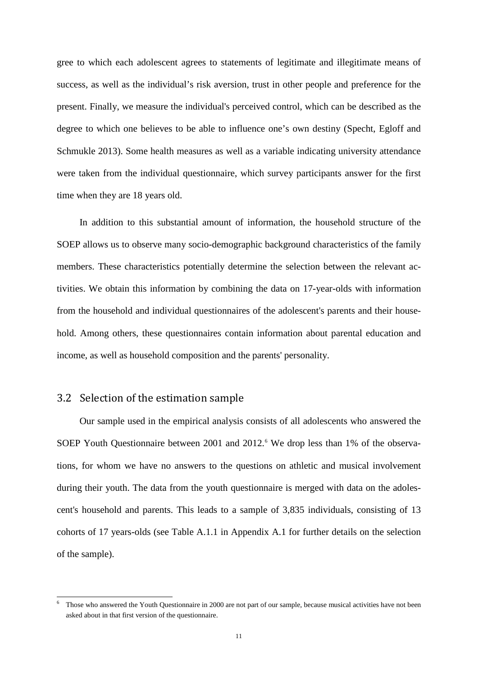gree to which each adolescent agrees to statements of legitimate and illegitimate means of success, as well as the individual's risk aversion, trust in other people and preference for the present. Finally, we measure the individual's perceived control, which can be described as the degree to which one believes to be able to influence one's own destiny (Specht, Egloff and Schmukle 2013). Some health measures as well as a variable indicating university attendance were taken from the individual questionnaire, which survey participants answer for the first time when they are 18 years old.

In addition to this substantial amount of information, the household structure of the SOEP allows us to observe many socio-demographic background characteristics of the family members. These characteristics potentially determine the selection between the relevant activities. We obtain this information by combining the data on 17-year-olds with information from the household and individual questionnaires of the adolescent's parents and their household. Among others, these questionnaires contain information about parental education and income, as well as household composition and the parents' personality.

#### 3.2 Selection of the estimation sample

Our sample used in the empirical analysis consists of all adolescents who answered the SOEP Youth Questionnaire between 2001 and 2012.<sup>[6](#page-13-0)</sup> We drop less than 1% of the observations, for whom we have no answers to the questions on athletic and musical involvement during their youth. The data from the youth questionnaire is merged with data on the adolescent's household and parents. This leads to a sample of 3,835 individuals, consisting of 13 cohorts of 17 years-olds (see Table A.1.1 in Appendix A.1 for further details on the selection of the sample).

<span id="page-13-0"></span>Those who answered the Youth Questionnaire in 2000 are not part of our sample, because musical activities have not been asked about in that first version of the questionnaire.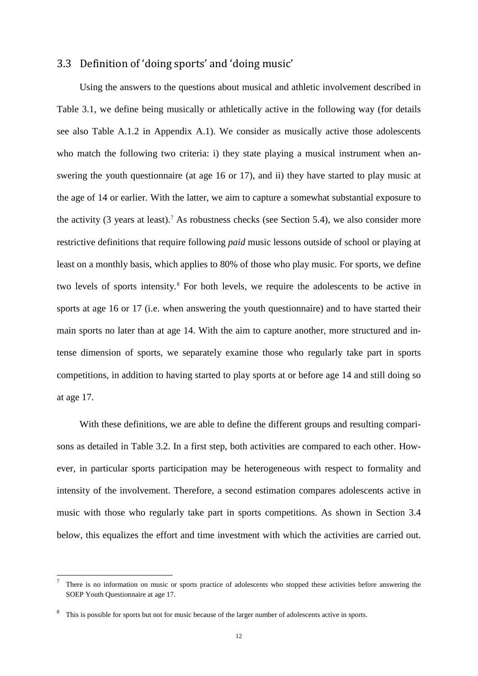## 3.3 Definition of 'doing sports' and 'doing music'

Using the answers to the questions about musical and athletic involvement described in Table 3.1, we define being musically or athletically active in the following way (for details see also Table A.1.2 in Appendix A.1). We consider as musically active those adolescents who match the following two criteria: i) they state playing a musical instrument when answering the youth questionnaire (at age 16 or 17), and ii) they have started to play music at the age of 14 or earlier. With the latter, we aim to capture a somewhat substantial exposure to the activity  $(3 \text{ years at least})$ .<sup>[7](#page-14-0)</sup> As robustness checks (see Section 5.4), we also consider more restrictive definitions that require following *paid* music lessons outside of school or playing at least on a monthly basis, which applies to 80% of those who play music. For sports, we define two levels of sports intensity.<sup>[8](#page-14-1)</sup> For both levels, we require the adolescents to be active in sports at age 16 or 17 (i.e. when answering the youth questionnaire) and to have started their main sports no later than at age 14. With the aim to capture another, more structured and intense dimension of sports, we separately examine those who regularly take part in sports competitions, in addition to having started to play sports at or before age 14 and still doing so at age 17.

With these definitions, we are able to define the different groups and resulting comparisons as detailed in Table 3.2. In a first step, both activities are compared to each other. However, in particular sports participation may be heterogeneous with respect to formality and intensity of the involvement. Therefore, a second estimation compares adolescents active in music with those who regularly take part in sports competitions. As shown in Section 3.4 below, this equalizes the effort and time investment with which the activities are carried out.

<span id="page-14-0"></span>There is no information on music or sports practice of adolescents who stopped these activities before answering the SOEP Youth Questionnaire at age 17.

<span id="page-14-1"></span>This is possible for sports but not for music because of the larger number of adolescents active in sports.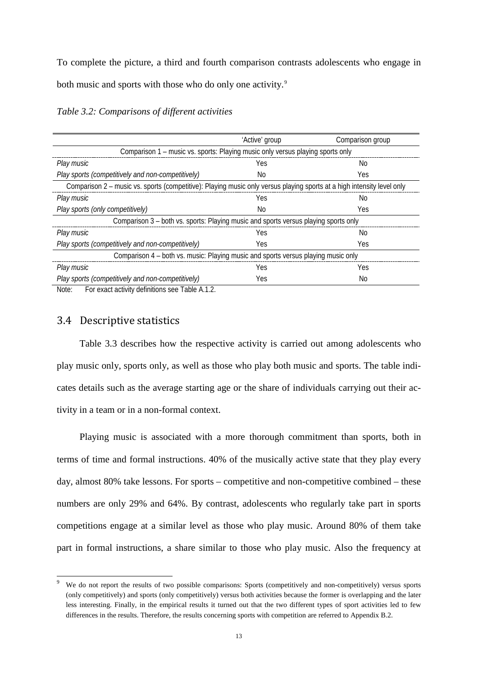To complete the picture, a third and fourth comparison contrasts adolescents who engage in both music and sports with those who do only one activity.<sup>[9](#page-15-0)</sup>

*Table 3.2: Comparisons of different activities*

|                                                                                                                        | 'Active' group | Comparison group |  |  |  |  |
|------------------------------------------------------------------------------------------------------------------------|----------------|------------------|--|--|--|--|
| Comparison 1 – music vs. sports: Playing music only versus playing sports only                                         |                |                  |  |  |  |  |
| Play music                                                                                                             | Yes            | No.              |  |  |  |  |
| Play sports (competitively and non-competitively)                                                                      | No             | Yes              |  |  |  |  |
| Comparison 2 - music vs. sports (competitive): Playing music only versus playing sports at a high intensity level only |                |                  |  |  |  |  |
| Play music                                                                                                             | Yes            | No.              |  |  |  |  |
| Play sports (only competitively)                                                                                       | No             | Yes              |  |  |  |  |
| Comparison 3 – both vs. sports: Playing music and sports versus playing sports only                                    |                |                  |  |  |  |  |
| Play music                                                                                                             | Yes            | No.              |  |  |  |  |
| Play sports (competitively and non-competitively)                                                                      | Yes            | Yes              |  |  |  |  |
| Comparison 4 - both vs. music: Playing music and sports versus playing music only                                      |                |                  |  |  |  |  |
| Play music                                                                                                             | Yes            | Yes              |  |  |  |  |
| Play sports (competitively and non-competitively)                                                                      | Yes            | No               |  |  |  |  |
|                                                                                                                        |                |                  |  |  |  |  |

Note: For exact activity definitions see Table A.1.2.

#### 3.4 Descriptive statistics

Table 3.3 describes how the respective activity is carried out among adolescents who play music only, sports only, as well as those who play both music and sports. The table indicates details such as the average starting age or the share of individuals carrying out their activity in a team or in a non-formal context.

Playing music is associated with a more thorough commitment than sports, both in terms of time and formal instructions. 40% of the musically active state that they play every day, almost 80% take lessons. For sports – competitive and non-competitive combined – these numbers are only 29% and 64%. By contrast, adolescents who regularly take part in sports competitions engage at a similar level as those who play music. Around 80% of them take part in formal instructions, a share similar to those who play music. Also the frequency at

<span id="page-15-0"></span>We do not report the results of two possible comparisons: Sports (competitively and non-competitively) versus sports (only competitively) and sports (only competitively) versus both activities because the former is overlapping and the later less interesting. Finally, in the empirical results it turned out that the two different types of sport activities led to few differences in the results. Therefore, the results concerning sports with competition are referred to Appendix B.2.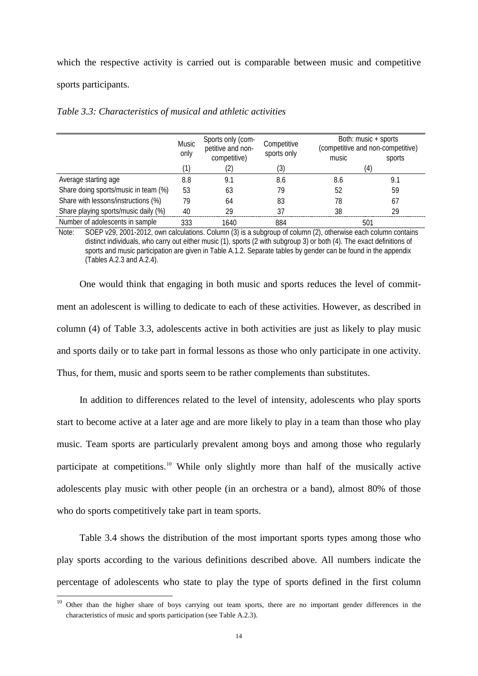which the respective activity is carried out is comparable between music and competitive sports participants.

|                                      | Sports only (com-<br>Music<br>petitive and non-<br>only<br>competitive) |      | Competitive<br>sports only | Both: music + sports<br>(competitive and non-competitive)<br>music<br>sports |     |
|--------------------------------------|-------------------------------------------------------------------------|------|----------------------------|------------------------------------------------------------------------------|-----|
|                                      | $\mathbf{1}$                                                            |      | (3)                        | (4)                                                                          |     |
| Average starting age                 | 8.8                                                                     | 9.1  | 8.6                        | 8.6                                                                          | 9.1 |
| Share doing sports/music in team (%) | 53                                                                      | 63   | 79                         | 52                                                                           | 59  |
| Share with lessons/instructions (%)  | 79                                                                      | 64   | 83                         | 78                                                                           | 67  |
| Share playing sports/music daily (%) | 40                                                                      | 29   | 37                         | 38                                                                           | 29  |
| Number of adolescents in sample      | 333                                                                     | 1640 | 884                        | 501                                                                          |     |

#### *Table 3.3: Characteristics of musical and athletic activities*

Note: SOEP v29, 2001-2012, own calculations. Column (3) is a subgroup of column (2), otherwise each column contains distinct individuals, who carry out either music (1), sports (2 with subgroup 3) or both (4). The exact definitions of sports and music participation are given in Table A.1.2. Separate tables by gender can be found in the appendix (Tables A.2.3 and A.2.4).

One would think that engaging in both music and sports reduces the level of commitment an adolescent is willing to dedicate to each of these activities. However, as described in column (4) of Table 3.3, adolescents active in both activities are just as likely to play music and sports daily or to take part in formal lessons as those who only participate in one activity. Thus, for them, music and sports seem to be rather complements than substitutes.

In addition to differences related to the level of intensity, adolescents who play sports start to become active at a later age and are more likely to play in a team than those who play music. Team sports are particularly prevalent among boys and among those who regularly participate at competitions. [10](#page-16-0) While only slightly more than half of the musically active adolescents play music with other people (in an orchestra or a band), almost 80% of those who do sports competitively take part in team sports.

Table 3.4 shows the distribution of the most important sports types among those who play sports according to the various definitions described above. All numbers indicate the percentage of adolescents who state to play the type of sports defined in the first column

<span id="page-16-0"></span><sup>&</sup>lt;sup>10</sup> Other than the higher share of boys carrying out team sports, there are no important gender differences in the characteristics of music and sports participation (see Table A.2.3).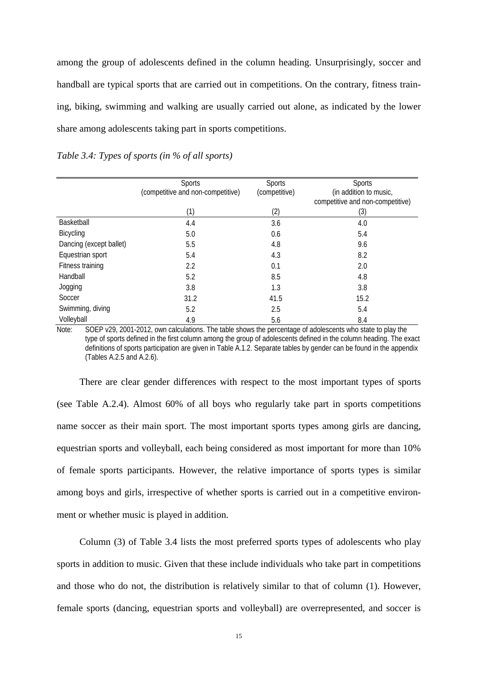among the group of adolescents defined in the column heading. Unsurprisingly, soccer and handball are typical sports that are carried out in competitions. On the contrary, fitness training, biking, swimming and walking are usually carried out alone, as indicated by the lower share among adolescents taking part in sports competitions.

|                         | <b>Sports</b><br>(competitive and non-competitive) | <b>Sports</b><br>(competitive) | <b>Sports</b><br>(in addition to music,<br>competitive and non-competitive) |
|-------------------------|----------------------------------------------------|--------------------------------|-----------------------------------------------------------------------------|
|                         | (1)                                                | (2)                            | (3)                                                                         |
| Basketball              | 4.4                                                | 3.6                            | 4.0                                                                         |
| Bicycling               | 5.0                                                | 0.6                            | 5.4                                                                         |
| Dancing (except ballet) | 5.5                                                | 4.8                            | 9.6                                                                         |
| Equestrian sport        | 5.4                                                | 4.3                            | 8.2                                                                         |
| Fitness training        | 2.2                                                | 0.1                            | 2.0                                                                         |
| Handball                | 5.2                                                | 8.5                            | 4.8                                                                         |
| Jogging                 | 3.8                                                | 1.3                            | 3.8                                                                         |
| Soccer                  | 31.2                                               | 41.5                           | 15.2                                                                        |
| Swimming, diving        | 5.2                                                | 2.5                            | 5.4                                                                         |
| Volleyball              | 4.9                                                | 5.6                            | 8.4                                                                         |

*Table 3.4: Types of sports (in % of all sports)*

Note: SOEP v29, 2001-2012, own calculations. The table shows the percentage of adolescents who state to play the type of sports defined in the first column among the group of adolescents defined in the column heading. The exact definitions of sports participation are given in Table A.1.2. Separate tables by gender can be found in the appendix (Tables A.2.5 and A.2.6).

There are clear gender differences with respect to the most important types of sports (see Table A.2.4). Almost 60% of all boys who regularly take part in sports competitions name soccer as their main sport. The most important sports types among girls are dancing, equestrian sports and volleyball, each being considered as most important for more than 10% of female sports participants. However, the relative importance of sports types is similar among boys and girls, irrespective of whether sports is carried out in a competitive environment or whether music is played in addition.

Column (3) of Table 3.4 lists the most preferred sports types of adolescents who play sports in addition to music. Given that these include individuals who take part in competitions and those who do not, the distribution is relatively similar to that of column (1). However, female sports (dancing, equestrian sports and volleyball) are overrepresented, and soccer is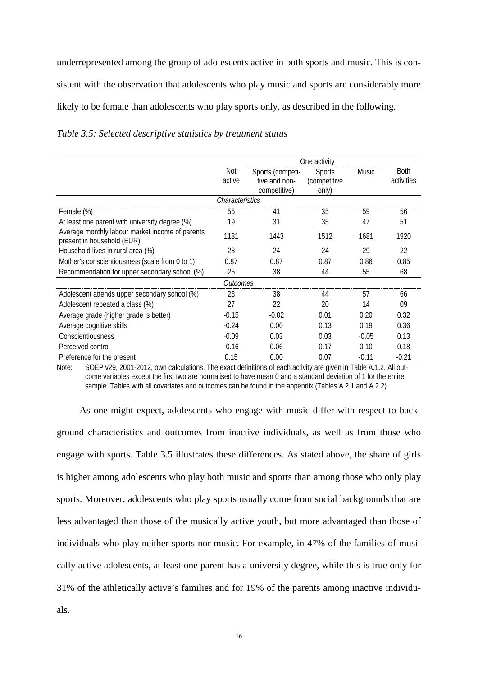underrepresented among the group of adolescents active in both sports and music. This is consistent with the observation that adolescents who play music and sports are considerably more likely to be female than adolescents who play sports only, as described in the following.

#### *Table 3.5: Selected descriptive statistics by treatment status*

|                                                                               | One activity    |                                                   |                                        |         |                           |
|-------------------------------------------------------------------------------|-----------------|---------------------------------------------------|----------------------------------------|---------|---------------------------|
|                                                                               | Not<br>active   | Sports (competi-<br>tive and non-<br>competitive) | <b>Sports</b><br>(competitive<br>only) | Music   | <b>Both</b><br>activities |
|                                                                               | Characteristics |                                                   |                                        |         |                           |
| Female (%)                                                                    | 55              | 41                                                | 35                                     | 59      | 56                        |
| At least one parent with university degree (%)                                | 19              | 31                                                | 35                                     | 47      | 51                        |
| Average monthly labour market income of parents<br>present in household (EUR) | 1181            | 1443                                              | 1512                                   | 1681    | 1920                      |
| Household lives in rural area (%)                                             | 28              | 24                                                | 24                                     | 29      | 22                        |
| Mother's conscientiousness (scale from 0 to 1)                                | 0.87            | 0.87                                              | 0.87                                   | 0.86    | 0.85                      |
| Recommendation for upper secondary school (%)                                 | 25              | 38                                                | 44                                     | 55      | 68                        |
|                                                                               | <b>Outcomes</b> |                                                   |                                        |         |                           |
| Adolescent attends upper secondary school (%)                                 | 23              | 38                                                | 44                                     | 57      | 66                        |
| Adolescent repeated a class (%)                                               | 27              | 22                                                | 20                                     | 14      | 09                        |
| Average grade (higher grade is better)                                        | $-0.15$         | $-0.02$                                           | 0.01                                   | 0.20    | 0.32                      |
| Average cognitive skills                                                      | $-0.24$         | 0.00                                              | 0.13                                   | 0.19    | 0.36                      |
| Conscientiousness                                                             | $-0.09$         | 0.03                                              | 0.03                                   | $-0.05$ | 0.13                      |
| Perceived control                                                             | $-0.16$         | 0.06                                              | 0.17                                   | 0.10    | 0.18                      |
| Preference for the present                                                    | 0.15            | 0.00                                              | 0.07                                   | $-0.11$ | $-0.21$                   |

Note: SOEP v29, 2001-2012, own calculations. The exact definitions of each activity are given in Table A.1.2. All outcome variables except the first two are normalised to have mean 0 and a standard deviation of 1 for the entire sample. Tables with all covariates and outcomes can be found in the appendix (Tables A.2.1 and A.2.2).

As one might expect, adolescents who engage with music differ with respect to background characteristics and outcomes from inactive individuals, as well as from those who engage with sports. Table 3.5 illustrates these differences. As stated above, the share of girls is higher among adolescents who play both music and sports than among those who only play sports. Moreover, adolescents who play sports usually come from social backgrounds that are less advantaged than those of the musically active youth, but more advantaged than those of individuals who play neither sports nor music. For example, in 47% of the families of musically active adolescents, at least one parent has a university degree, while this is true only for 31% of the athletically active's families and for 19% of the parents among inactive individuals.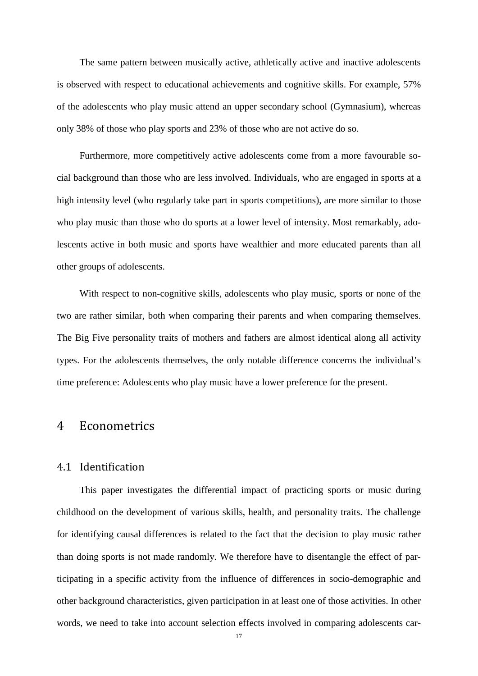The same pattern between musically active, athletically active and inactive adolescents is observed with respect to educational achievements and cognitive skills. For example, 57% of the adolescents who play music attend an upper secondary school (Gymnasium), whereas only 38% of those who play sports and 23% of those who are not active do so.

Furthermore, more competitively active adolescents come from a more favourable social background than those who are less involved. Individuals, who are engaged in sports at a high intensity level (who regularly take part in sports competitions), are more similar to those who play music than those who do sports at a lower level of intensity. Most remarkably, adolescents active in both music and sports have wealthier and more educated parents than all other groups of adolescents.

With respect to non-cognitive skills, adolescents who play music, sports or none of the two are rather similar, both when comparing their parents and when comparing themselves. The Big Five personality traits of mothers and fathers are almost identical along all activity types. For the adolescents themselves, the only notable difference concerns the individual's time preference: Adolescents who play music have a lower preference for the present.

## 4 Econometrics

#### 4.1 Identification

This paper investigates the differential impact of practicing sports or music during childhood on the development of various skills, health, and personality traits. The challenge for identifying causal differences is related to the fact that the decision to play music rather than doing sports is not made randomly. We therefore have to disentangle the effect of participating in a specific activity from the influence of differences in socio-demographic and other background characteristics, given participation in at least one of those activities. In other words, we need to take into account selection effects involved in comparing adolescents car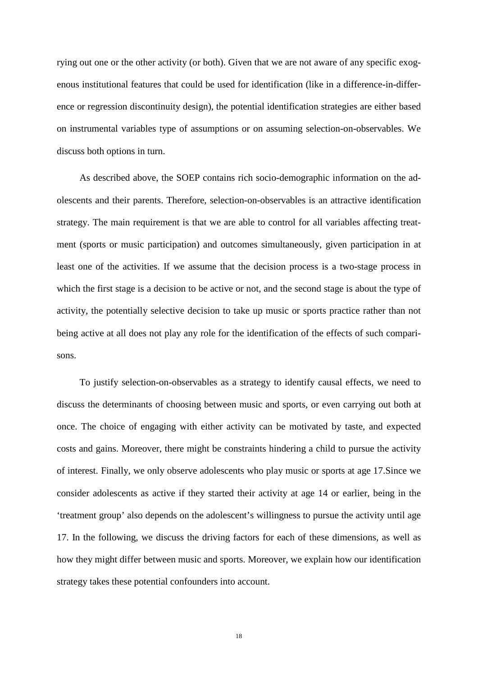rying out one or the other activity (or both). Given that we are not aware of any specific exogenous institutional features that could be used for identification (like in a difference-in-difference or regression discontinuity design), the potential identification strategies are either based on instrumental variables type of assumptions or on assuming selection-on-observables. We discuss both options in turn.

As described above, the SOEP contains rich socio-demographic information on the adolescents and their parents. Therefore, selection-on-observables is an attractive identification strategy. The main requirement is that we are able to control for all variables affecting treatment (sports or music participation) and outcomes simultaneously, given participation in at least one of the activities. If we assume that the decision process is a two-stage process in which the first stage is a decision to be active or not, and the second stage is about the type of activity, the potentially selective decision to take up music or sports practice rather than not being active at all does not play any role for the identification of the effects of such comparisons.

To justify selection-on-observables as a strategy to identify causal effects, we need to discuss the determinants of choosing between music and sports, or even carrying out both at once. The choice of engaging with either activity can be motivated by taste, and expected costs and gains. Moreover, there might be constraints hindering a child to pursue the activity of interest. Finally, we only observe adolescents who play music or sports at age 17.Since we consider adolescents as active if they started their activity at age 14 or earlier, being in the 'treatment group' also depends on the adolescent's willingness to pursue the activity until age 17. In the following, we discuss the driving factors for each of these dimensions, as well as how they might differ between music and sports. Moreover, we explain how our identification strategy takes these potential confounders into account.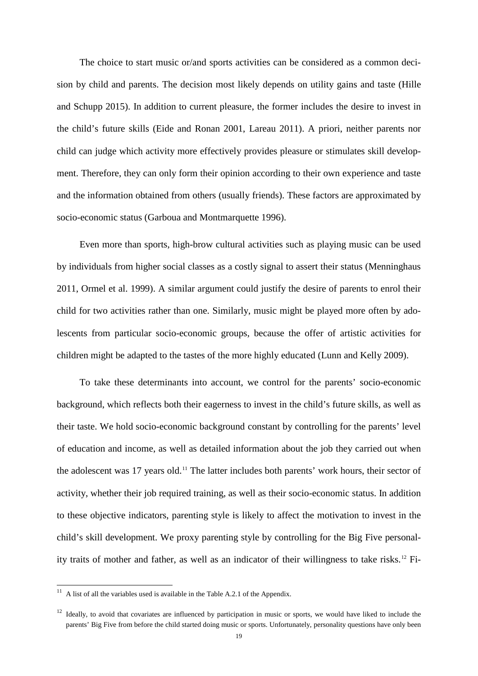The choice to start music or/and sports activities can be considered as a common decision by child and parents. The decision most likely depends on utility gains and taste (Hille and Schupp 2015). In addition to current pleasure, the former includes the desire to invest in the child's future skills (Eide and Ronan 2001, Lareau 2011). A priori, neither parents nor child can judge which activity more effectively provides pleasure or stimulates skill development. Therefore, they can only form their opinion according to their own experience and taste and the information obtained from others (usually friends). These factors are approximated by socio-economic status (Garboua and Montmarquette 1996).

Even more than sports, high-brow cultural activities such as playing music can be used by individuals from higher social classes as a costly signal to assert their status (Menninghaus 2011, Ormel et al. 1999). A similar argument could justify the desire of parents to enrol their child for two activities rather than one. Similarly, music might be played more often by adolescents from particular socio-economic groups, because the offer of artistic activities for children might be adapted to the tastes of the more highly educated (Lunn and Kelly 2009).

To take these determinants into account, we control for the parents' socio-economic background, which reflects both their eagerness to invest in the child's future skills, as well as their taste. We hold socio-economic background constant by controlling for the parents' level of education and income, as well as detailed information about the job they carried out when the adolescent was 17 years old.<sup>[11](#page-21-0)</sup> The latter includes both parents' work hours, their sector of activity, whether their job required training, as well as their socio-economic status. In addition to these objective indicators, parenting style is likely to affect the motivation to invest in the child's skill development. We proxy parenting style by controlling for the Big Five personality traits of mother and father, as well as an indicator of their willingness to take risks.[12](#page-21-1) Fi-

<span id="page-21-0"></span> $11$  A list of all the variables used is available in the Table A.2.1 of the Appendix.

<span id="page-21-1"></span> $12$  Ideally, to avoid that covariates are influenced by participation in music or sports, we would have liked to include the parents' Big Five from before the child started doing music or sports. Unfortunately, personality questions have only been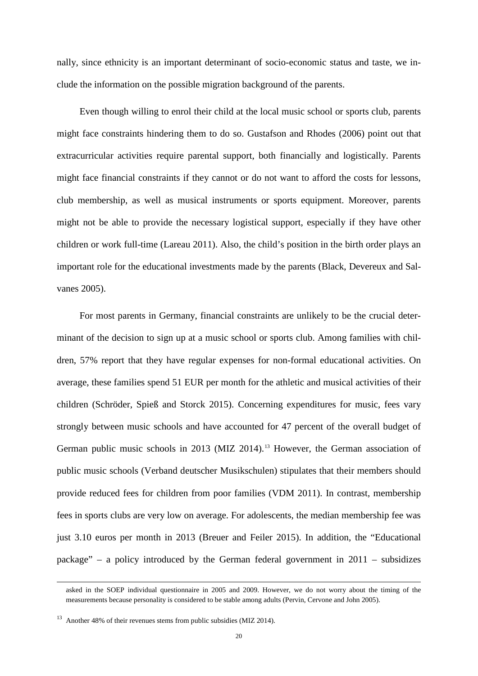nally, since ethnicity is an important determinant of socio-economic status and taste, we include the information on the possible migration background of the parents.

Even though willing to enrol their child at the local music school or sports club, parents might face constraints hindering them to do so. Gustafson and Rhodes (2006) point out that extracurricular activities require parental support, both financially and logistically. Parents might face financial constraints if they cannot or do not want to afford the costs for lessons, club membership, as well as musical instruments or sports equipment. Moreover, parents might not be able to provide the necessary logistical support, especially if they have other children or work full-time (Lareau 2011). Also, the child's position in the birth order plays an important role for the educational investments made by the parents (Black, Devereux and Salvanes 2005).

For most parents in Germany, financial constraints are unlikely to be the crucial determinant of the decision to sign up at a music school or sports club. Among families with children, 57% report that they have regular expenses for non-formal educational activities. On average, these families spend 51 EUR per month for the athletic and musical activities of their children (Schröder, Spieß and Storck 2015). Concerning expenditures for music, fees vary strongly between music schools and have accounted for 47 percent of the overall budget of German public music schools in 20[13](#page-22-0) (MIZ 2014).<sup>13</sup> However, the German association of public music schools (Verband deutscher Musikschulen) stipulates that their members should provide reduced fees for children from poor families (VDM 2011). In contrast, membership fees in sports clubs are very low on average. For adolescents, the median membership fee was just 3.10 euros per month in 2013 (Breuer and Feiler 2015). In addition, the "Educational package" – a policy introduced by the German federal government in 2011 – subsidizes

**.** 

asked in the SOEP individual questionnaire in 2005 and 2009. However, we do not worry about the timing of the measurements because personality is considered to be stable among adults (Pervin, Cervone and John 2005).

<span id="page-22-0"></span><sup>&</sup>lt;sup>13</sup> Another 48% of their revenues stems from public subsidies (MIZ 2014).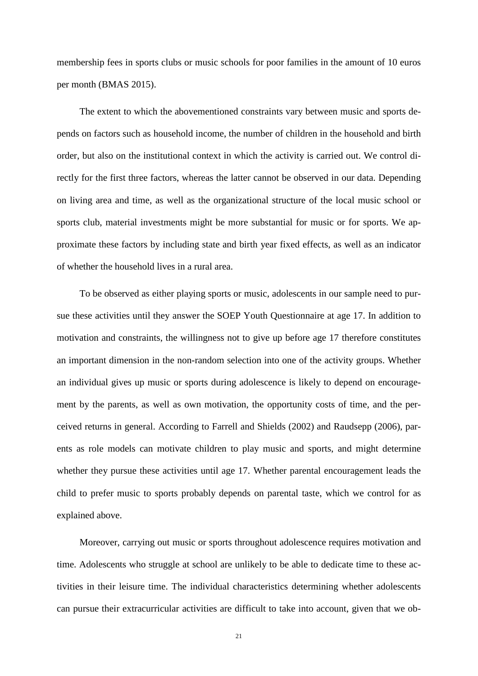membership fees in sports clubs or music schools for poor families in the amount of 10 euros per month (BMAS 2015).

The extent to which the abovementioned constraints vary between music and sports depends on factors such as household income, the number of children in the household and birth order, but also on the institutional context in which the activity is carried out. We control directly for the first three factors, whereas the latter cannot be observed in our data. Depending on living area and time, as well as the organizational structure of the local music school or sports club, material investments might be more substantial for music or for sports. We approximate these factors by including state and birth year fixed effects, as well as an indicator of whether the household lives in a rural area.

To be observed as either playing sports or music, adolescents in our sample need to pursue these activities until they answer the SOEP Youth Questionnaire at age 17. In addition to motivation and constraints, the willingness not to give up before age 17 therefore constitutes an important dimension in the non-random selection into one of the activity groups. Whether an individual gives up music or sports during adolescence is likely to depend on encouragement by the parents, as well as own motivation, the opportunity costs of time, and the perceived returns in general. According to Farrell and Shields (2002) and Raudsepp (2006), parents as role models can motivate children to play music and sports, and might determine whether they pursue these activities until age 17. Whether parental encouragement leads the child to prefer music to sports probably depends on parental taste, which we control for as explained above.

Moreover, carrying out music or sports throughout adolescence requires motivation and time. Adolescents who struggle at school are unlikely to be able to dedicate time to these activities in their leisure time. The individual characteristics determining whether adolescents can pursue their extracurricular activities are difficult to take into account, given that we ob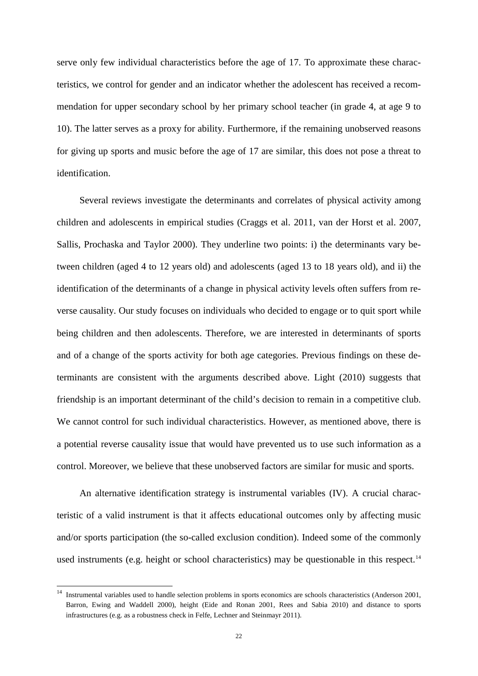serve only few individual characteristics before the age of 17. To approximate these characteristics, we control for gender and an indicator whether the adolescent has received a recommendation for upper secondary school by her primary school teacher (in grade 4, at age 9 to 10). The latter serves as a proxy for ability. Furthermore, if the remaining unobserved reasons for giving up sports and music before the age of 17 are similar, this does not pose a threat to identification.

Several reviews investigate the determinants and correlates of physical activity among children and adolescents in empirical studies (Craggs et al. 2011, van der Horst et al. 2007, Sallis, Prochaska and Taylor 2000). They underline two points: i) the determinants vary between children (aged 4 to 12 years old) and adolescents (aged 13 to 18 years old), and ii) the identification of the determinants of a change in physical activity levels often suffers from reverse causality. Our study focuses on individuals who decided to engage or to quit sport while being children and then adolescents. Therefore, we are interested in determinants of sports and of a change of the sports activity for both age categories. Previous findings on these determinants are consistent with the arguments described above. Light (2010) suggests that friendship is an important determinant of the child's decision to remain in a competitive club. We cannot control for such individual characteristics. However, as mentioned above, there is a potential reverse causality issue that would have prevented us to use such information as a control. Moreover, we believe that these unobserved factors are similar for music and sports.

An alternative identification strategy is instrumental variables (IV). A crucial characteristic of a valid instrument is that it affects educational outcomes only by affecting music and/or sports participation (the so-called exclusion condition). Indeed some of the commonly used instruments (e.g. height or school characteristics) may be questionable in this respect.<sup>[14](#page-24-0)</sup>

<span id="page-24-0"></span><sup>&</sup>lt;sup>14</sup> Instrumental variables used to handle selection problems in sports economics are schools characteristics (Anderson 2001, Barron, Ewing and Waddell 2000), height (Eide and Ronan 2001, Rees and Sabia 2010) and distance to sports infrastructures (e.g. as a robustness check in Felfe, Lechner and Steinmayr 2011).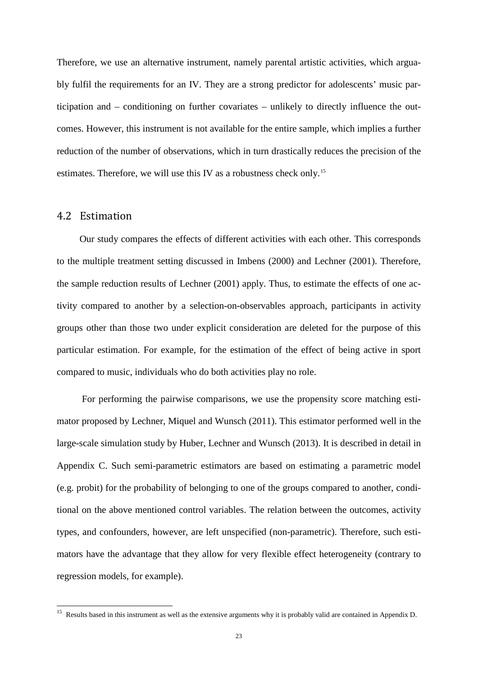Therefore, we use an alternative instrument, namely parental artistic activities, which arguably fulfil the requirements for an IV. They are a strong predictor for adolescents' music participation and – conditioning on further covariates – unlikely to directly influence the outcomes. However, this instrument is not available for the entire sample, which implies a further reduction of the number of observations, which in turn drastically reduces the precision of the estimates. Therefore, we will use this IV as a robustness check only.[15](#page-25-0)

#### 4.2 Estimation

Our study compares the effects of different activities with each other. This corresponds to the multiple treatment setting discussed in Imbens (2000) and Lechner (2001). Therefore, the sample reduction results of Lechner (2001) apply. Thus, to estimate the effects of one activity compared to another by a selection-on-observables approach, participants in activity groups other than those two under explicit consideration are deleted for the purpose of this particular estimation. For example, for the estimation of the effect of being active in sport compared to music, individuals who do both activities play no role.

For performing the pairwise comparisons, we use the propensity score matching estimator proposed by Lechner, Miquel and Wunsch (2011). This estimator performed well in the large-scale simulation study by Huber, Lechner and Wunsch (2013). It is described in detail in Appendix C. Such semi-parametric estimators are based on estimating a parametric model (e.g. probit) for the probability of belonging to one of the groups compared to another, conditional on the above mentioned control variables. The relation between the outcomes, activity types, and confounders, however, are left unspecified (non-parametric). Therefore, such estimators have the advantage that they allow for very flexible effect heterogeneity (contrary to regression models, for example).

<span id="page-25-0"></span><sup>&</sup>lt;sup>15</sup> Results based in this instrument as well as the extensive arguments why it is probably valid are contained in Appendix D.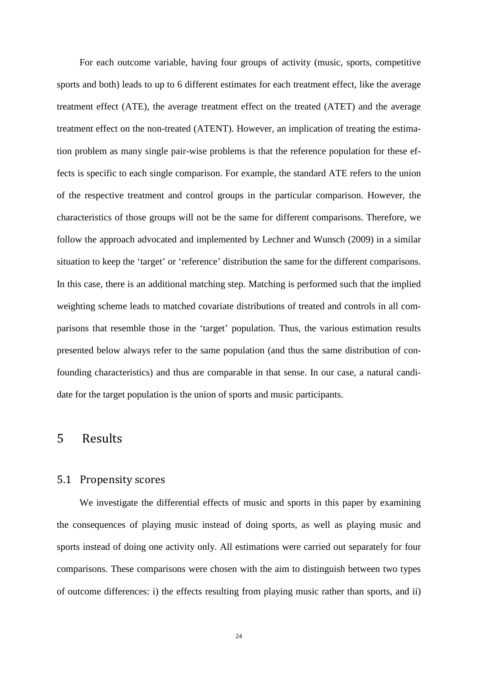For each outcome variable, having four groups of activity (music, sports, competitive sports and both) leads to up to 6 different estimates for each treatment effect, like the average treatment effect (ATE), the average treatment effect on the treated (ATET) and the average treatment effect on the non-treated (ATENT). However, an implication of treating the estimation problem as many single pair-wise problems is that the reference population for these effects is specific to each single comparison. For example, the standard ATE refers to the union of the respective treatment and control groups in the particular comparison. However, the characteristics of those groups will not be the same for different comparisons. Therefore, we follow the approach advocated and implemented by Lechner and Wunsch (2009) in a similar situation to keep the 'target' or 'reference' distribution the same for the different comparisons. In this case, there is an additional matching step. Matching is performed such that the implied weighting scheme leads to matched covariate distributions of treated and controls in all comparisons that resemble those in the 'target' population. Thus, the various estimation results presented below always refer to the same population (and thus the same distribution of confounding characteristics) and thus are comparable in that sense. In our case, a natural candidate for the target population is the union of sports and music participants.

# 5 Results

#### 5.1 Propensity scores

We investigate the differential effects of music and sports in this paper by examining the consequences of playing music instead of doing sports, as well as playing music and sports instead of doing one activity only. All estimations were carried out separately for four comparisons. These comparisons were chosen with the aim to distinguish between two types of outcome differences: i) the effects resulting from playing music rather than sports, and ii)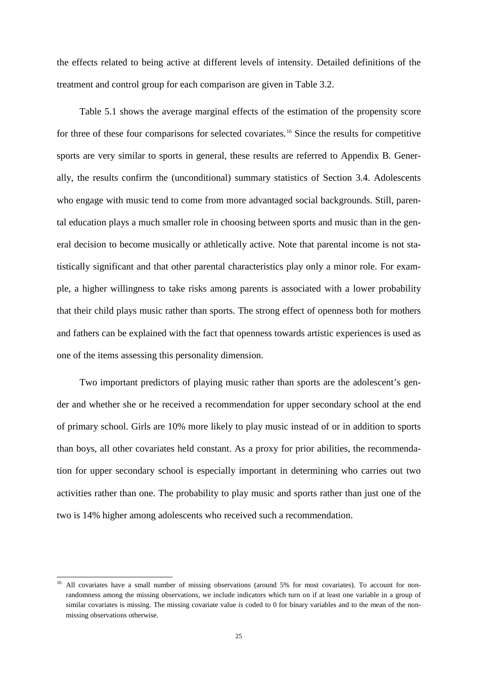the effects related to being active at different levels of intensity. Detailed definitions of the treatment and control group for each comparison are given in Table 3.2.

Table 5.1 shows the average marginal effects of the estimation of the propensity score for three of these four comparisons for selected covariates. [16](#page-27-0) Since the results for competitive sports are very similar to sports in general, these results are referred to Appendix B. Generally, the results confirm the (unconditional) summary statistics of Section 3.4. Adolescents who engage with music tend to come from more advantaged social backgrounds. Still, parental education plays a much smaller role in choosing between sports and music than in the general decision to become musically or athletically active. Note that parental income is not statistically significant and that other parental characteristics play only a minor role. For example, a higher willingness to take risks among parents is associated with a lower probability that their child plays music rather than sports. The strong effect of openness both for mothers and fathers can be explained with the fact that openness towards artistic experiences is used as one of the items assessing this personality dimension.

Two important predictors of playing music rather than sports are the adolescent's gender and whether she or he received a recommendation for upper secondary school at the end of primary school. Girls are 10% more likely to play music instead of or in addition to sports than boys, all other covariates held constant. As a proxy for prior abilities, the recommendation for upper secondary school is especially important in determining who carries out two activities rather than one. The probability to play music and sports rather than just one of the two is 14% higher among adolescents who received such a recommendation.

<span id="page-27-0"></span><sup>&</sup>lt;sup>16</sup> All covariates have a small number of missing observations (around 5% for most covariates). To account for nonrandomness among the missing observations, we include indicators which turn on if at least one variable in a group of similar covariates is missing. The missing covariate value is coded to 0 for binary variables and to the mean of the nonmissing observations otherwise.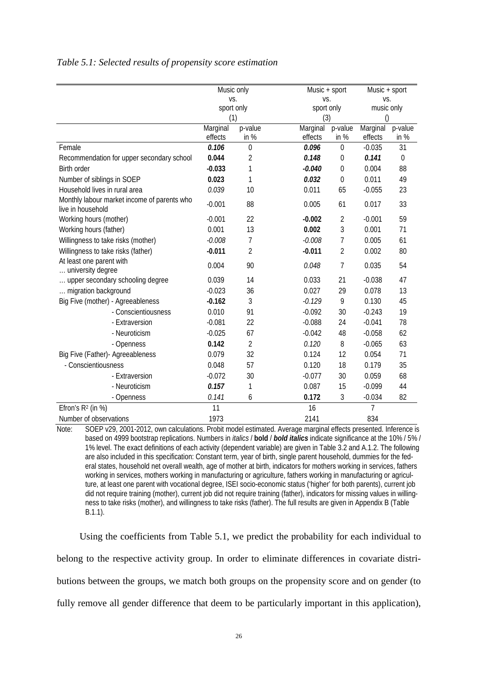|                                                                  | Music only               |                | Music + sport |                   | Music + sport    |             |
|------------------------------------------------------------------|--------------------------|----------------|---------------|-------------------|------------------|-------------|
|                                                                  | VS.<br>sport only<br>(1) |                |               | VS.<br>sport only |                  | VS.         |
|                                                                  |                          |                |               |                   |                  | music only  |
|                                                                  |                          |                | (3)           |                   | $\left( \right)$ |             |
|                                                                  | Marginal                 | p-value        | Marginal      | p-value           | Marginal         | p-value     |
|                                                                  | effects                  | in $%$         | effects       | in $%$            | effects          | in $%$      |
| Female                                                           | 0.106                    | $\overline{0}$ | 0.096         | $\overline{0}$    | $-0.035$         | 31          |
| Recommendation for upper secondary school                        | 0.044                    | $\overline{2}$ | 0.148         | $\overline{0}$    | 0.141            | $\mathbf 0$ |
| <b>Birth order</b>                                               | $-0.033$                 | 1              | $-0.040$      | $\theta$          | 0.004            | 88          |
| Number of siblings in SOEP                                       | 0.023                    | 1              | 0.032         | $\mathbf 0$       | 0.011            | 49          |
| Household lives in rural area                                    | 0.039                    | 10             | 0.011         | 65                | $-0.055$         | 23          |
| Monthly labour market income of parents who<br>live in household | $-0.001$                 | 88             | 0.005         | 61                | 0.017            | 33          |
| Working hours (mother)                                           | $-0.001$                 | 22             | $-0.002$      | $\overline{2}$    | $-0.001$         | 59          |
| Working hours (father)                                           | 0.001                    | 13             | 0.002         | 3                 | 0.001            | 71          |
| Willingness to take risks (mother)                               | $-0.008$                 | 7              | $-0.008$      | 7                 | 0.005            | 61          |
| Willingness to take risks (father)                               | $-0.011$                 | 2              | $-0.011$      | 2                 | 0.002            | 80          |
| At least one parent with<br>university degree                    | 0.004                    | 90             | 0.048         | 7                 | 0.035            | 54          |
| upper secondary schooling degree                                 | 0.039                    | 14             | 0.033         | 21                | $-0.038$         | 47          |
| migration background                                             | $-0.023$                 | 36             | 0.027         | 29                | 0.078            | 13          |
| Big Five (mother) - Agreeableness                                | $-0.162$                 | 3              | $-0.129$      | 9                 | 0.130            | 45          |
| - Conscientiousness                                              | 0.010                    | 91             | $-0.092$      | 30                | $-0.243$         | 19          |
| - Extraversion                                                   | $-0.081$                 | 22             | $-0.088$      | 24                | $-0.041$         | 78          |
| - Neuroticism                                                    | $-0.025$                 | 67             | $-0.042$      | 48                | $-0.058$         | 62          |
| - Openness                                                       | 0.142                    | $\overline{2}$ | 0.120         | 8                 | $-0.065$         | 63          |
| Big Five (Father) - Agreeableness                                | 0.079                    | 32             | 0.124         | 12                | 0.054            | 71          |
| - Conscientiousness                                              | 0.048                    | 57             | 0.120         | 18                | 0.179            | 35          |
| - Extraversion                                                   | $-0.072$                 | 30             | $-0.077$      | 30                | 0.059            | 68          |
| - Neuroticism                                                    | 0.157                    | 1              | 0.087         | 15                | $-0.099$         | 44          |
| - Openness                                                       | 0.141                    | 6              | 0.172         | 3                 | $-0.034$         | 82          |
| Efron's $R^2$ (in %)                                             | 11                       |                | 16            |                   | $\overline{7}$   |             |
| Number of observations                                           | 1973                     |                | 2141          |                   | 834              |             |

#### *Table 5.1: Selected results of propensity score estimation*

Note: SOEP v29, 2001-2012, own calculations. Probit model estimated. Average marginal effects presented. Inference is based on 4999 bootstrap replications. Numbers in *italics* / **bold** / *bold italics* indicate significance at the 10% / 5% / 1% level. The exact definitions of each activity (dependent variable) are given in Table 3.2 and A.1.2. The following are also included in this specification: Constant term, year of birth, single parent household, dummies for the federal states, household net overall wealth, age of mother at birth, indicators for mothers working in services, fathers working in services, mothers working in manufacturing or agriculture, fathers working in manufacturing or agriculture, at least one parent with vocational degree, ISEI socio-economic status ('higher' for both parents), current job did not require training (mother), current job did not require training (father), indicators for missing values in willingness to take risks (mother), and willingness to take risks (father). The full results are given in Appendix B (Table B.1.1).

Using the coefficients from Table 5.1, we predict the probability for each individual to belong to the respective activity group. In order to eliminate differences in covariate distributions between the groups, we match both groups on the propensity score and on gender (to fully remove all gender difference that deem to be particularly important in this application),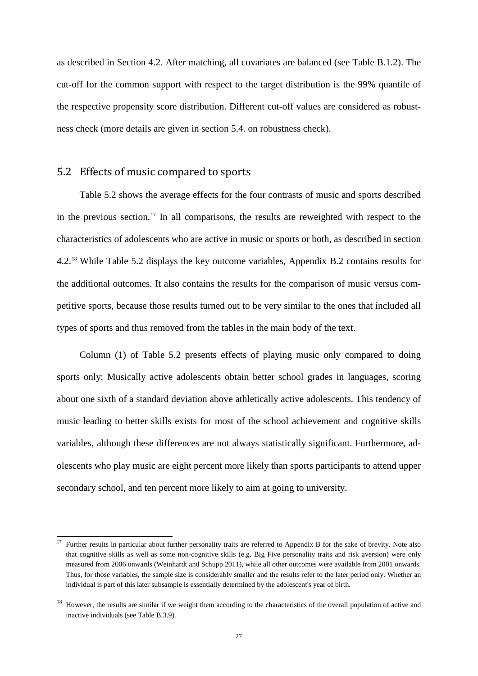as described in Section 4.2. After matching, all covariates are balanced (see Table B.1.2). The cut-off for the common support with respect to the target distribution is the 99% quantile of the respective propensity score distribution. Different cut-off values are considered as robustness check (more details are given in section 5.4. on robustness check).

#### 5.2 Effects of music compared to sports

Table 5.2 shows the average effects for the four contrasts of music and sports described in the previous section. [17](#page-29-0) In all comparisons, the results are reweighted with respect to the characteristics of adolescents who are active in music or sports or both, as described in section 4.2. [18](#page-29-1) While Table 5.2 displays the key outcome variables, Appendix B.2 contains results for the additional outcomes. It also contains the results for the comparison of music versus competitive sports, because those results turned out to be very similar to the ones that included all types of sports and thus removed from the tables in the main body of the text.

Column (1) of Table 5.2 presents effects of playing music only compared to doing sports only: Musically active adolescents obtain better school grades in languages, scoring about one sixth of a standard deviation above athletically active adolescents. This tendency of music leading to better skills exists for most of the school achievement and cognitive skills variables, although these differences are not always statistically significant. Furthermore, adolescents who play music are eight percent more likely than sports participants to attend upper secondary school, and ten percent more likely to aim at going to university.

<span id="page-29-0"></span><sup>&</sup>lt;sup>17</sup> Further results in particular about further personality traits are referred to Appendix B for the sake of brevity. Note also that cognitive skills as well as some non-cognitive skills (e.g. Big Five personality traits and risk aversion) were only measured from 2006 onwards (Weinhardt and Schupp 2011), while all other outcomes were available from 2001 onwards. Thus, for those variables, the sample size is considerably smaller and the results refer to the later period only. Whether an individual is part of this later subsample is essentially determined by the adolescent's year of birth.

<span id="page-29-1"></span><sup>&</sup>lt;sup>18</sup> However, the results are similar if we weight them according to the characteristics of the overall population of active and inactive individuals (see Table B.3.9).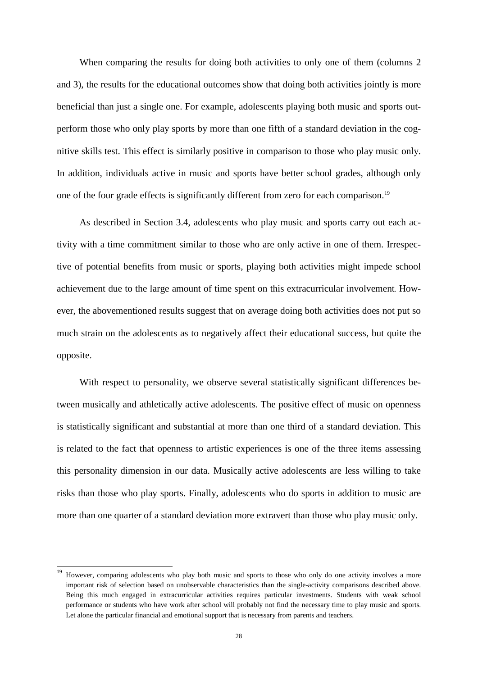When comparing the results for doing both activities to only one of them (columns 2) and 3), the results for the educational outcomes show that doing both activities jointly is more beneficial than just a single one. For example, adolescents playing both music and sports outperform those who only play sports by more than one fifth of a standard deviation in the cognitive skills test. This effect is similarly positive in comparison to those who play music only. In addition, individuals active in music and sports have better school grades, although only one of the four grade effects is significantly different from zero for each comparison.<sup>[19](#page-30-0)</sup>

As described in Section 3.4, adolescents who play music and sports carry out each activity with a time commitment similar to those who are only active in one of them. Irrespective of potential benefits from music or sports, playing both activities might impede school achievement due to the large amount of time spent on this extracurricular involvement. However, the abovementioned results suggest that on average doing both activities does not put so much strain on the adolescents as to negatively affect their educational success, but quite the opposite.

With respect to personality, we observe several statistically significant differences between musically and athletically active adolescents. The positive effect of music on openness is statistically significant and substantial at more than one third of a standard deviation. This is related to the fact that openness to artistic experiences is one of the three items assessing this personality dimension in our data. Musically active adolescents are less willing to take risks than those who play sports. Finally, adolescents who do sports in addition to music are more than one quarter of a standard deviation more extravert than those who play music only.

<span id="page-30-0"></span><sup>19</sup> However, comparing adolescents who play both music and sports to those who only do one activity involves a more important risk of selection based on unobservable characteristics than the single-activity comparisons described above. Being this much engaged in extracurricular activities requires particular investments. Students with weak school performance or students who have work after school will probably not find the necessary time to play music and sports. Let alone the particular financial and emotional support that is necessary from parents and teachers.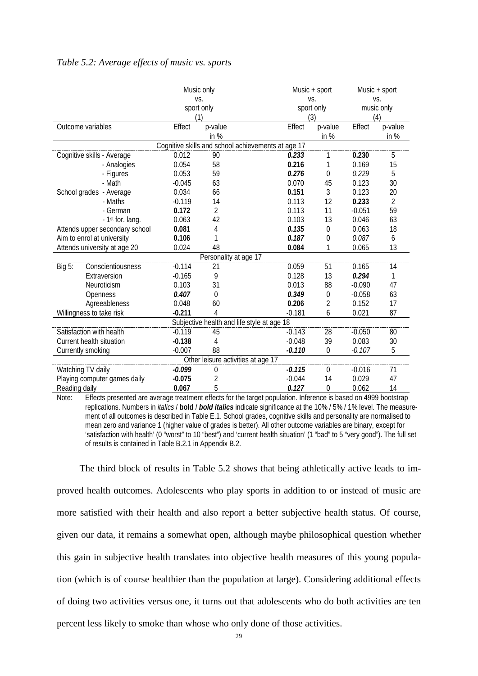|                                            |            | Music only            |                                                    | Music + sport    |          | Music + sport  |  |
|--------------------------------------------|------------|-----------------------|----------------------------------------------------|------------------|----------|----------------|--|
|                                            | VS.        |                       |                                                    | VS.              |          | VS.            |  |
|                                            | sport only |                       |                                                    | sport only       |          | music only     |  |
|                                            |            | (1)                   |                                                    | (3)              |          | (4)            |  |
| Outcome variables                          | Effect     | p-value               | Effect                                             | p-value          | Effect   | p-value        |  |
|                                            |            | in $%$                |                                                    | in $%$           |          | in $%$         |  |
|                                            |            |                       | Cognitive skills and school achievements at age 17 |                  |          |                |  |
| Cognitive skills - Average                 | 0.012      | 90                    | 0.233                                              | 1                | 0.230    | 5              |  |
| - Analogies                                | 0.054      | 58                    | 0.216                                              | 1                | 0.169    | 15             |  |
| - Figures                                  | 0.053      | 59                    | 0.276                                              | 0                | 0.229    | 5              |  |
| - Math                                     | $-0.045$   | 63                    | 0.070                                              | 45               | 0.123    | 30             |  |
| School grades - Average                    | 0.034      | 66                    | 0.151                                              | 3                | 0.123    | 20             |  |
| - Maths                                    | $-0.119$   | 14                    | 0.113                                              | 12               | 0.233    | $\overline{2}$ |  |
| - German                                   | 0.172      | $\overline{2}$        | 0.113                                              | 11               | $-0.051$ | 59             |  |
| - 1st for. lang.                           | 0.063      | 42                    | 0.103                                              | 13               | 0.046    | 63             |  |
| Attends upper secondary school             | 0.081      | 4                     | 0.135                                              | $\boldsymbol{0}$ | 0.063    | 18             |  |
| Aim to enrol at university                 | 0.106      | 1                     | 0.187                                              | 0                | 0.087    | 6              |  |
| Attends university at age 20               | 0.024      | 48                    | 0.084                                              | 1                | 0.065    | 13             |  |
|                                            |            | Personality at age 17 |                                                    |                  |          |                |  |
| Big 5:<br>Conscientiousness                | $-0.114$   | 21                    | 0.059                                              | 51               | 0.165    | 14             |  |
| Extraversion                               | $-0.165$   | 9                     | 0.128                                              | 13               | 0.294    | 1              |  |
| Neuroticism                                | 0.103      | 31                    | 0.013                                              | 88               | $-0.090$ | 47             |  |
| Openness                                   | 0.407      | $\theta$              | 0.349                                              | 0                | $-0.058$ | 63             |  |
| Agreeableness                              | 0.048      | 60                    | 0.206                                              | $\overline{2}$   | 0.152    | 17             |  |
| Willingness to take risk                   | $-0.211$   | 4                     | $-0.181$                                           | 6                | 0.021    | 87             |  |
| Subjective health and life style at age 18 |            |                       |                                                    |                  |          |                |  |
| Satisfaction with health                   | $-0.119$   | 45                    | $-0.143$                                           | 28               | $-0.050$ | 80             |  |
| Current health situation                   | $-0.138$   | 4                     | $-0.048$                                           | 39               | 0.083    | 30             |  |
| Currently smoking                          | $-0.007$   | 88                    | $-0.110$                                           | 0                | $-0.107$ | 5              |  |
| Other leisure activities at age 17         |            |                       |                                                    |                  |          |                |  |
| Watching TV daily                          | $-0.099$   | 0                     | $-0.115$                                           | $\Omega$         | $-0.016$ | 71             |  |
| Playing computer games daily               | $-0.075$   | 2                     | $-0.044$                                           | 14               | 0.029    | 47             |  |
| Reading daily                              | 0.067      | 5                     | 0.127                                              | $\mathbf 0$      | 0.062    | 14             |  |

#### *Table 5.2: Average effects of music vs. sports*

Note: Effects presented are average treatment effects for the target population. Inference is based on 4999 bootstrap replications. Numbers in *italics* / **bold** / *bold italics* indicate significance at the 10% / 5% / 1% level. The measurement of all outcomes is described in Table E.1. School grades, cognitive skills and personality are normalised to mean zero and variance 1 (higher value of grades is better). All other outcome variables are binary, except for 'satisfaction with health' (0 "worst" to 10 "best") and 'current health situation' (1 "bad" to 5 "very good"). The full set of results is contained in Table B.2.1 in Appendix B.2.

The third block of results in Table 5.2 shows that being athletically active leads to improved health outcomes. Adolescents who play sports in addition to or instead of music are more satisfied with their health and also report a better subjective health status. Of course, given our data, it remains a somewhat open, although maybe philosophical question whether this gain in subjective health translates into objective health measures of this young population (which is of course healthier than the population at large). Considering additional effects of doing two activities versus one, it turns out that adolescents who do both activities are ten percent less likely to smoke than whose who only done of those activities.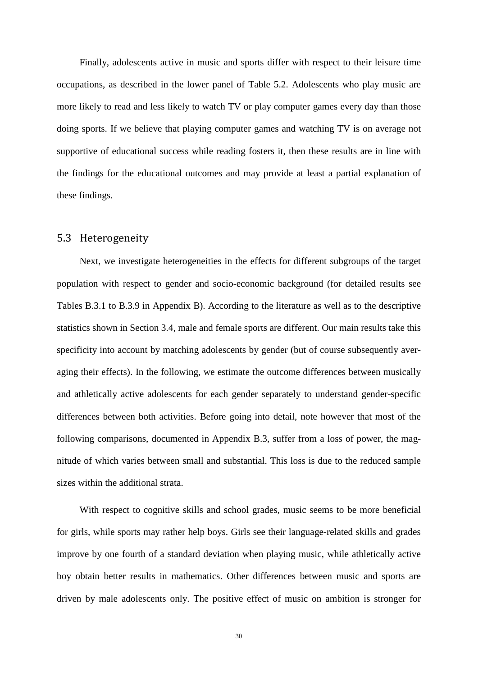Finally, adolescents active in music and sports differ with respect to their leisure time occupations, as described in the lower panel of Table 5.2. Adolescents who play music are more likely to read and less likely to watch TV or play computer games every day than those doing sports. If we believe that playing computer games and watching TV is on average not supportive of educational success while reading fosters it, then these results are in line with the findings for the educational outcomes and may provide at least a partial explanation of these findings.

#### 5.3 Heterogeneity

Next, we investigate heterogeneities in the effects for different subgroups of the target population with respect to gender and socio-economic background (for detailed results see Tables B.3.1 to B.3.9 in Appendix B). According to the literature as well as to the descriptive statistics shown in Section 3.4, male and female sports are different. Our main results take this specificity into account by matching adolescents by gender (but of course subsequently averaging their effects). In the following, we estimate the outcome differences between musically and athletically active adolescents for each gender separately to understand gender-specific differences between both activities. Before going into detail, note however that most of the following comparisons, documented in Appendix B.3, suffer from a loss of power, the magnitude of which varies between small and substantial. This loss is due to the reduced sample sizes within the additional strata.

With respect to cognitive skills and school grades, music seems to be more beneficial for girls, while sports may rather help boys. Girls see their language-related skills and grades improve by one fourth of a standard deviation when playing music, while athletically active boy obtain better results in mathematics. Other differences between music and sports are driven by male adolescents only. The positive effect of music on ambition is stronger for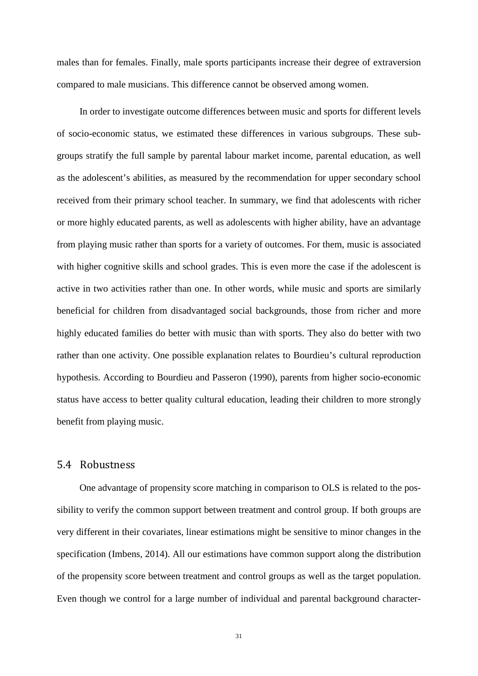males than for females. Finally, male sports participants increase their degree of extraversion compared to male musicians. This difference cannot be observed among women.

In order to investigate outcome differences between music and sports for different levels of socio-economic status, we estimated these differences in various subgroups. These subgroups stratify the full sample by parental labour market income, parental education, as well as the adolescent's abilities, as measured by the recommendation for upper secondary school received from their primary school teacher. In summary, we find that adolescents with richer or more highly educated parents, as well as adolescents with higher ability, have an advantage from playing music rather than sports for a variety of outcomes. For them, music is associated with higher cognitive skills and school grades. This is even more the case if the adolescent is active in two activities rather than one. In other words, while music and sports are similarly beneficial for children from disadvantaged social backgrounds, those from richer and more highly educated families do better with music than with sports. They also do better with two rather than one activity. One possible explanation relates to Bourdieu's cultural reproduction hypothesis. According to Bourdieu and Passeron (1990), parents from higher socio-economic status have access to better quality cultural education, leading their children to more strongly benefit from playing music.

#### 5.4 Robustness

One advantage of propensity score matching in comparison to OLS is related to the possibility to verify the common support between treatment and control group. If both groups are very different in their covariates, linear estimations might be sensitive to minor changes in the specification (Imbens, 2014). All our estimations have common support along the distribution of the propensity score between treatment and control groups as well as the target population. Even though we control for a large number of individual and parental background character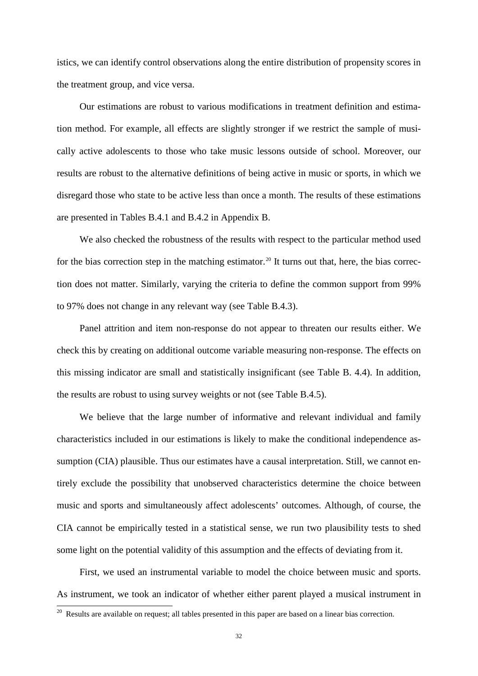istics, we can identify control observations along the entire distribution of propensity scores in the treatment group, and vice versa.

Our estimations are robust to various modifications in treatment definition and estimation method. For example, all effects are slightly stronger if we restrict the sample of musically active adolescents to those who take music lessons outside of school. Moreover, our results are robust to the alternative definitions of being active in music or sports, in which we disregard those who state to be active less than once a month. The results of these estimations are presented in Tables B.4.1 and B.4.2 in Appendix B.

We also checked the robustness of the results with respect to the particular method used for the bias correction step in the matching estimator.<sup>[20](#page-34-0)</sup> It turns out that, here, the bias correction does not matter. Similarly, varying the criteria to define the common support from 99% to 97% does not change in any relevant way (see Table B.4.3).

Panel attrition and item non-response do not appear to threaten our results either. We check this by creating on additional outcome variable measuring non-response. The effects on this missing indicator are small and statistically insignificant (see Table B. 4.4). In addition, the results are robust to using survey weights or not (see Table B.4.5).

We believe that the large number of informative and relevant individual and family characteristics included in our estimations is likely to make the conditional independence assumption (CIA) plausible. Thus our estimates have a causal interpretation. Still, we cannot entirely exclude the possibility that unobserved characteristics determine the choice between music and sports and simultaneously affect adolescents' outcomes. Although, of course, the CIA cannot be empirically tested in a statistical sense, we run two plausibility tests to shed some light on the potential validity of this assumption and the effects of deviating from it.

First, we used an instrumental variable to model the choice between music and sports. As instrument, we took an indicator of whether either parent played a musical instrument in

<span id="page-34-0"></span><sup>&</sup>lt;sup>20</sup> Results are available on request; all tables presented in this paper are based on a linear bias correction.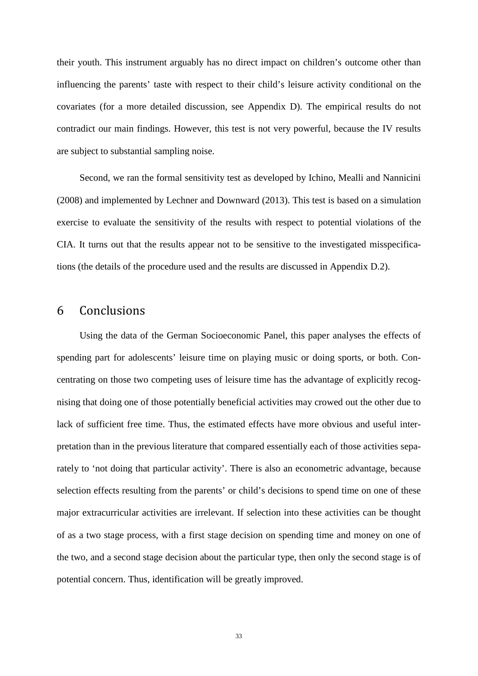their youth. This instrument arguably has no direct impact on children's outcome other than influencing the parents' taste with respect to their child's leisure activity conditional on the covariates (for a more detailed discussion, see Appendix D). The empirical results do not contradict our main findings. However, this test is not very powerful, because the IV results are subject to substantial sampling noise.

Second, we ran the formal sensitivity test as developed by Ichino, Mealli and Nannicini (2008) and implemented by Lechner and Downward (2013). This test is based on a simulation exercise to evaluate the sensitivity of the results with respect to potential violations of the CIA. It turns out that the results appear not to be sensitive to the investigated misspecifications (the details of the procedure used and the results are discussed in Appendix D.2).

# 6 Conclusions

Using the data of the German Socioeconomic Panel, this paper analyses the effects of spending part for adolescents' leisure time on playing music or doing sports, or both. Concentrating on those two competing uses of leisure time has the advantage of explicitly recognising that doing one of those potentially beneficial activities may crowed out the other due to lack of sufficient free time. Thus, the estimated effects have more obvious and useful interpretation than in the previous literature that compared essentially each of those activities separately to 'not doing that particular activity'. There is also an econometric advantage, because selection effects resulting from the parents' or child's decisions to spend time on one of these major extracurricular activities are irrelevant. If selection into these activities can be thought of as a two stage process, with a first stage decision on spending time and money on one of the two, and a second stage decision about the particular type, then only the second stage is of potential concern. Thus, identification will be greatly improved.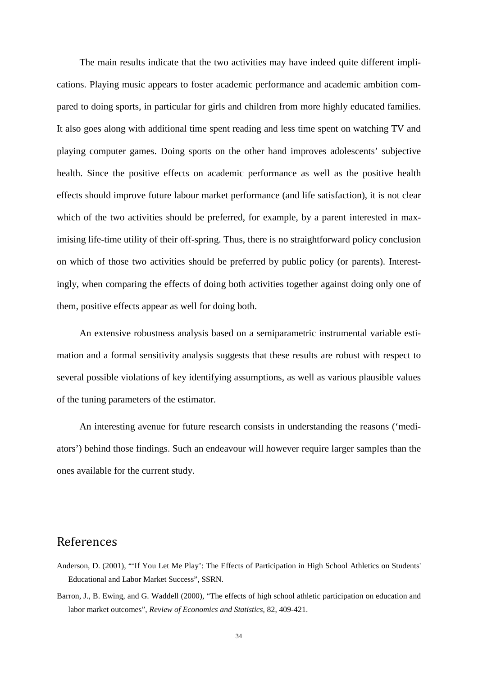The main results indicate that the two activities may have indeed quite different implications. Playing music appears to foster academic performance and academic ambition compared to doing sports, in particular for girls and children from more highly educated families. It also goes along with additional time spent reading and less time spent on watching TV and playing computer games. Doing sports on the other hand improves adolescents' subjective health. Since the positive effects on academic performance as well as the positive health effects should improve future labour market performance (and life satisfaction), it is not clear which of the two activities should be preferred, for example, by a parent interested in maximising life-time utility of their off-spring. Thus, there is no straightforward policy conclusion on which of those two activities should be preferred by public policy (or parents). Interestingly, when comparing the effects of doing both activities together against doing only one of them, positive effects appear as well for doing both.

An extensive robustness analysis based on a semiparametric instrumental variable estimation and a formal sensitivity analysis suggests that these results are robust with respect to several possible violations of key identifying assumptions, as well as various plausible values of the tuning parameters of the estimator.

An interesting avenue for future research consists in understanding the reasons ('mediators') behind those findings. Such an endeavour will however require larger samples than the ones available for the current study.

#### References

- Anderson, D. (2001), "'If You Let Me Play': The Effects of Participation in High School Athletics on Students' Educational and Labor Market Success", SSRN.
- Barron, J., B. Ewing, and G. Waddell (2000), "The effects of high school athletic participation on education and labor market outcomes", *Review of Economics and Statistics,* 82, 409-421.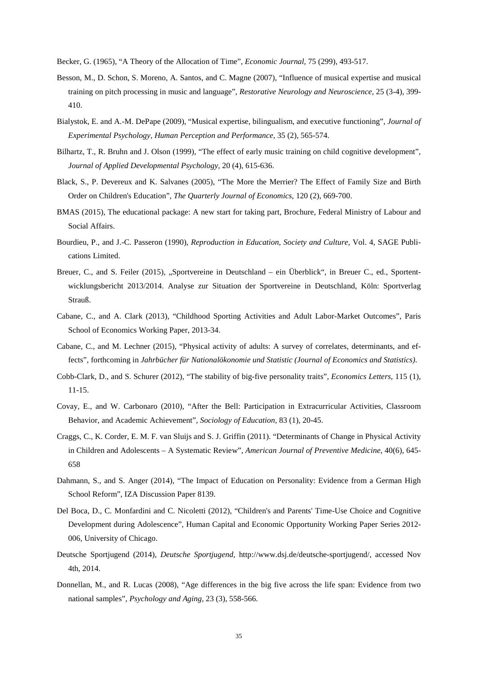Becker, G. (1965), "A Theory of the Allocation of Time", *Economic Journal,* 75 (299), 493-517.

- Besson, M., D. Schon, S. Moreno, A. Santos, and C. Magne (2007), "Influence of musical expertise and musical training on pitch processing in music and language", *Restorative Neurology and Neuroscience,* 25 (3-4), 399- 410.
- Bialystok, E. and A.-M. DePape (2009), "Musical expertise, bilingualism, and executive functioning", *Journal of Experimental Psychology, Human Perception and Performance,* 35 (2), 565-574.
- Bilhartz, T., R. Bruhn and J. Olson (1999), "The effect of early music training on child cognitive development", *Journal of Applied Developmental Psychology,* 20 (4), 615-636.
- Black, S., P. Devereux and K. Salvanes (2005), "The More the Merrier? The Effect of Family Size and Birth Order on Children's Education", *The Quarterly Journal of Economics,* 120 (2), 669-700.
- BMAS (2015), The educational package: A new start for taking part, Brochure, Federal Ministry of Labour and Social Affairs.
- Bourdieu, P., and J.-C. Passeron (1990), *Reproduction in Education, Society and Culture,* Vol. 4, SAGE Publications Limited.
- Breuer, C., and S. Feiler (2015), "Sportvereine in Deutschland ein Überblick", in Breuer C., ed., Sportentwicklungsbericht 2013/2014. Analyse zur Situation der Sportvereine in Deutschland, Köln: Sportverlag Strauß.
- Cabane, C., and A. Clark (2013), "Childhood Sporting Activities and Adult Labor-Market Outcomes", Paris School of Economics Working Paper, 2013-34.
- Cabane, C., and M. Lechner (2015), "Physical activity of adults: A survey of correlates, determinants, and effects", forthcoming in *Jahrbücher für Nationalökonomie und Statistic (Journal of Economics and Statistics)*.
- Cobb-Clark, D., and S. Schurer (2012), "The stability of big-five personality traits", *Economics Letters,* 115 (1), 11-15.
- Covay, E., and W. Carbonaro (2010), "After the Bell: Participation in Extracurricular Activities, Classroom Behavior, and Academic Achievement", *Sociology of Education,* 83 (1), 20-45.
- Craggs, C., K. Corder, E. M. F. van Sluijs and S. J. Griffin (2011). "Determinants of Change in Physical Activity in Children and Adolescents – A Systematic Review", *American Journal of Preventive Medicine*, 40(6), 645- 658
- Dahmann, S., and S. Anger (2014), "The Impact of Education on Personality: Evidence from a German High School Reform", IZA Discussion Paper 8139.
- Del Boca, D., C. Monfardini and C. Nicoletti (2012), "Children's and Parents' Time-Use Choice and Cognitive Development during Adolescence", Human Capital and Economic Opportunity Working Paper Series 2012- 006, University of Chicago.
- Deutsche Sportjugend (2014), *Deutsche Sportjugend,* http://www.dsj.de/deutsche-sportjugend/, accessed Nov 4th, 2014.
- Donnellan, M., and R. Lucas (2008), "Age differences in the big five across the life span: Evidence from two national samples", *Psychology and Aging,* 23 (3), 558-566.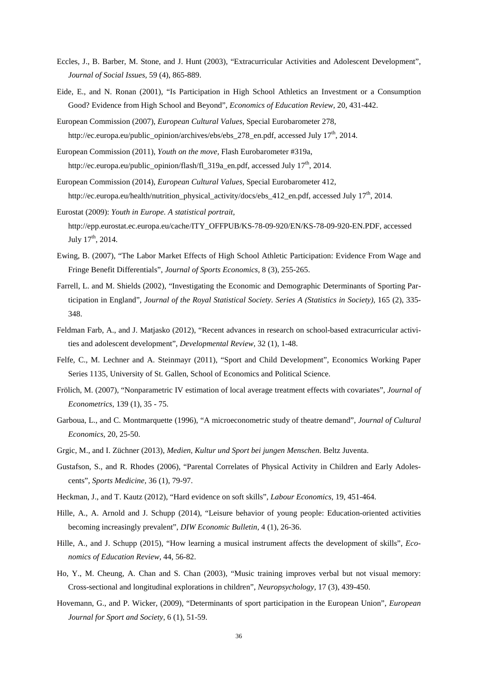- Eccles, J., B. Barber, M. Stone, and J. Hunt (2003), "Extracurricular Activities and Adolescent Development", *Journal of Social Issues,* 59 (4), 865-889.
- Eide, E., and N. Ronan (2001), "Is Participation in High School Athletics an Investment or a Consumption Good? Evidence from High School and Beyond", *Economics of Education Review,* 20, 431-442.
- European Commission (2007), *European Cultural Values,* Special Eurobarometer 278, [http://ec.europa.eu/public\\_opinion/archives/ebs/ebs\\_278\\_en.pdf,](http://ec.europa.eu/public_opinion/archives/ebs/ebs_278_en.pdf) accessed July 17<sup>th</sup>, 2014.
- European Commission (2011), *Youth on the move,* Flash Eurobarometer #319a, [http://ec.europa.eu/public\\_opinion/flash/fl\\_319a\\_en.pdf,](http://ec.europa.eu/public_opinion/flash/fl_319a_en.pdf) accessed July 17<sup>th</sup>, 2014.
- European Commission (2014), *European Cultural Values,* Special Eurobarometer 412, [http://ec.europa.eu/health/nutrition\\_physical\\_activity/docs/ebs\\_412\\_en.pdf,](http://ec.europa.eu/health/nutrition_physical_activity/docs/ebs_412_en.pdf) accessed July 17<sup>th</sup>, 2014.
- Eurostat (2009): *Youth in Europe. A statistical portrait,* http://epp.eurostat.ec.europa.eu/cache/ITY\_OFFPUB/KS-78-09-920/EN/KS-78-09-920-EN.PDF, accessed July  $17^{\text{th}}$ , 2014.
- Ewing, B. (2007), "The Labor Market Effects of High School Athletic Participation: Evidence From Wage and Fringe Benefit Differentials", *Journal of Sports Economics,* 8 (3), 255-265.
- Farrell, L. and M. Shields (2002), "Investigating the Economic and Demographic Determinants of Sporting Participation in England", *Journal of the Royal Statistical Society. Series A (Statistics in Society),* 165 (2), 335- 348.
- Feldman Farb, A., and J. Matjasko (2012), "Recent advances in research on school-based extracurricular activities and adolescent development", *Developmental Review,* 32 (1), 1-48.
- Felfe, C., M. Lechner and A. Steinmayr (2011), "Sport and Child Development", Economics Working Paper Series 1135, University of St. Gallen, School of Economics and Political Science.
- Frölich, M. (2007), "Nonparametric IV estimation of local average treatment effects with covariates", *Journal of Econometrics,* 139 (1), 35 - 75.
- Garboua, L., and C. Montmarquette (1996), "A microeconometric study of theatre demand", *Journal of Cultural Economics,* 20, 25-50.
- Grgic, M., and I. Züchner (2013), *Medien, Kultur und Sport bei jungen Menschen.* Beltz Juventa.
- Gustafson, S., and R. Rhodes (2006), "Parental Correlates of Physical Activity in Children and Early Adolescents", *Sports Medicine,* 36 (1), 79-97.
- Heckman, J., and T. Kautz (2012), "Hard evidence on soft skills", *Labour Economics,* 19, 451-464.
- Hille, A., A. Arnold and J. Schupp (2014), "Leisure behavior of young people: Education-oriented activities becoming increasingly prevalent", *DIW Economic Bulletin,* 4 (1), 26-36.
- Hille, A., and J. Schupp (2015), "How learning a musical instrument affects the development of skills", *Economics of Education Review*, 44, 56-82.
- Ho, Y., M. Cheung, A. Chan and S. Chan (2003), "Music training improves verbal but not visual memory: Cross-sectional and longitudinal explorations in children", *Neuropsychology,* 17 (3), 439-450.
- Hovemann, G., and P. Wicker, (2009), "Determinants of sport participation in the European Union", *European Journal for Sport and Society,* 6 (1), 51-59.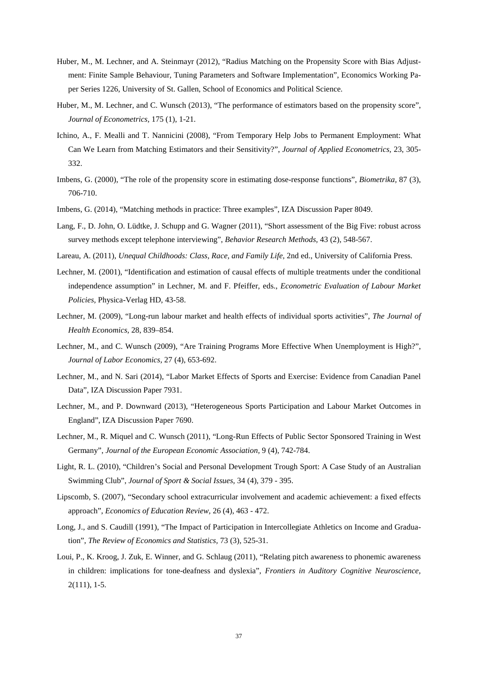- Huber, M., M. Lechner, and A. Steinmayr (2012), "Radius Matching on the Propensity Score with Bias Adjustment: Finite Sample Behaviour, Tuning Parameters and Software Implementation", Economics Working Paper Series 1226, University of St. Gallen, School of Economics and Political Science.
- Huber, M., M. Lechner, and C. Wunsch (2013), "The performance of estimators based on the propensity score", *Journal of Econometrics,* 175 (1), 1-21.
- Ichino, A., F. Mealli and T. Nannicini (2008), "From Temporary Help Jobs to Permanent Employment: What Can We Learn from Matching Estimators and their Sensitivity?", *Journal of Applied Econometrics,* 23, 305- 332.
- Imbens, G. (2000), "The role of the propensity score in estimating dose-response functions", *Biometrika,* 87 (3), 706-710.
- Imbens, G. (2014), "Matching methods in practice: Three examples", IZA Discussion Paper 8049.
- Lang, F., D. John, O. Lüdtke, J. Schupp and G. Wagner (2011), "Short assessment of the Big Five: robust across survey methods except telephone interviewing", *Behavior Research Methods,* 43 (2), 548-567.
- Lareau, A. (2011), *Unequal Childhoods: Class, Race, and Family Life,* 2nd ed., University of California Press.
- Lechner, M. (2001), "Identification and estimation of causal effects of multiple treatments under the conditional independence assumption" in Lechner, M. and F. Pfeiffer, eds., *Econometric Evaluation of Labour Market Policies,* Physica-Verlag HD, 43-58.
- Lechner, M. (2009), "Long-run labour market and health effects of individual sports activities", *The Journal of Health Economics,* 28, 839–854.
- Lechner, M., and C. Wunsch (2009), "Are Training Programs More Effective When Unemployment is High?", *Journal of Labor Economics,* 27 (4), 653-692.
- Lechner, M., and N. Sari (2014), "Labor Market Effects of Sports and Exercise: Evidence from Canadian Panel Data", IZA Discussion Paper 7931.
- Lechner, M., and P. Downward (2013), "Heterogeneous Sports Participation and Labour Market Outcomes in England", IZA Discussion Paper 7690.
- Lechner, M., R. Miquel and C. Wunsch (2011), "Long-Run Effects of Public Sector Sponsored Training in West Germany", *Journal of the European Economic Association,* 9 (4), 742-784.
- Light, R. L. (2010), "Children's Social and Personal Development Trough Sport: A Case Study of an Australian Swimming Club", *Journal of Sport & Social Issues,* 34 (4), 379 - 395.
- Lipscomb, S. (2007), "Secondary school extracurricular involvement and academic achievement: a fixed effects approach", *Economics of Education Review,* 26 (4), 463 - 472.
- Long, J., and S. Caudill (1991), "The Impact of Participation in Intercollegiate Athletics on Income and Graduation", *The Review of Economics and Statistics,* 73 (3), 525-31.
- Loui, P., K. Kroog, J. Zuk, E. Winner, and G. Schlaug (2011), "Relating pitch awareness to phonemic awareness in children: implications for tone-deafness and dyslexia", *Frontiers in Auditory Cognitive Neuroscience,* 2(111), 1-5.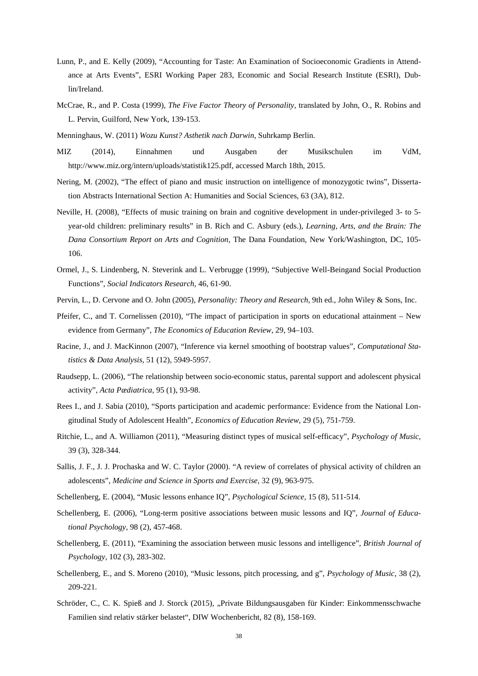- Lunn, P., and E. Kelly (2009), "Accounting for Taste: An Examination of Socioeconomic Gradients in Attendance at Arts Events", ESRI Working Paper 283, Economic and Social Research Institute (ESRI), Dublin/Ireland.
- McCrae, R., and P. Costa (1999), *The Five Factor Theory of Personality*, translated by John, O., R. Robins and L. Pervin, Guilford, New York, 139-153.
- Menninghaus, W. (2011) *Wozu Kunst? Asthetik nach Darwin,* Suhrkamp Berlin.
- MIZ (2014), Einnahmen und Ausgaben der Musikschulen im VdM, http://www.miz.org/intern/uploads/statistik125.pdf, accessed March 18th, 2015.
- Nering, M. (2002), "The effect of piano and music instruction on intelligence of monozygotic twins", Dissertation Abstracts International Section A: Humanities and Social Sciences, 63 (3A), 812.
- Neville, H. (2008), "Effects of music training on brain and cognitive development in under-privileged 3- to 5 year-old children: preliminary results" in B. Rich and C. Asbury (eds.), *Learning, Arts, and the Brain: The Dana Consortium Report on Arts and Cognition,* The Dana Foundation, New York/Washington, DC, 105- 106.
- Ormel, J., S. Lindenberg, N. Steverink and L. Verbrugge (1999), "Subjective Well-Beingand Social Production Functions", *Social Indicators Research,* 46, 61-90.
- Pervin, L., D. Cervone and O. John (2005), *Personality: Theory and Research,* 9th ed., John Wiley & Sons, Inc.
- Pfeifer, C., and T. Cornelissen (2010), "The impact of participation in sports on educational attainment New evidence from Germany", *The Economics of Education Review,* 29, 94–103.
- Racine, J., and J. MacKinnon (2007), "Inference via kernel smoothing of bootstrap values", *Computational Statistics & Data Analysis,* 51 (12), 5949-5957.
- Raudsepp, L. (2006), "The relationship between socio-economic status, parental support and adolescent physical activity", *Acta Pædiatrica,* 95 (1), 93-98.
- Rees I., and J. Sabia (2010), "Sports participation and academic performance: Evidence from the National Longitudinal Study of Adolescent Health", *Economics of Education Review,* 29 (5), 751-759.
- Ritchie, L., and A. Williamon (2011), "Measuring distinct types of musical self-efficacy", *Psychology of Music,* 39 (3), 328-344.
- Sallis, J. F., J. J. Prochaska and W. C. Taylor (2000). "A review of correlates of physical activity of children an adolescents", *Medicine and Science in Sports and Exercise,* 32 (9), 963-975.
- Schellenberg, E. (2004), "Music lessons enhance IQ", *Psychological Science,* 15 (8), 511-514.
- Schellenberg, E. (2006), "Long-term positive associations between music lessons and IQ", *Journal of Educational Psychology,* 98 (2), 457-468.
- Schellenberg, E. (2011), "Examining the association between music lessons and intelligence", *British Journal of Psychology,* 102 (3), 283-302.
- Schellenberg, E., and S. Moreno (2010), "Music lessons, pitch processing, and g", *Psychology of Music,* 38 (2), 209-221.
- Schröder, C., C. K. Spieß and J. Storck (2015), "Private Bildungsausgaben für Kinder: Einkommensschwache Familien sind relativ stärker belastet", DIW Wochenbericht, 82 (8), 158-169.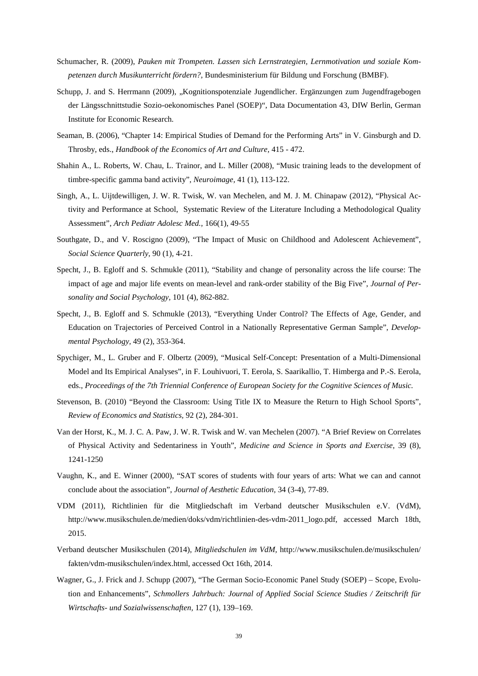- Schumacher, R. (2009), *Pauken mit Trompeten. Lassen sich Lernstrategien, Lernmotivation und soziale Kompetenzen durch Musikunterricht fördern?,* Bundesministerium für Bildung und Forschung (BMBF).
- Schupp, J. and S. Herrmann (2009), "Kognitionspotenziale Jugendlicher. Ergänzungen zum Jugendfragebogen der Längsschnittstudie Sozio-oekonomisches Panel (SOEP)", Data Documentation 43, DIW Berlin, German Institute for Economic Research.
- Seaman, B. (2006), "Chapter 14: Empirical Studies of Demand for the Performing Arts" in V. Ginsburgh and D. Throsby, eds., *Handbook of the Economics of Art and Culture,* 415 - 472.
- Shahin A., L. Roberts, W. Chau, L. Trainor, and L. Miller (2008), "Music training leads to the development of timbre-specific gamma band activity", *Neuroimage,* 41 (1), 113-122.
- Singh, A., L. Uijtdewilligen, J. W. R. Twisk, W. van Mechelen, and M. J. M. Chinapaw (2012), "Physical Activity and Performance at School, Systematic Review of the Literature Including a Methodological Quality Assessment", *Arch Pediatr Adolesc Med.,* 166(1), 49-55
- Southgate, D., and V. Roscigno (2009), "The Impact of Music on Childhood and Adolescent Achievement", *Social Science Quarterly,* 90 (1), 4-21.
- Specht, J., B. Egloff and S. Schmukle (2011), "Stability and change of personality across the life course: The impact of age and major life events on mean-level and rank-order stability of the Big Five", *Journal of Personality and Social Psychology,* 101 (4), 862-882.
- Specht, J., B. Egloff and S. Schmukle (2013), "Everything Under Control? The Effects of Age, Gender, and Education on Trajectories of Perceived Control in a Nationally Representative German Sample", *Developmental Psychology,* 49 (2), 353-364.
- Spychiger, M., L. Gruber and F. Olbertz (2009), "Musical Self-Concept: Presentation of a Multi-Dimensional Model and Its Empirical Analyses", in F. Louhivuori, T. Eerola, S. Saarikallio, T. Himberga and P.-S. Eerola, eds., *Proceedings of the 7th Triennial Conference of European Society for the Cognitive Sciences of Music.*
- Stevenson, B. (2010) "Beyond the Classroom: Using Title IX to Measure the Return to High School Sports", *Review of Economics and Statistics,* 92 (2), 284-301.
- Van der Horst, K., M. J. C. A. Paw, J. W. R. Twisk and W. van Mechelen (2007). "A Brief Review on Correlates of Physical Activity and Sedentariness in Youth", *Medicine and Science in Sports and Exercise,* 39 (8), 1241-1250
- Vaughn, K., and E. Winner (2000), "SAT scores of students with four years of arts: What we can and cannot conclude about the association", *Journal of Aesthetic Education,* 34 (3-4), 77-89.
- VDM (2011), Richtlinien für die Mitgliedschaft im Verband deutscher Musikschulen e.V. (VdM), http://www.musikschulen.de/medien/doks/vdm/richtlinien-des-vdm-2011\_logo.pdf, accessed March 18th, 2015.
- Verband deutscher Musikschulen (2014), *Mitgliedschulen im VdM,* http://www.musikschulen.de/musikschulen/ fakten/vdm-musikschulen/index.html, accessed Oct 16th, 2014.
- Wagner, G., J. Frick and J. Schupp (2007), "The German Socio-Economic Panel Study (SOEP) Scope, Evolution and Enhancements", *Schmollers Jahrbuch: Journal of Applied Social Science Studies / Zeitschrift für Wirtschafts- und Sozialwissenschaften,* 127 (1), 139–169.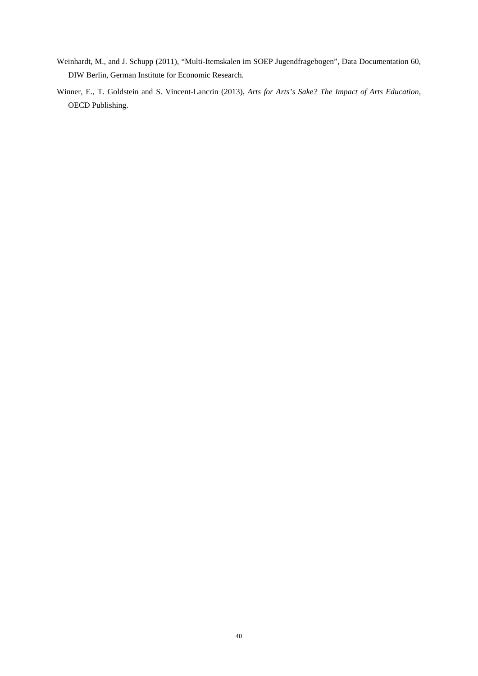- Weinhardt, M., and J. Schupp (2011), "Multi-Itemskalen im SOEP Jugendfragebogen", Data Documentation 60, DIW Berlin, German Institute for Economic Research.
- Winner, E., T. Goldstein and S. Vincent-Lancrin (2013), *Arts for Arts's Sake? The Impact of Arts Education,* OECD Publishing.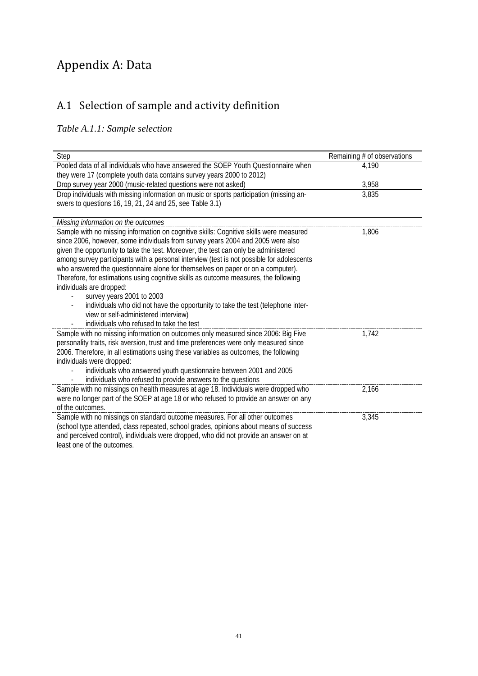# Appendix A: Data

# A.1 Selection of sample and activity definition

### *Table A.1.1: Sample selection*

| <b>Step</b>                                                                                                         | Remaining # of observations |
|---------------------------------------------------------------------------------------------------------------------|-----------------------------|
| Pooled data of all individuals who have answered the SOEP Youth Questionnaire when                                  | 4,190                       |
| they were 17 (complete youth data contains survey years 2000 to 2012)                                               |                             |
| Drop survey year 2000 (music-related questions were not asked)                                                      | 3,958                       |
| Drop individuals with missing information on music or sports participation (missing an-                             | 3,835                       |
| swers to questions 16, 19, 21, 24 and 25, see Table 3.1)                                                            |                             |
| Missing information on the outcomes                                                                                 |                             |
| Sample with no missing information on cognitive skills: Cognitive skills were measured                              | 1,806                       |
| since 2006, however, some individuals from survey years 2004 and 2005 were also                                     |                             |
| given the opportunity to take the test. Moreover, the test can only be administered                                 |                             |
| among survey participants with a personal interview (test is not possible for adolescents                           |                             |
| who answered the questionnaire alone for themselves on paper or on a computer).                                     |                             |
| Therefore, for estimations using cognitive skills as outcome measures, the following                                |                             |
| individuals are dropped:                                                                                            |                             |
| survey years 2001 to 2003                                                                                           |                             |
| individuals who did not have the opportunity to take the test (telephone inter-                                     |                             |
| view or self-administered interview)                                                                                |                             |
| individuals who refused to take the test                                                                            |                             |
| Sample with no missing information on outcomes only measured since 2006: Big Five                                   | 1,742                       |
| personality traits, risk aversion, trust and time preferences were only measured since                              |                             |
| 2006. Therefore, in all estimations using these variables as outcomes, the following                                |                             |
| individuals were dropped:                                                                                           |                             |
| individuals who answered youth questionnaire between 2001 and 2005                                                  |                             |
| individuals who refused to provide answers to the questions                                                         |                             |
| Sample with no missings on health measures at age 18. Individuals were dropped who                                  | 2,166                       |
| were no longer part of the SOEP at age 18 or who refused to provide an answer on any                                |                             |
| of the outcomes.                                                                                                    |                             |
| Sample with no missings on standard outcome measures. For all other outcomes                                        | 3,345                       |
| (school type attended, class repeated, school grades, opinions about means of success                               |                             |
| and perceived control), individuals were dropped, who did not provide an answer on at<br>least one of the outcomes. |                             |
|                                                                                                                     |                             |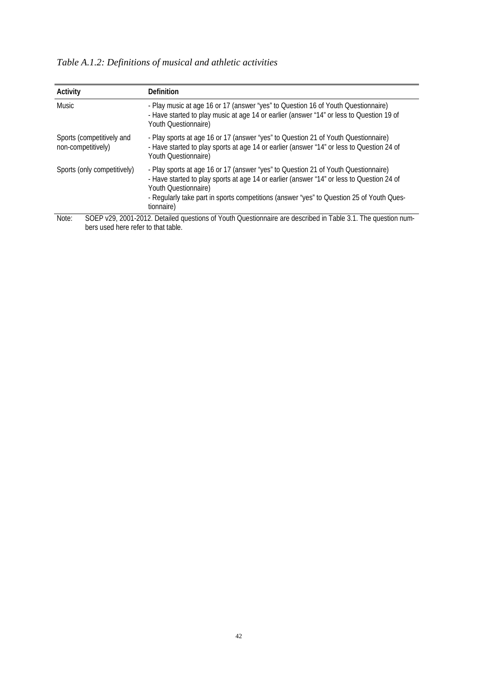|  |  |  | Table A.1.2: Definitions of musical and athletic activities |
|--|--|--|-------------------------------------------------------------|
|  |  |  |                                                             |

| <b>Definition</b>                                                                                                                                                                                                                                                                                                 |
|-------------------------------------------------------------------------------------------------------------------------------------------------------------------------------------------------------------------------------------------------------------------------------------------------------------------|
| - Play music at age 16 or 17 (answer "yes" to Question 16 of Youth Questionnaire)<br>- Have started to play music at age 14 or earlier (answer "14" or less to Question 19 of<br>Youth Questionnaire)                                                                                                             |
| - Play sports at age 16 or 17 (answer "yes" to Question 21 of Youth Questionnaire)<br>- Have started to play sports at age 14 or earlier (answer "14" or less to Question 24 of<br>Youth Questionnaire)                                                                                                           |
| - Play sports at age 16 or 17 (answer "yes" to Question 21 of Youth Questionnaire)<br>- Have started to play sports at age 14 or earlier (answer "14" or less to Question 24 of<br>Youth Questionnaire)<br>- Regularly take part in sports competitions (answer "yes" to Question 25 of Youth Ques-<br>tionnaire) |
|                                                                                                                                                                                                                                                                                                                   |

bers used here refer to that table.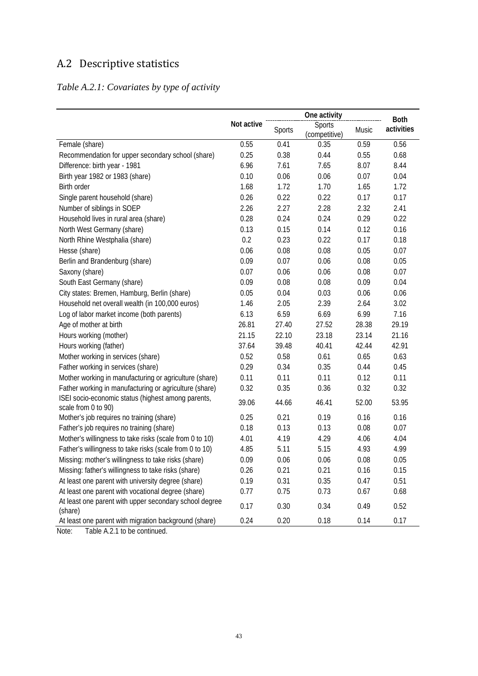# A.2 Descriptive statistics

# *Table A.2.1: Covariates by type of activity*

|                                                                           |            | One activity |                         |       | <b>Both</b> |  |
|---------------------------------------------------------------------------|------------|--------------|-------------------------|-------|-------------|--|
|                                                                           | Not active | Sports       | Sports<br>(competitive) | Music | activities  |  |
| Female (share)                                                            | 0.55       | 0.41         | 0.35                    | 0.59  | 0.56        |  |
| Recommendation for upper secondary school (share)                         | 0.25       | 0.38         | 0.44                    | 0.55  | 0.68        |  |
| Difference: birth year - 1981                                             | 6.96       | 7.61         | 7.65                    | 8.07  | 8.44        |  |
| Birth year 1982 or 1983 (share)                                           | 0.10       | 0.06         | 0.06                    | 0.07  | 0.04        |  |
| <b>Birth order</b>                                                        | 1.68       | 1.72         | 1.70                    | 1.65  | 1.72        |  |
| Single parent household (share)                                           | 0.26       | 0.22         | 0.22                    | 0.17  | 0.17        |  |
| Number of siblings in SOEP                                                | 2.26       | 2.27         | 2.28                    | 2.32  | 2.41        |  |
| Household lives in rural area (share)                                     | 0.28       | 0.24         | 0.24                    | 0.29  | 0.22        |  |
| North West Germany (share)                                                | 0.13       | 0.15         | 0.14                    | 0.12  | 0.16        |  |
| North Rhine Westphalia (share)                                            | 0.2        | 0.23         | 0.22                    | 0.17  | 0.18        |  |
| Hesse (share)                                                             | 0.06       | 0.08         | 0.08                    | 0.05  | 0.07        |  |
| Berlin and Brandenburg (share)                                            | 0.09       | 0.07         | 0.06                    | 0.08  | 0.05        |  |
| Saxony (share)                                                            | 0.07       | 0.06         | 0.06                    | 0.08  | 0.07        |  |
| South East Germany (share)                                                | 0.09       | 0.08         | 0.08                    | 0.09  | 0.04        |  |
| City states: Bremen, Hamburg, Berlin (share)                              | 0.05       | 0.04         | 0.03                    | 0.06  | 0.06        |  |
| Household net overall wealth (in 100,000 euros)                           | 1.46       | 2.05         | 2.39                    | 2.64  | 3.02        |  |
| Log of labor market income (both parents)                                 | 6.13       | 6.59         | 6.69                    | 6.99  | 7.16        |  |
| Age of mother at birth                                                    | 26.81      | 27.40        | 27.52                   | 28.38 | 29.19       |  |
| Hours working (mother)                                                    | 21.15      | 22.10        | 23.18                   | 23.14 | 21.16       |  |
| Hours working (father)                                                    | 37.64      | 39.48        | 40.41                   | 42.44 | 42.91       |  |
| Mother working in services (share)                                        | 0.52       | 0.58         | 0.61                    | 0.65  | 0.63        |  |
| Father working in services (share)                                        | 0.29       | 0.34         | 0.35                    | 0.44  | 0.45        |  |
| Mother working in manufacturing or agriculture (share)                    | 0.11       | 0.11         | 0.11                    | 0.12  | 0.11        |  |
| Father working in manufacturing or agriculture (share)                    | 0.32       | 0.35         | 0.36                    | 0.32  | 0.32        |  |
| ISEI socio-economic status (highest among parents,<br>scale from 0 to 90) | 39.06      | 44.66        | 46.41                   | 52.00 | 53.95       |  |
| Mother's job requires no training (share)                                 | 0.25       | 0.21         | 0.19                    | 0.16  | 0.16        |  |
| Father's job requires no training (share)                                 | 0.18       | 0.13         | 0.13                    | 0.08  | 0.07        |  |
| Mother's willingness to take risks (scale from 0 to 10)                   | 4.01       | 4.19         | 4.29                    | 4.06  | 4.04        |  |
| Father's willingness to take risks (scale from 0 to 10)                   | 4.85       | 5.11         | 5.15                    | 4.93  | 4.99        |  |
| Missing: mother's willingness to take risks (share)                       | 0.09       | 0.06         | 0.06                    | 0.08  | 0.05        |  |
| Missing: father's willingness to take risks (share)                       | 0.26       | 0.21         | 0.21                    | 0.16  | 0.15        |  |
| At least one parent with university degree (share)                        | 0.19       | 0.31         | 0.35                    | 0.47  | 0.51        |  |
| At least one parent with vocational degree (share)                        | 0.77       | 0.75         | 0.73                    | 0.67  | 0.68        |  |
| At least one parent with upper secondary school degree<br>(share)         | 0.17       | 0.30         | 0.34                    | 0.49  | 0.52        |  |
| At least one parent with migration background (share)                     | 0.24       | 0.20         | 0.18                    | 0.14  | 0.17        |  |

Note: Table A.2.1 to be continued.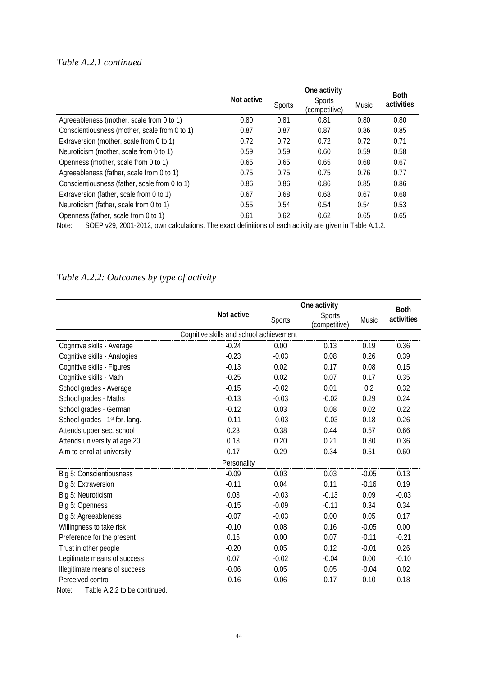#### *Table A.2.1 continued*

|                                               |                                                                    |               | <b>Both</b>                    |       |            |
|-----------------------------------------------|--------------------------------------------------------------------|---------------|--------------------------------|-------|------------|
|                                               | Not active<br>0.80<br>0.87<br>0.72<br>0.59<br>0.65<br>0.75<br>0.86 | <b>Sports</b> | <b>Sports</b><br>(competitive) | Music | activities |
| Agreeableness (mother, scale from 0 to 1)     |                                                                    | 0.81          | 0.81                           | 0.80  | 0.80       |
| Conscientiousness (mother, scale from 0 to 1) |                                                                    | 0.87          | 0.87                           | 0.86  | 0.85       |
| Extraversion (mother, scale from 0 to 1)      |                                                                    | 0.72          | 0.72                           | 0.72  | 0.71       |
| Neuroticism (mother, scale from 0 to 1)       |                                                                    | 0.59          | 0.60                           | 0.59  | 0.58       |
| Openness (mother, scale from 0 to 1)          |                                                                    | 0.65          | 0.65                           | 0.68  | 0.67       |
| Agreeableness (father, scale from 0 to 1)     |                                                                    | 0.75          | 0.75                           | 0.76  | 0.77       |
| Conscientiousness (father, scale from 0 to 1) |                                                                    | 0.86          | 0.86                           | 0.85  | 0.86       |
| Extraversion (father, scale from 0 to 1)      | 0.67                                                               | 0.68          | 0.68                           | 0.67  | 0.68       |
| Neuroticism (father, scale from 0 to 1)       | 0.55                                                               | 0.54          | 0.54                           | 0.54  | 0.53       |
| Openness (father, scale from 0 to 1)          | 0.61                                                               | 0.62          | 0.62                           | 0.65  | 0.65       |

Note: SOEP v29, 2001-2012, own calculations. The exact definitions of each activity are given in Table A.1.2.

### *Table A.2.2: Outcomes by type of activity*

|                                |                                         |               | One activity            |         | <b>Both</b> |
|--------------------------------|-----------------------------------------|---------------|-------------------------|---------|-------------|
|                                | Not active                              | <b>Sports</b> | Sports<br>(competitive) | Music   | activities  |
|                                | Cognitive skills and school achievement |               |                         |         |             |
| Cognitive skills - Average     | $-0.24$                                 | 0.00          | 0.13                    | 0.19    | 0.36        |
| Cognitive skills - Analogies   | $-0.23$                                 | $-0.03$       | 0.08                    | 0.26    | 0.39        |
| Cognitive skills - Figures     | $-0.13$                                 | 0.02          | 0.17                    | 0.08    | 0.15        |
| Cognitive skills - Math        | $-0.25$                                 | 0.02          | 0.07                    | 0.17    | 0.35        |
| School grades - Average        | $-0.15$                                 | $-0.02$       | 0.01                    | 0.2     | 0.32        |
| School grades - Maths          | $-0.13$                                 | $-0.03$       | $-0.02$                 | 0.29    | 0.24        |
| School grades - German         | $-0.12$                                 | 0.03          | 0.08                    | 0.02    | 0.22        |
| School grades - 1st for. lang. | $-0.11$                                 | $-0.03$       | $-0.03$                 | 0.18    | 0.26        |
| Attends upper sec. school      | 0.23                                    | 0.38          | 0.44                    | 0.57    | 0.66        |
| Attends university at age 20   | 0.13                                    | 0.20          | 0.21                    | 0.30    | 0.36        |
| Aim to enrol at university     | 0.17                                    | 0.29          | 0.34                    | 0.51    | 0.60        |
|                                | Personality                             |               |                         |         |             |
| Big 5: Conscientiousness       | $-0.09$                                 | 0.03          | 0.03                    | $-0.05$ | 0.13        |
| Big 5: Extraversion            | $-0.11$                                 | 0.04          | 0.11                    | $-0.16$ | 0.19        |
| Big 5: Neuroticism             | 0.03                                    | $-0.03$       | $-0.13$                 | 0.09    | $-0.03$     |
| Big 5: Openness                | $-0.15$                                 | $-0.09$       | $-0.11$                 | 0.34    | 0.34        |
| Big 5: Agreeableness           | $-0.07$                                 | $-0.03$       | 0.00                    | 0.05    | 0.17        |
| Willingness to take risk       | $-0.10$                                 | 0.08          | 0.16                    | $-0.05$ | 0.00        |
| Preference for the present     | 0.15                                    | 0.00          | 0.07                    | $-0.11$ | $-0.21$     |
| Trust in other people          | $-0.20$                                 | 0.05          | 0.12                    | $-0.01$ | 0.26        |
| Legitimate means of success    | 0.07                                    | $-0.02$       | $-0.04$                 | 0.00    | $-0.10$     |
| Illegitimate means of success  | $-0.06$                                 | 0.05          | 0.05                    | $-0.04$ | 0.02        |
| Perceived control              | $-0.16$                                 | 0.06          | 0.17                    | 0.10    | 0.18        |

Note: Table A.2.2 to be continued.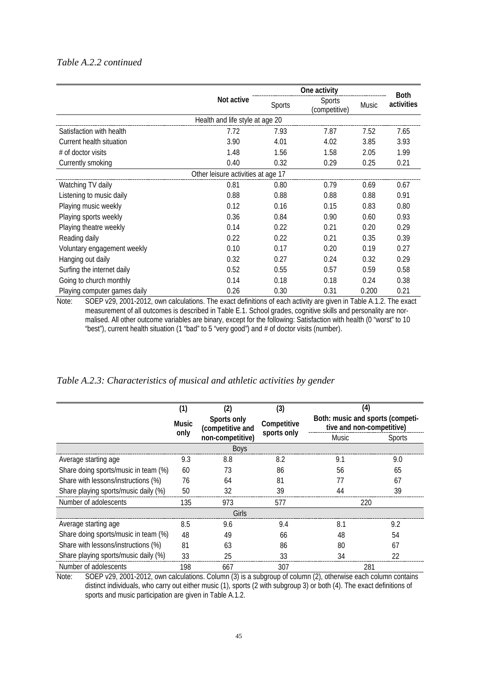#### *Table A.2.2 continued*

|                              |                                    | One activity  | <b>Both</b>                    |              |            |
|------------------------------|------------------------------------|---------------|--------------------------------|--------------|------------|
|                              | Not active                         | <b>Sports</b> | <b>Sports</b><br>(competitive) | <b>Music</b> | activities |
|                              | Health and life style at age 20    |               |                                |              |            |
| Satisfaction with health     | 7.72                               | 7.93          | 7.87                           | 7.52         | 7.65       |
| Current health situation     | 3.90                               | 4.01          | 4.02                           | 3.85         | 3.93       |
| # of doctor visits           | 1.48                               | 1.56          | 1.58                           | 2.05         | 1.99       |
| Currently smoking            | 0.40                               | 0.32          | 0.29                           | 0.25         | 0.21       |
|                              | Other leisure activities at age 17 |               |                                |              |            |
| Watching TV daily            | 0.81                               | 0.80          | 0.79                           | 0.69         | 0.67       |
| Listening to music daily     | 0.88                               | 0.88          | 0.88                           | 0.88         | 0.91       |
| Playing music weekly         | 0.12                               | 0.16          | 0.15                           | 0.83         | 0.80       |
| Playing sports weekly        | 0.36                               | 0.84          | 0.90                           | 0.60         | 0.93       |
| Playing theatre weekly       | 0.14                               | 0.22          | 0.21                           | 0.20         | 0.29       |
| Reading daily                | 0.22                               | 0.22          | 0.21                           | 0.35         | 0.39       |
| Voluntary engagement weekly  | 0.10                               | 0.17          | 0.20                           | 0.19         | 0.27       |
| Hanging out daily            | 0.32                               | 0.27          | 0.24                           | 0.32         | 0.29       |
| Surfing the internet daily   | 0.52                               | 0.55          | 0.57                           | 0.59         | 0.58       |
| Going to church monthly      | 0.14                               | 0.18          | 0.18                           | 0.24         | 0.38       |
| Playing computer games daily | 0.26                               | 0.30          | 0.31                           | 0.200        | 0.21       |

Note: SOEP v29, 2001-2012, own calculations. The exact definitions of each activity are given in Table A.1.2. The exact measurement of all outcomes is described in Table E.1. School grades, cognitive skills and personality are normalised. All other outcome variables are binary, except for the following: Satisfaction with health (0 "worst" to 10 "best"), current health situation (1 "bad" to 5 "very good") and # of doctor visits (number).

| Table A.2.3: Characteristics of musical and athletic activities by gender |  |  |
|---------------------------------------------------------------------------|--|--|
|                                                                           |  |  |

|                                      | (1)                                      | (2)              | (3)         | (4)                                                           |               |
|--------------------------------------|------------------------------------------|------------------|-------------|---------------------------------------------------------------|---------------|
|                                      | Sports only<br>Music<br>(competitive and |                  | Competitive | Both: music and sports (competi-<br>tive and non-competitive) |               |
|                                      | only                                     | non-competitive) | sports only | Music                                                         | <b>Sports</b> |
|                                      |                                          | <b>Boys</b>      |             |                                                               |               |
| Average starting age                 | 9.3                                      | 8.8              | 8.2         | 9.1                                                           | 9.0           |
| Share doing sports/music in team (%) | 60                                       | 73               | 86          | 56                                                            | 65            |
| Share with lessons/instructions (%)  | 76                                       | 64               | 81          | 77                                                            | 67            |
| Share playing sports/music daily (%) | 50                                       | 32               | 39          | 44                                                            | 39            |
| Number of adolescents                | 135                                      | 973              | 577         | 220                                                           |               |
|                                      |                                          | Girls            |             |                                                               |               |
| Average starting age                 | 8.5                                      | 9.6              | 9.4         | 8.1                                                           | 9.2           |
| Share doing sports/music in team (%) | 48                                       | 49               | 66          | 48                                                            | 54            |
| Share with lessons/instructions (%)  | 81                                       | 63               | 86          | 80                                                            | 67            |
| Share playing sports/music daily (%) | 33                                       | 25               | 33          | 34                                                            | 22            |
| Number of adolescents                | 198                                      | 667              | 307         | 281                                                           |               |

Note: SOEP v29, 2001-2012, own calculations. Column (3) is a subgroup of column (2), otherwise each column contains distinct individuals, who carry out either music (1), sports (2 with subgroup 3) or both (4). The exact definitions of sports and music participation are given in Table A.1.2.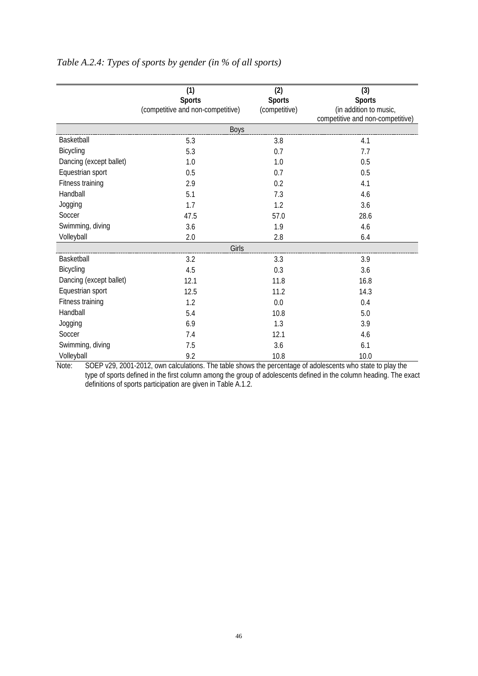|                         | (1)                               | (2)           | (3)                              |  |  |  |  |
|-------------------------|-----------------------------------|---------------|----------------------------------|--|--|--|--|
|                         | <b>Sports</b>                     | <b>Sports</b> | <b>Sports</b>                    |  |  |  |  |
|                         | (competitive and non-competitive) | (competitive) | (in addition to music,           |  |  |  |  |
|                         |                                   |               | competitive and non-competitive) |  |  |  |  |
| <b>Boys</b>             |                                   |               |                                  |  |  |  |  |
| Basketball              | 5.3                               | 3.8           | 4.1                              |  |  |  |  |
| Bicycling               | 5.3                               | 0.7           | 7.7                              |  |  |  |  |
| Dancing (except ballet) | 1.0                               | 1.0           | 0.5                              |  |  |  |  |
| Equestrian sport        | 0.5                               | 0.7           | 0.5                              |  |  |  |  |
| Fitness training        | 2.9                               | 0.2           | 4.1                              |  |  |  |  |
| Handball                | 5.1                               | 7.3           | 4.6                              |  |  |  |  |
| Jogging                 | 1.7                               | 1.2           | 3.6                              |  |  |  |  |
| Soccer                  | 47.5                              | 57.0          | 28.6                             |  |  |  |  |
| Swimming, diving        | 3.6                               | 1.9           | 4.6                              |  |  |  |  |
| Volleyball              | 2.0                               | 2.8           | 6.4                              |  |  |  |  |
|                         | Girls                             |               |                                  |  |  |  |  |
| Basketball              | 3.2                               | 3.3           | 3.9                              |  |  |  |  |
| Bicycling               | 4.5                               | 0.3           | 3.6                              |  |  |  |  |
| Dancing (except ballet) | 12.1                              | 11.8          | 16.8                             |  |  |  |  |
| Equestrian sport        | 12.5                              | 11.2          | 14.3                             |  |  |  |  |
| Fitness training        | 1.2                               | 0.0           | 0.4                              |  |  |  |  |
| Handball                | 5.4                               | 10.8          | 5.0                              |  |  |  |  |
| Jogging                 | 6.9                               | 1.3           | 3.9                              |  |  |  |  |
| Soccer                  | 7.4                               | 12.1          | 4.6                              |  |  |  |  |
| Swimming, diving        | 7.5                               | 3.6           | 6.1                              |  |  |  |  |
| Volleyball              | 9.2                               | 10.8          | 10.0                             |  |  |  |  |

### *Table A.2.4: Types of sports by gender (in % of all sports)*

Note: SOEP v29, 2001-2012, own calculations. The table shows the percentage of adolescents who state to play the type of sports defined in the first column among the group of adolescents defined in the column heading. The exact definitions of sports participation are given in Table A.1.2.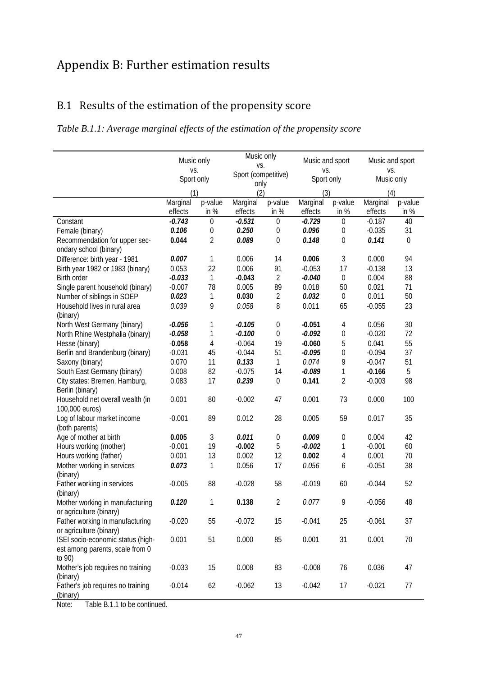# Appendix B: Further estimation results

# B.1 Results of the estimation of the propensity score

### *Table B.1.1: Average marginal effects of the estimation of the propensity score*

|                                                    | Music only<br>VS. |                | Music only | VS.                         |          | Music and sport   | Music and sport<br>VS. |                  |
|----------------------------------------------------|-------------------|----------------|------------|-----------------------------|----------|-------------------|------------------------|------------------|
|                                                    | Sport only        |                |            | Sport (competitive)<br>only |          | VS.<br>Sport only | Music only             |                  |
|                                                    | (1)               |                | (2)        |                             | (3)      |                   | (4)                    |                  |
|                                                    | Marginal          | p-value        | Marginal   | p-value                     | Marginal | p-value           | Marginal               | p-value          |
|                                                    | effects           | in $%$         | effects    | in $%$                      | effects  | in %              | effects                | in %             |
| Constant                                           | $-0.743$          | 0              | $-0.531$   | $\mathbf 0$                 | $-0.729$ | $\mathbf 0$       | $-0.187$               | 40               |
| Female (binary)                                    | 0.106             | 0              | 0.250      | 0                           | 0.096    | 0                 | $-0.035$               | 31               |
| Recommendation for upper sec-                      | 0.044             | $\overline{2}$ | 0.089      | $\boldsymbol{0}$            | 0.148    | $\mathbf 0$       | 0.141                  | $\boldsymbol{0}$ |
| ondary school (binary)                             |                   |                |            |                             |          |                   |                        |                  |
| Difference: birth year - 1981                      | 0.007             | $\mathbf{1}$   | 0.006      | 14                          | 0.006    | 3                 | 0.000                  | 94               |
| Birth year 1982 or 1983 (binary)                   | 0.053             | 22             | 0.006      | 91                          | $-0.053$ | 17                | $-0.138$               | 13               |
| Birth order                                        | $-0.033$          | 1              | $-0.043$   | $\overline{2}$              | $-0.040$ | $\mathbf 0$       | 0.004                  | 88               |
| Single parent household (binary)                   | $-0.007$          | 78             | 0.005      | 89                          | 0.018    | 50                | 0.021                  | 71               |
| Number of siblings in SOEP                         | 0.023             | 1              | 0.030      | $\overline{2}$              | 0.032    | $\boldsymbol{0}$  | 0.011                  | 50               |
| Household lives in rural area<br>(binary)          | 0.039             | 9              | 0.058      | 8                           | 0.011    | 65                | $-0.055$               | 23               |
| North West Germany (binary)                        | $-0.056$          | $\mathbf 1$    | $-0.105$   | $\boldsymbol{0}$            | $-0.051$ | 4                 | 0.056                  | 30               |
| North Rhine Westphalia (binary)                    | $-0.058$          | 1              | $-0.100$   | $\boldsymbol{0}$            | $-0.092$ | 0                 | $-0.020$               | 72               |
| Hesse (binary)                                     | $-0.058$          | 4              | $-0.064$   | 19                          | $-0.060$ | 5                 | 0.041                  | 55               |
| Berlin and Brandenburg (binary)                    | $-0.031$          | 45             | $-0.044$   | 51                          | $-0.095$ | 0                 | $-0.094$               | 37               |
| Saxony (binary)                                    | 0.070             | 11             | 0.133      | 1                           | 0.074    | 9                 | $-0.047$               | 51               |
| South East Germany (binary)                        | 0.008             | 82             | $-0.075$   | 14                          | $-0.089$ | 1                 | $-0.166$               | 5                |
| City states: Bremen, Hamburg,                      | 0.083             | 17             | 0.239      | $\mathbf 0$                 | 0.141    | $\overline{2}$    | $-0.003$               | 98               |
| Berlin (binary)                                    |                   |                |            |                             |          |                   |                        |                  |
| Household net overall wealth (in<br>100,000 euros) | 0.001             | 80             | $-0.002$   | 47                          | 0.001    | 73                | 0.000                  | 100              |
| Log of labour market income<br>(both parents)      | $-0.001$          | 89             | 0.012      | 28                          | 0.005    | 59                | 0.017                  | 35               |
| Age of mother at birth                             | 0.005             | $\mathfrak{Z}$ | 0.011      | $\boldsymbol{0}$            | 0.009    | $\boldsymbol{0}$  | 0.004                  | 42               |
| Hours working (mother)                             | $-0.001$          | 19             | $-0.002$   | 5                           | $-0.002$ | 1                 | $-0.001$               | 60               |
| Hours working (father)                             | 0.001             | 13             | 0.002      | 12                          | 0.002    | 4                 | 0.001                  | 70               |
| Mother working in services                         | 0.073             | $\mathbf{1}$   | 0.056      | 17                          | 0.056    | 6                 | $-0.051$               | 38               |
| (binary)                                           |                   |                |            |                             |          |                   |                        |                  |
| Father working in services                         | $-0.005$          | 88             | $-0.028$   | 58                          | $-0.019$ | 60                | $-0.044$               | 52               |
| (binary)                                           |                   |                |            |                             |          |                   |                        |                  |
| Mother working in manufacturing                    | 0.120             | $\mathbf{1}$   | 0.138      | $\overline{2}$              | 0.077    | 9                 | $-0.056$               | 48               |
| or agriculture (binary)                            |                   |                |            |                             |          |                   |                        |                  |
| Father working in manufacturing                    | $-0.020$          | 55             | $-0.072$   | 15                          | $-0.041$ | 25                | $-0.061$               | 37               |
| or agriculture (binary)                            |                   |                |            |                             |          |                   |                        |                  |
| ISEI socio-economic status (high-                  | 0.001             | 51             | 0.000      | 85                          | 0.001    | 31                | 0.001                  | 70               |
| est among parents, scale from 0                    |                   |                |            |                             |          |                   |                        |                  |
| to 90)                                             |                   |                |            |                             |          |                   |                        |                  |
| Mother's job requires no training                  | $-0.033$          | 15             | 0.008      | 83                          | $-0.008$ | 76                | 0.036                  | 47               |
| (binary)                                           |                   |                |            |                             |          |                   |                        |                  |
| Father's job requires no training<br>(binary)      | $-0.014$          | 62             | $-0.062$   | 13                          | $-0.042$ | 17                | $-0.021$               | 77               |

Note: Table B.1.1 to be continued.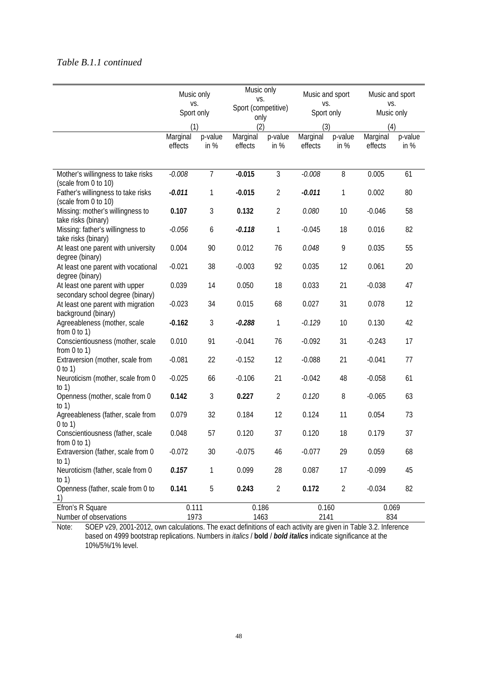#### *Table B.1.1 continued*

|                                                                    | Music only<br>Music only<br>VS. |                   |                     |                     | Music and sport     |                   | Music and sport     |                   |  |
|--------------------------------------------------------------------|---------------------------------|-------------------|---------------------|---------------------|---------------------|-------------------|---------------------|-------------------|--|
|                                                                    | VS.<br>Sport only               |                   |                     | Sport (competitive) |                     | VS.<br>Sport only | VS.<br>Music only   |                   |  |
|                                                                    | (1)                             |                   | only<br>(2)         |                     | (3)                 |                   | (4)                 |                   |  |
|                                                                    | Marginal<br>effects             | p-value<br>in $%$ | Marginal<br>effects | p-value<br>in %     | Marginal<br>effects | p-value<br>in $%$ | Marginal<br>effects | p-value<br>in $%$ |  |
|                                                                    |                                 |                   |                     |                     |                     |                   |                     |                   |  |
| Mother's willingness to take risks<br>(scale from 0 to 10)         | $-0.008$                        | $\overline{7}$    | $-0.015$            | $\mathfrak{Z}$      | $-0.008$            | 8                 | 0.005               | 61                |  |
| Father's willingness to take risks<br>(scale from 0 to 10)         | $-0.011$                        | 1                 | $-0.015$            | $\overline{2}$      | $-0.011$            | 1                 | 0.002               | 80                |  |
| Missing: mother's willingness to<br>take risks (binary)            | 0.107                           | 3                 | 0.132               | $\overline{2}$      | 0.080               | 10                | $-0.046$            | 58                |  |
| Missing: father's willingness to<br>take risks (binary)            | $-0.056$                        | 6                 | $-0.118$            | 1                   | $-0.045$            | 18                | 0.016               | 82                |  |
| At least one parent with university<br>degree (binary)             | 0.004                           | 90                | 0.012               | 76                  | 0.048               | 9                 | 0.035               | 55                |  |
| At least one parent with vocational<br>degree (binary)             | $-0.021$                        | 38                | $-0.003$            | 92                  | 0.035               | 12                | 0.061               | 20                |  |
| At least one parent with upper<br>secondary school degree (binary) | 0.039                           | 14                | 0.050               | 18                  | 0.033               | 21                | $-0.038$            | 47                |  |
| At least one parent with migration<br>background (binary)          | $-0.023$                        | 34                | 0.015               | 68                  | 0.027               | 31                | 0.078               | 12                |  |
| Agreeableness (mother, scale<br>from $0$ to $1$ )                  | $-0.162$                        | 3                 | $-0.288$            | 1                   | $-0.129$            | 10                | 0.130               | 42                |  |
| Conscientiousness (mother, scale<br>from $0$ to $1$ )              | 0.010                           | 91                | $-0.041$            | 76                  | $-0.092$            | 31                | $-0.243$            | 17                |  |
| Extraversion (mother, scale from<br>$0$ to 1)                      | $-0.081$                        | 22                | $-0.152$            | 12                  | $-0.088$            | 21                | $-0.041$            | 77                |  |
| Neuroticism (mother, scale from 0<br>to $1)$                       | $-0.025$                        | 66                | $-0.106$            | 21                  | $-0.042$            | 48                | $-0.058$            | 61                |  |
| Openness (mother, scale from 0<br>to 1)                            | 0.142                           | 3                 | 0.227               | 2                   | 0.120               | 8                 | $-0.065$            | 63                |  |
| Agreeableness (father, scale from<br>$0$ to 1)                     | 0.079                           | 32                | 0.184               | 12                  | 0.124               | 11                | 0.054               | 73                |  |
| Conscientiousness (father, scale<br>from $0$ to $1$ )              | 0.048                           | 57                | 0.120               | 37                  | 0.120               | 18                | 0.179               | 37                |  |
| Extraversion (father, scale from 0<br>to $1)$                      | $-0.072$                        | 30                | $-0.075$            | 46                  | $-0.077$            | 29                | 0.059               | 68                |  |
| Neuroticism (father, scale from 0<br>to $1)$                       | 0.157                           | 1                 | 0.099               | 28                  | 0.087               | 17                | $-0.099$            | 45                |  |
| Openness (father, scale from 0 to<br>1)                            | 0.141                           | 5                 | 0.243               | $\overline{2}$      | 0.172               | $\overline{2}$    | $-0.034$            | 82                |  |
| Efron's R Square<br>Number of observations                         | 0.111<br>1973                   |                   | 0.186<br>1463       |                     | 0.160<br>2141       |                   | 0.069<br>834        |                   |  |

Note: SOEP v29, 2001-2012, own calculations. The exact definitions of each activity are given in Table 3.2. Inference based on 4999 bootstrap replications. Numbers in *italics* / **bold** / *bold italics* indicate significance at the 10%/5%/1% level.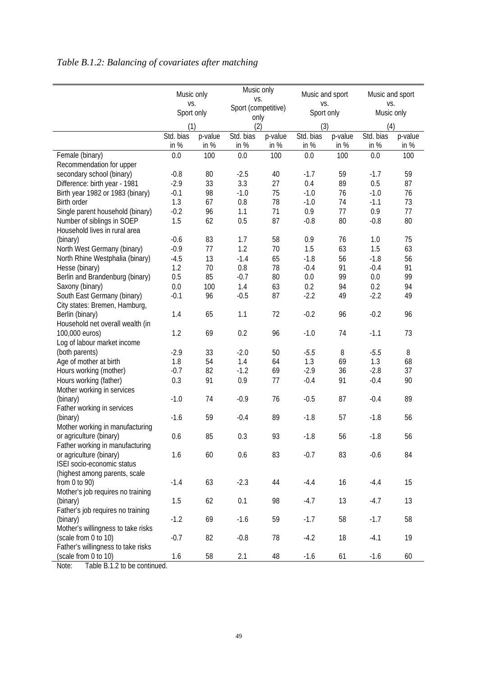# *Table B.1.2: Balancing of covariates after matching*

|                                    | Music only |         | Music only                 |         | Music and sport |         | Music and sport |         |
|------------------------------------|------------|---------|----------------------------|---------|-----------------|---------|-----------------|---------|
|                                    | VS.        |         | VS.<br>Sport (competitive) |         | VS.             |         | VS.             |         |
|                                    | Sport only |         | only                       |         | Sport only      |         | Music only      |         |
|                                    | (1)        |         | (2)                        |         | (3)             |         | (4)             |         |
|                                    | Std. bias  | p-value | Std. bias                  | p-value | Std. bias       | p-value | Std. bias       | p-value |
|                                    | in %       | in $%$  | in $%$                     | in $%$  | in $%$          | in $%$  | in $%$          | in $%$  |
| Female (binary)                    | 0.0        | 100     | 0.0                        | 100     | 0.0             | 100     | 0.0             | 100     |
| Recommendation for upper           |            |         |                            |         |                 |         |                 |         |
| secondary school (binary)          | $-0.8$     | 80      | $-2.5$                     | 40      | $-1.7$          | 59      | $-1.7$          | 59      |
| Difference: birth year - 1981      | $-2.9$     | 33      | 3.3                        | 27      | 0.4             | 89      | 0.5             | 87      |
| Birth year 1982 or 1983 (binary)   | $-0.1$     | 98      | $-1.0$                     | 75      | $-1.0$          | 76      | $-1.0$          | 76      |
| Birth order                        | 1.3        | 67      | 0.8                        | 78      | $-1.0$          | 74      | $-1.1$          | 73      |
| Single parent household (binary)   | $-0.2$     | 96      | 1.1                        | 71      | 0.9             | 77      | 0.9             | 77      |
| Number of siblings in SOEP         | 1.5        | 62      | 0.5                        | 87      | $-0.8$          | 80      | $-0.8$          | 80      |
| Household lives in rural area      |            |         |                            |         |                 |         |                 |         |
| (binary)                           | $-0.6$     | 83      | 1.7                        | 58      | 0.9             | 76      | 1.0             | 75      |
| North West Germany (binary)        | $-0.9$     | 77      | 1.2                        | 70      | 1.5             | 63      | 1.5             | 63      |
| North Rhine Westphalia (binary)    | $-4.5$     | 13      | $-1.4$                     | 65      | $-1.8$          | 56      | $-1.8$          | 56      |
| Hesse (binary)                     | 1.2        | 70      | 0.8                        | 78      | $-0.4$          | 91      | $-0.4$          | 91      |
| Berlin and Brandenburg (binary)    | 0.5        | 85      | $-0.7$                     | 80      | 0.0             | 99      | 0.0             | 99      |
| Saxony (binary)                    | 0.0        | 100     | 1.4                        | 63      | 0.2             | 94      | 0.2             | 94      |
| South East Germany (binary)        | $-0.1$     | 96      | $-0.5$                     | 87      | $-2.2$          | 49      | $-2.2$          | 49      |
| City states: Bremen, Hamburg,      |            |         |                            |         |                 |         |                 |         |
| Berlin (binary)                    | 1.4        | 65      | 1.1                        | 72      | $-0.2$          | 96      | $-0.2$          | 96      |
| Household net overall wealth (in   |            |         |                            |         |                 |         |                 |         |
| 100,000 euros)                     | 1.2        | 69      | 0.2                        | 96      | $-1.0$          | 74      | $-1.1$          | 73      |
| Log of labour market income        |            |         |                            |         |                 |         |                 |         |
| (both parents)                     | $-2.9$     | 33      | $-2.0$                     | 50      | $-5.5$          | 8       | $-5.5$          | 8       |
| Age of mother at birth             | 1.8        | 54      | 1.4                        | 64      | 1.3             | 69      | 1.3             | 68      |
| Hours working (mother)             | $-0.7$     | 82      | $-1.2$                     | 69      | $-2.9$          | 36      | $-2.8$          | 37      |
| Hours working (father)             | 0.3        | 91      | 0.9                        | 77      | $-0.4$          | 91      | $-0.4$          | 90      |
| Mother working in services         |            |         |                            |         |                 |         |                 |         |
| (binary)                           | $-1.0$     | 74      | $-0.9$                     | 76      | $-0.5$          | 87      | $-0.4$          | 89      |
| Father working in services         |            |         |                            |         |                 |         |                 |         |
| (binary)                           | $-1.6$     | 59      | $-0.4$                     | 89      | $-1.8$          | 57      | $-1.8$          | 56      |
| Mother working in manufacturing    |            |         |                            |         |                 |         |                 |         |
| or agriculture (binary)            | 0.6        | 85      | 0.3                        | 93      | $-1.8$          | 56      | $-1.8$          | 56      |
| Father working in manufacturing    |            |         |                            |         |                 |         |                 |         |
| or agriculture (binary)            | 1.6        | 60      | 0.6                        | 83      | $-0.7$          | 83      | $-0.6$          | 84      |
| ISEI socio-economic status         |            |         |                            |         |                 |         |                 |         |
| (highest among parents, scale      |            |         |                            |         |                 |         |                 |         |
| from $0$ to $90$ )                 | $-1.4$     | 63      | $-2.3$                     | 44      | $-4.4$          | 16      | $-4.4$          | 15      |
| Mother's job requires no training  |            |         |                            |         |                 |         |                 |         |
| (binary)                           | 1.5        | 62      | 0.1                        | 98      | $-4.7$          | 13      | $-4.7$          | 13      |
| Father's job requires no training  |            |         |                            |         |                 |         |                 |         |
| (binary)                           | $-1.2$     | 69      | $-1.6$                     | 59      | $-1.7$          | 58      | $-1.7$          | 58      |
| Mother's willingness to take risks |            |         |                            |         |                 |         |                 |         |
| (scale from 0 to 10)               | $-0.7$     | 82      | $-0.8$                     | 78      | $-4.2$          | 18      | $-4.1$          | 19      |
| Father's willingness to take risks |            |         |                            |         |                 |         |                 |         |
| (scale from 0 to 10)               | 1.6        | 58      | 2.1                        | 48      | $-1.6$          | 61      | $-1.6$          | 60      |

Note: Table B.1.2 to be continued.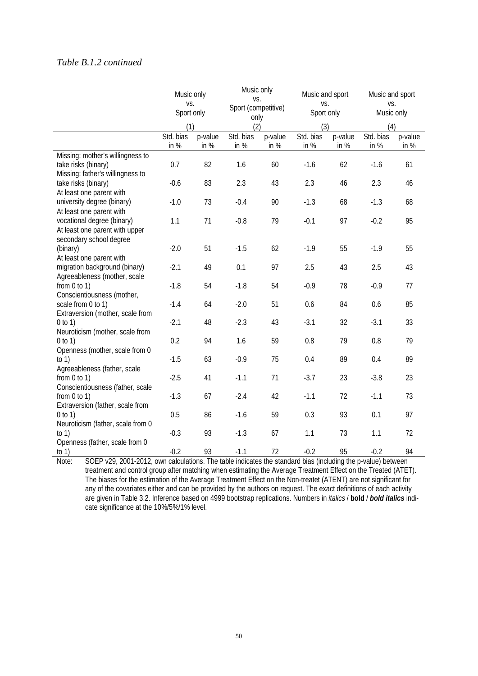#### *Table B.1.2 continued*

|                                   | Music only<br>VS.<br>Sport only |         |             | Music only<br>VS.<br>Sport (competitive) |           | Music and sport<br>VS.<br>Sport only | Music and sport<br>VS.<br>Music only |         |
|-----------------------------------|---------------------------------|---------|-------------|------------------------------------------|-----------|--------------------------------------|--------------------------------------|---------|
|                                   | (1)                             |         | only<br>(2) |                                          | (3)       |                                      | (4)                                  |         |
|                                   | Std. bias                       | p-value | Std. bias   | p-value                                  | Std. bias | p-value                              | Std. bias                            | p-value |
|                                   | in $%$                          | in $%$  | in %        | in $%$                                   | in %      | in %                                 | in %                                 | in $%$  |
| Missing: mother's willingness to  |                                 |         |             |                                          |           |                                      |                                      |         |
| take risks (binary)               | 0.7                             | 82      | 1.6         | 60                                       | $-1.6$    | 62                                   | $-1.6$                               | 61      |
| Missing: father's willingness to  |                                 |         |             |                                          |           |                                      |                                      |         |
| take risks (binary)               | $-0.6$                          | 83      | 2.3         | 43                                       | 2.3       | 46                                   | 2.3                                  | 46      |
| At least one parent with          |                                 |         |             |                                          |           |                                      |                                      |         |
| university degree (binary)        | $-1.0$                          | 73      | $-0.4$      | 90                                       | $-1.3$    | 68                                   | $-1.3$                               | 68      |
| At least one parent with          |                                 |         |             |                                          |           |                                      |                                      |         |
| vocational degree (binary)        | 1.1                             | 71      | $-0.8$      | 79                                       | $-0.1$    | 97                                   | $-0.2$                               | 95      |
| At least one parent with upper    |                                 |         |             |                                          |           |                                      |                                      |         |
| secondary school degree           |                                 |         |             |                                          |           |                                      |                                      |         |
| (binary)                          | $-2.0$                          | 51      | $-1.5$      | 62                                       | $-1.9$    | 55                                   | $-1.9$                               | 55      |
| At least one parent with          |                                 |         |             |                                          |           |                                      |                                      |         |
| migration background (binary)     | $-2.1$                          | 49      | 0.1         | 97                                       | 2.5       | 43                                   | 2.5                                  | 43      |
| Agreeableness (mother, scale      |                                 |         |             |                                          |           |                                      |                                      |         |
| from $0$ to $1$ )                 | $-1.8$                          | 54      | $-1.8$      | 54                                       | $-0.9$    | 78                                   | $-0.9$                               | 77      |
| Conscientiousness (mother,        |                                 |         |             |                                          |           |                                      |                                      |         |
| scale from 0 to 1)                | $-1.4$                          | 64      | $-2.0$      | 51                                       | 0.6       | 84                                   | 0.6                                  | 85      |
| Extraversion (mother, scale from  |                                 |         |             |                                          |           |                                      |                                      |         |
| $0$ to 1)                         | $-2.1$                          | 48      | $-2.3$      | 43                                       | $-3.1$    | 32                                   | $-3.1$                               | 33      |
| Neuroticism (mother, scale from   |                                 |         |             |                                          |           |                                      |                                      |         |
| $0$ to 1)                         | 0.2                             | 94      | 1.6         | 59                                       | 0.8       | 79                                   | 0.8                                  | 79      |
| Openness (mother, scale from 0    |                                 |         |             |                                          |           |                                      |                                      |         |
| to $1)$                           | $-1.5$                          | 63      | $-0.9$      | 75                                       | 0.4       | 89                                   | 0.4                                  | 89      |
| Agreeableness (father, scale      |                                 |         |             |                                          |           |                                      |                                      |         |
| from $0$ to $1$ )                 | $-2.5$                          | 41      | $-1.1$      | 71                                       | $-3.7$    | 23                                   | $-3.8$                               | 23      |
| Conscientiousness (father, scale  |                                 |         |             |                                          |           |                                      |                                      |         |
| from $0$ to $1$ )                 | $-1.3$                          | 67      | $-2.4$      | 42                                       | $-1.1$    | 72                                   | $-1.1$                               | 73      |
| Extraversion (father, scale from  |                                 |         |             |                                          |           |                                      |                                      |         |
| $0$ to 1)                         | 0.5                             | 86      | $-1.6$      | 59                                       | 0.3       | 93                                   | 0.1                                  | 97      |
| Neuroticism (father, scale from 0 |                                 |         |             |                                          |           |                                      |                                      |         |
| to $1)$                           | $-0.3$                          | 93      | $-1.3$      | 67                                       | 1.1       | 73                                   | 1.1                                  | 72      |
| Openness (father, scale from 0    |                                 |         |             |                                          |           |                                      |                                      |         |
| to $1)$                           | $-0.2$                          | 93      | $-1.1$      | 72                                       | $-0.2$    | 95                                   | $-0.2$                               | 94      |

Note: SOEP v29, 2001-2012, own calculations. The table indicates the standard bias (including the p-value) between treatment and control group after matching when estimating the Average Treatment Effect on the Treated (ATET). The biases for the estimation of the Average Treatment Effect on the Non-treatet (ATENT) are not significant for any of the covariates either and can be provided by the authors on request. The exact definitions of each activity are given in Table 3.2. Inference based on 4999 bootstrap replications. Numbers in *italics* / **bold** / *bold italics* indicate significance at the 10%/5%/1% level.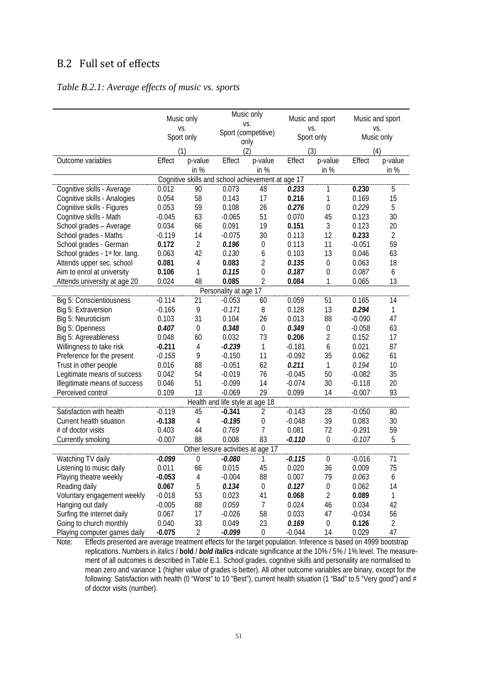## B.2 Full set of effects

#### *Table B.2.1: Average effects of music vs. sports*

|                                            | Music only<br>VS. |                  | Music only<br>VS.                  |                                                   | Music and sport<br>VS. |                  | Music and sport<br>VS. |                |
|--------------------------------------------|-------------------|------------------|------------------------------------|---------------------------------------------------|------------------------|------------------|------------------------|----------------|
|                                            |                   | Sport only       |                                    | Sport (competitive)<br>only                       |                        | Sport only       |                        | Music only     |
|                                            |                   | (1)              |                                    | (2)                                               |                        | (3)              | (4)                    |                |
| Outcome variables                          | Effect            | p-value          | Effect                             | p-value                                           | Effect                 | p-value          | Effect                 | p-value        |
|                                            |                   | in $%$           |                                    | in $%$                                            |                        | in $%$           |                        | in $%$         |
|                                            |                   |                  |                                    | Cognitive skills and school achievement at age 17 |                        |                  |                        |                |
| Cognitive skills - Average                 | 0.012             | 90               | 0.073                              | 48                                                | 0.233                  | 1                | 0.230                  | 5              |
| Cognitive skills - Analogies               | 0.054             | 58               | 0.143                              | 17                                                | 0.216                  | 1                | 0.169                  | 15             |
| Cognitive skills - Figures                 | 0.053             | 59               | 0.108                              | 26                                                | 0.276                  | $\boldsymbol{0}$ | 0.229                  | 5              |
| Cognitive skills - Math                    | $-0.045$          | 63               | $-0.065$                           | 51                                                | 0.070                  | 45               | 0.123                  | 30             |
| School grades - Average                    | 0.034             | 66               | 0.091                              | 19                                                | 0.151                  | $\mathfrak{Z}$   | 0.123                  | 20             |
| School grades - Maths                      | $-0.119$          | 14               | $-0.075$                           | 30                                                | 0.113                  | 12               | 0.233                  | $\overline{2}$ |
| School grades - German                     | 0.172             | $\overline{2}$   | 0.196                              | $\boldsymbol{0}$                                  | 0.113                  | 11               | $-0.051$               | 59             |
| School grades - 1 <sup>st</sup> for. lang. | 0.063             | 42               | 0.130                              | 6                                                 | 0.103                  | 13               | 0.046                  | 63             |
| Attends upper sec. school                  | 0.081             | 4                | 0.083                              | $\overline{2}$                                    | 0.135                  | $\mathbf 0$      | 0.063                  | 18             |
| Aim to enrol at university                 | 0.106             | 1                | 0.115                              | $\boldsymbol{0}$                                  | 0.187                  | $\mathbf 0$      | 0.087                  | 6              |
| Attends university at age 20               | 0.024             | 48               | 0.085                              | 2                                                 | 0.084                  | 1                | 0.065                  | 13             |
|                                            |                   |                  | Personality at age 17              |                                                   |                        |                  |                        |                |
| Big 5: Conscientiousness                   | $-0.114$          | 21               | $-0.053$                           | 60                                                | 0.059                  | 51               | 0.165                  | 14             |
| Big 5: Extraversion                        | $-0.165$          | 9                | $-0.171$                           | 8                                                 | 0.128                  | 13               | 0.294                  | 1              |
| Big 5: Neuroticism                         | 0.103             | 31               | 0.104                              | 26                                                | 0.013                  | 88               | $-0.090$               | 47             |
| Big 5: Openness                            | 0.407             | $\boldsymbol{0}$ | 0.348                              | $\boldsymbol{0}$                                  | 0.349                  | $\boldsymbol{0}$ | $-0.058$               | 63             |
| Big 5: Agreeableness                       | 0.048             | 60               | 0.032                              | 73                                                | 0.206                  | $\overline{2}$   | 0.152                  | 17             |
| Willingness to take risk                   | $-0.211$          | 4                | $-0.239$                           | 1                                                 | $-0.181$               | 6                | 0.021                  | 87             |
| Preference for the present                 | $-0.155$          | 9                | $-0.150$                           | 11                                                | $-0.092$               | 35               | 0.062                  | 61             |
| Trust in other people                      | 0.016             | 88               | $-0.051$                           | 62                                                | 0.211                  | $\mathbf{1}$     | 0.194                  | 10             |
| Legitimate means of success                | 0.042             | 54               | $-0.019$                           | 76                                                | $-0.045$               | 50               | $-0.082$               | 35             |
| Illegitimate means of success              | 0.046             | 51               | $-0.099$                           | 14                                                | $-0.074$               | 30               | $-0.118$               | 20             |
| Perceived control                          | 0.109             | 13               | $-0.069$                           | 29                                                | 0.099                  | 14               | $-0.007$               | 93             |
|                                            |                   |                  | Health and life style at age 18    |                                                   |                        |                  |                        |                |
| Satisfaction with health                   | $-0.119$          | 45               | $-0.341$                           | 2                                                 | $-0.143$               | 28               | $-0.050$               | 80             |
| Current health situation                   | $-0.138$          | 4                | $-0.195$                           | 0                                                 | $-0.048$               | 39               | 0.083                  | 30             |
| # of doctor visits                         | 0.403             | 44               | 0.769                              | 7                                                 | 0.081                  | 72               | $-0.291$               | 59             |
| Currently smoking                          | $-0.007$          | 88               | 0.008                              | 83                                                | $-0.110$               | $\mathbf 0$      | $-0.107$               | 5              |
|                                            |                   |                  | Other leisure activities at age 17 |                                                   |                        |                  |                        |                |
| Watching TV daily                          | $-0.099$          | $\mathbf 0$      | $-0.080$                           | 1                                                 | $-0.115$               | $\boldsymbol{0}$ | $-0.016$               | 71             |
| Listening to music daily                   | 0.011             | 66               | 0.015                              | 45                                                | 0.020                  | 36               | 0.009                  | 75             |
| Playing theatre weekly                     | $-0.053$          | $\sqrt{4}$       | $-0.004$                           | 88                                                | 0.007                  | 79               | 0.063                  | 6              |
| Reading daily                              | 0.067             | 5                | 0.134                              | $\boldsymbol{0}$                                  | 0.127                  | $\boldsymbol{0}$ | 0.062                  | 14             |
| Voluntary engagement weekly                | $-0.018$          | 53               | 0.023                              | 41                                                | 0.068                  | $\overline{2}$   | 0.089                  | $\mathbf{1}$   |
| Hanging out daily                          | $-0.005$          | 88               | 0.059                              | $\overline{7}$                                    | 0.024                  | 46               | 0.034                  | 42             |
| Surfing the internet daily                 | 0.067             | 17               | $-0.026$                           | 58                                                | 0.033                  | 47               | $-0.034$               | 56             |
| Going to church monthly                    | 0.040             | 33               | 0.049                              | 23                                                | 0.169                  | $\boldsymbol{0}$ | 0.126                  | $\overline{2}$ |
| Playing computer games daily               | $-0.075$          | 2                | $-0.099$                           | $\boldsymbol{0}$                                  | $-0.044$               | 14               | 0.029                  | 47             |

Note: Effects presented are average treatment effects for the target population. Inference is based on 4999 bootstrap replications. Numbers in *italics* / **bold** / *bold italics* indicate significance at the 10% / 5% / 1% level. The measurement of all outcomes is described in Table E.1. School grades, cognitive skills and personality are normalised to mean zero and variance 1 (higher value of grades is better). All other outcome variables are binary, except for the following: Satisfaction with health (0 "Worst" to 10 "Best"), current health situation (1 "Bad" to 5 "Very good") and # of doctor visits (number).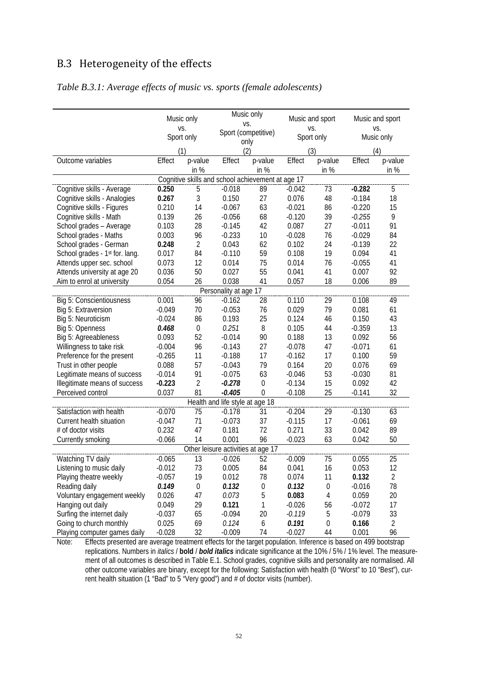### B.3 Heterogeneity of the effects

|                                            |                       | Music only       |                                    | Music only<br>VS.                                 |          | Music and sport  |          | Music and sport |
|--------------------------------------------|-----------------------|------------------|------------------------------------|---------------------------------------------------|----------|------------------|----------|-----------------|
|                                            |                       | VS.              |                                    | Sport (competitive)                               |          | VS.              |          | VS.             |
|                                            |                       | Sport only       |                                    | only                                              |          | Sport only       |          | Music only      |
|                                            |                       | (1)              |                                    | (2)                                               |          | (3)              |          | (4)             |
| Outcome variables                          | Effect                | p-value          | Effect                             | p-value                                           | Effect   | p-value          | Effect   | p-value         |
|                                            |                       | in $%$           |                                    | in $%$                                            |          | in $%$           |          | in $%$          |
|                                            |                       |                  |                                    | Cognitive skills and school achievement at age 17 |          |                  |          |                 |
| Cognitive skills - Average                 | 0.250                 | 5                | $-0.018$                           | 89                                                | $-0.042$ | 73               | $-0.282$ | 5               |
| Cognitive skills - Analogies               | 0.267                 | 3                | 0.150                              | 27                                                | 0.076    | 48               | $-0.184$ | 18              |
| Cognitive skills - Figures                 | 0.210                 | 14               | $-0.067$                           | 63                                                | $-0.021$ | 86               | $-0.220$ | 15              |
| Cognitive skills - Math                    | 0.139                 | 26               | $-0.056$                           | 68                                                | $-0.120$ | 39               | $-0.255$ | 9               |
| School grades - Average                    | 0.103                 | 28               | $-0.145$                           | 42                                                | 0.087    | 27               | $-0.011$ | 91              |
| School grades - Maths                      | 0.003                 | 96               | $-0.233$                           | 10                                                | $-0.028$ | 76               | $-0.029$ | 84              |
| School grades - German                     | 0.248                 | $\overline{2}$   | 0.043                              | 62                                                | 0.102    | 24               | $-0.139$ | 22              |
| School grades - 1 <sup>st</sup> for. lang. | 0.017                 | 84               | $-0.110$                           | 59                                                | 0.108    | 19               | 0.094    | 41              |
| Attends upper sec. school                  | 0.073                 | 12               | 0.014                              | 75                                                | 0.014    | 76               | $-0.055$ | 41              |
| Attends university at age 20               | 0.036                 | 50               | 0.027                              | 55                                                | 0.041    | 41               | 0.007    | 92              |
| Aim to enrol at university                 | 0.054                 | 26               | 0.038                              | 41                                                | 0.057    | 18               | 0.006    | 89              |
|                                            | Personality at age 17 |                  |                                    |                                                   |          |                  |          |                 |
| Big 5: Conscientiousness                   | 0.001                 | 96               | $-0.162$                           | 28                                                | 0.110    | 29               | 0.108    | 49              |
| Big 5: Extraversion                        | $-0.049$              | 70               | $-0.053$                           | 76                                                | 0.029    | 79               | 0.081    | 61              |
| Big 5: Neuroticism                         | $-0.024$              | 86               | 0.193                              | 25                                                | 0.124    | 46               | 0.150    | 43              |
| Big 5: Openness                            | 0.468                 | $\mathbf 0$      | 0.251                              | 8                                                 | 0.105    | 44               | $-0.359$ | 13              |
| Big 5: Agreeableness                       | 0.093                 | 52               | $-0.014$                           | 90                                                | 0.188    | 13               | 0.092    | 56              |
| Willingness to take risk                   | $-0.004$              | 96               | $-0.143$                           | 27                                                | $-0.078$ | 47               | $-0.071$ | 61              |
| Preference for the present                 | $-0.265$              | 11               | $-0.188$                           | 17                                                | $-0.162$ | 17               | 0.100    | 59              |
| Trust in other people                      | 0.088                 | 57               | $-0.043$                           | 79                                                | 0.164    | 20               | 0.076    | 69              |
| Legitimate means of success                | $-0.014$              | 91               | $-0.075$                           | 63                                                | $-0.046$ | 53               | $-0.030$ | 81              |
| Illegitimate means of success              | $-0.223$              | $\overline{2}$   | $-0.278$                           | 0                                                 | $-0.134$ | 15               | 0.092    | 42              |
| Perceived control                          | 0.037                 | 81               | $-0.405$                           | 0                                                 | $-0.108$ | 25               | $-0.141$ | 32              |
|                                            |                       |                  | Health and life style at age 18    |                                                   |          |                  |          |                 |
| Satisfaction with health                   | $-0.070$              | 75               | $-0.178$                           | 31                                                | $-0.204$ | 29               | $-0.130$ | 63              |
| Current health situation                   | $-0.047$              | 71               | $-0.073$                           | 37                                                | $-0.115$ | 17               | $-0.061$ | 69              |
| # of doctor visits                         | 0.232                 | 47               | 0.181                              | 72                                                | 0.271    | 33               | 0.042    | 89              |
| Currently smoking                          | $-0.066$              | 14               | 0.001                              | 96                                                | $-0.023$ | 63               | 0.042    | 50              |
|                                            |                       |                  | Other leisure activities at age 17 |                                                   |          |                  |          |                 |
| Watching TV daily                          | $-0.065$              | 13               | $-0.026$                           | 52                                                | $-0.009$ | 75               | 0.055    | 25              |
| Listening to music daily                   | $-0.012$              | 73               | 0.005                              | 84                                                | 0.041    | 16               | 0.053    | 12              |
| Playing theatre weekly                     | $-0.057$              | 19               | 0.012                              | 78                                                | 0.074    | 11               | 0.132    | $\overline{2}$  |
| Reading daily                              | 0.149                 | $\boldsymbol{0}$ | 0.132                              | $\boldsymbol{0}$                                  | 0.132    | $\boldsymbol{0}$ | $-0.016$ | 78              |
| Voluntary engagement weekly                | 0.026                 | 47               | 0.073                              | 5                                                 | 0.083    | $\overline{4}$   | 0.059    | 20              |
| Hanging out daily                          | 0.049                 | 29               | 0.121                              | 1                                                 | $-0.026$ | 56               | $-0.072$ | 17              |
| Surfing the internet daily                 | $-0.037$              | 65               | $-0.094$                           | 20                                                | $-0.119$ | 5                | $-0.079$ | 33              |
| Going to church monthly                    | 0.025                 | 69               | 0.124                              | 6                                                 | 0.191    | $\mathbf 0$      | 0.166    | $\overline{2}$  |
| Playing computer games daily               | $-0.028$              | 32               | $-0.009$                           | 74                                                | $-0.027$ | 44               | 0.001    | 96              |

### *Table B.3.1: Average effects of music vs. sports (female adolescents)*

Note: Effects presented are average treatment effects for the target population. Inference is based on 499 bootstrap replications. Numbers in *italics* / **bold** / *bold italics* indicate significance at the 10% / 5% / 1% level. The measurement of all outcomes is described in Table E.1. School grades, cognitive skills and personality are normalised. All other outcome variables are binary, except for the following: Satisfaction with health (0 "Worst" to 10 "Best"), current health situation (1 "Bad" to 5 "Very good") and  $#$  of doctor visits (number).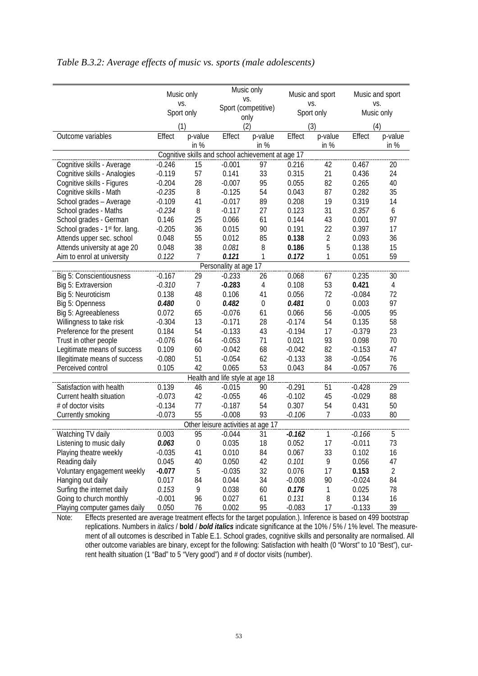|                                | Music only |                  | Music only<br>VS.                  |                                                   | Music and sport |                | Music and sport |                |
|--------------------------------|------------|------------------|------------------------------------|---------------------------------------------------|-----------------|----------------|-----------------|----------------|
|                                |            | VS.              |                                    | Sport (competitive)                               |                 | VS.            |                 | VS.            |
|                                |            | Sport only       |                                    | only                                              |                 | Sport only     |                 | Music only     |
|                                |            | (1)              |                                    | (2)                                               |                 | (3)            |                 | (4)            |
| Outcome variables              | Effect     | p-value          | Effect                             | p-value                                           | Effect          | p-value        | Effect          | p-value        |
|                                |            | in %             |                                    | in $%$                                            |                 | in $%$         |                 | in $%$         |
|                                |            |                  |                                    | Cognitive skills and school achievement at age 17 |                 |                |                 |                |
| Cognitive skills - Average     | $-0.246$   | 15               | $-0.001$                           | 97                                                | 0.216           | 42             | 0.467           | 20             |
| Cognitive skills - Analogies   | $-0.119$   | 57               | 0.141                              | 33                                                | 0.315           | 21             | 0.436           | 24             |
| Cognitive skills - Figures     | $-0.204$   | 28               | $-0.007$                           | 95                                                | 0.055           | 82             | 0.265           | 40             |
| Cognitive skills - Math        | $-0.235$   | 8                | $-0.125$                           | 54                                                | 0.043           | 87             | 0.282           | 35             |
| School grades - Average        | $-0.109$   | 41               | $-0.017$                           | 89                                                | 0.208           | 19             | 0.319           | 14             |
| School grades - Maths          | $-0.234$   | 8                | $-0.117$                           | 27                                                | 0.123           | 31             | 0.357           | 6              |
| School grades - German         | 0.146      | 25               | 0.066                              | 61                                                | 0.144           | 43             | 0.001           | 97             |
| School grades - 1st for. lang. | $-0.205$   | 36               | 0.015                              | 90                                                | 0.191           | 22             | 0.397           | 17             |
| Attends upper sec. school      | 0.048      | 55               | 0.012                              | 85                                                | 0.138           | $\overline{2}$ | 0.093           | 36             |
| Attends university at age 20   | 0.048      | 38               | 0.081                              | 8                                                 | 0.186           | 5              | 0.138           | 15             |
| Aim to enrol at university     | 0.122      | $\overline{7}$   | 0.121                              | 1                                                 | 0.172           | 1              | 0.051           | 59             |
|                                |            |                  | Personality at age 17              |                                                   |                 |                |                 |                |
| Big 5: Conscientiousness       | $-0.167$   | 29               | $-0.233$                           | 26                                                | 0.068           | 67             | 0.235           | 30             |
| Big 5: Extraversion            | $-0.310$   | $\overline{7}$   | $-0.283$                           | 4                                                 | 0.108           | 53             | 0.421           | 4              |
| Big 5: Neuroticism             | 0.138      | 48               | 0.106                              | 41                                                | 0.056           | 72             | $-0.084$        | 72             |
| Big 5: Openness                | 0.480      | $\mathbf 0$      | 0.482                              | $\boldsymbol{0}$                                  | 0.481           | $\mathbf 0$    | 0.003           | 97             |
| Big 5: Agreeableness           | 0.072      | 65               | $-0.076$                           | 61                                                | 0.066           | 56             | $-0.005$        | 95             |
| Willingness to take risk       | $-0.304$   | 13               | $-0.171$                           | 28                                                | $-0.174$        | 54             | 0.135           | 58             |
| Preference for the present     | 0.184      | 54               | $-0.133$                           | 43                                                | $-0.194$        | 17             | $-0.379$        | 23             |
| Trust in other people          | $-0.076$   | 64               | $-0.053$                           | 71                                                | 0.021           | 93             | 0.098           | 70             |
| Legitimate means of success    | 0.109      | 60               | $-0.042$                           | 68                                                | $-0.042$        | 82             | $-0.153$        | 47             |
| Illegitimate means of success  | $-0.080$   | 51               | $-0.054$                           | 62                                                | $-0.133$        | 38             | $-0.054$        | 76             |
| Perceived control              | 0.105      | 42               | 0.065                              | 53                                                | 0.043           | 84             | $-0.057$        | 76             |
|                                |            |                  | Health and life style at age 18    |                                                   |                 |                |                 |                |
| Satisfaction with health       | 0.139      | 46               | $-0.015$                           | 90                                                | $-0.291$        | 51             | $-0.428$        | 29             |
| Current health situation       | $-0.073$   | 42               | $-0.055$                           | 46                                                | $-0.102$        | 45             | $-0.029$        | 88             |
| # of doctor visits             | $-0.134$   | 77               | $-0.187$                           | 54                                                | 0.307           | 54             | 0.431           | 50             |
| Currently smoking              | $-0.073$   | 55               | $-0.008$                           | 93                                                | $-0.106$        | 7              | $-0.033$        | 80             |
|                                |            |                  | Other leisure activities at age 17 |                                                   |                 |                |                 |                |
| Watching TV daily              | 0.003      | 95               | $-0.044$                           | 31                                                | $-0.162$        | 1              | $-0.166$        | 5              |
| Listening to music daily       | 0.063      | $\boldsymbol{0}$ | 0.035                              | 18                                                | 0.052           | 17             | $-0.011$        | 73             |
| Playing theatre weekly         | $-0.035$   | 41               | 0.010                              | 84                                                | 0.067           | 33             | 0.102           | 16             |
| Reading daily                  | 0.045      | 40               | 0.050                              | 42                                                | 0.101           | 9              | 0.056           | 47             |
| Voluntary engagement weekly    | $-0.077$   | 5                | $-0.035$                           | 32                                                | 0.076           | 17             | 0.153           | $\overline{2}$ |
| Hanging out daily              | 0.017      | 84               | 0.044                              | 34                                                | $-0.008$        | 90             | $-0.024$        | 84             |
| Surfing the internet daily     | 0.153      | 9                | 0.038                              | 60                                                | 0.176           | $\mathbf{1}$   | 0.025           | 78             |
| Going to church monthly        | $-0.001$   | 96               | 0.027                              | 61                                                | 0.131           | 8              | 0.134           | 16             |
| Playing computer games daily   | 0.050      | 76               | 0.002                              | 95                                                | $-0.083$        | 17             | $-0.133$        | 39             |

#### *Table B.3.2: Average effects of music vs. sports (male adolescents)*

Note: Effects presented are average treatment effects for the target population.). Inference is based on 499 bootstrap replications. Numbers in *italics* / **bold** / *bold italics* indicate significance at the 10% / 5% / 1% level. The measurement of all outcomes is described in Table E.1. School grades, cognitive skills and personality are normalised. All other outcome variables are binary, except for the following: Satisfaction with health (0 "Worst" to 10 "Best"), current health situation (1 "Bad" to 5 "Very good") and # of doctor visits (number).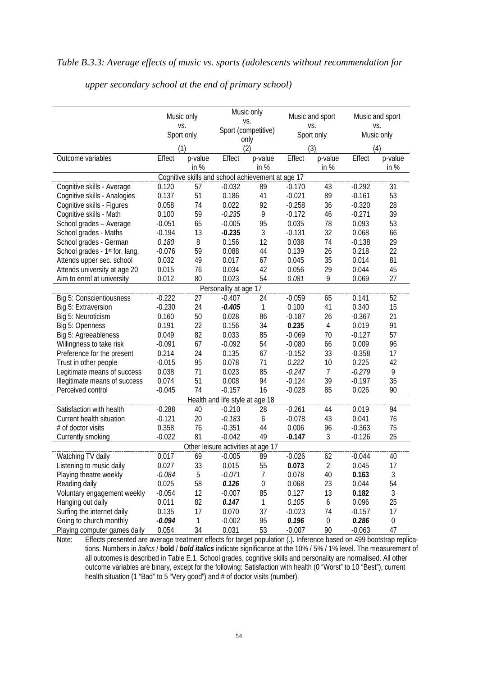#### *Table B.3.3: Average effects of music vs. sports (adolescents without recommendation for*

|                                            | Music only |            |                                 | Music only                                        | Music and sport |                  | Music and sport |                  |
|--------------------------------------------|------------|------------|---------------------------------|---------------------------------------------------|-----------------|------------------|-----------------|------------------|
|                                            |            | VS.        |                                 | VS.                                               |                 | VS.              |                 | VS.              |
|                                            |            | Sport only |                                 | Sport (competitive)<br>only                       |                 | Sport only       |                 | Music only       |
|                                            |            | (1)        |                                 | (2)                                               |                 | (3)              |                 | (4)              |
| Outcome variables                          | Effect     | p-value    | Effect                          | p-value                                           | Effect          | p-value          | Effect          | p-value          |
|                                            |            | in %       |                                 | in $%$                                            |                 | in $%$           |                 | in $%$           |
|                                            |            |            |                                 | Cognitive skills and school achievement at age 17 |                 |                  |                 |                  |
| Cognitive skills - Average                 | 0.120      | 57         | $-0.032$                        | 89                                                | $-0.170$        | 43               | $-0.292$        | 31               |
| Cognitive skills - Analogies               | 0.137      | 51         | 0.186                           | 41                                                | $-0.021$        | 89               | $-0.161$        | 53               |
| Cognitive skills - Figures                 | 0.058      | 74         | 0.022                           | 92                                                | $-0.258$        | 36               | $-0.320$        | 28               |
| Cognitive skills - Math                    | 0.100      | 59         | $-0.235$                        | 9                                                 | $-0.172$        | 46               | $-0.271$        | 39               |
| School grades - Average                    | $-0.051$   | 65         | $-0.005$                        | 95                                                | 0.035           | 78               | 0.093           | 53               |
| School grades - Maths                      | $-0.194$   | 13         | $-0.235$                        | $\mathfrak{Z}$                                    | $-0.131$        | 32               | 0.068           | 66               |
| School grades - German                     | 0.180      | 8          | 0.156                           | 12                                                | 0.038           | 74               | $-0.138$        | 29               |
| School grades - 1 <sup>st</sup> for. lang. | $-0.076$   | 59         | 0.088                           | 44                                                | 0.139           | 26               | 0.218           | 22               |
| Attends upper sec. school                  | 0.032      | 49         | 0.017                           | 67                                                | 0.045           | 35               | 0.014           | 81               |
| Attends university at age 20               | 0.015      | 76         | 0.034                           | 42                                                | 0.056           | 29               | 0.044           | 45               |
| Aim to enrol at university                 | 0.012      | 80         | 0.023                           | 54                                                | 0.081           | 9                | 0.069           | 27               |
|                                            |            |            | Personality at age 17           |                                                   |                 |                  |                 |                  |
| Big 5: Conscientiousness                   | $-0.222$   | 27         | $-0.407$                        | 24                                                | $-0.059$        | 65               | 0.141           | 52               |
| Big 5: Extraversion                        | $-0.230$   | 24         | $-0.405$                        | 1                                                 | 0.100           | 41               | 0.340           | 15               |
| Big 5: Neuroticism                         | 0.160      | 50         | 0.028                           | 86                                                | $-0.187$        | 26               | $-0.367$        | 21               |
| Big 5: Openness                            | 0.191      | 22         | 0.156                           | 34                                                | 0.235           | 4                | 0.019           | 91               |
| Big 5: Agreeableness                       | 0.049      | 82         | 0.033                           | 85                                                | $-0.069$        | 70               | $-0.127$        | 57               |
| Willingness to take risk                   | $-0.091$   | 67         | $-0.092$                        | 54                                                | $-0.080$        | 66               | 0.009           | 96               |
| Preference for the present                 | 0.214      | 24         | 0.135                           | 67                                                | $-0.152$        | 33               | $-0.358$        | 17               |
| Trust in other people                      | $-0.015$   | 95         | 0.078                           | 71                                                | 0.222           | 10               | 0.225           | 42               |
| Legitimate means of success                | 0.038      | 71         | 0.023                           | 85                                                | $-0.247$        | $\overline{7}$   | $-0.279$        | 9                |
| Illegitimate means of success              | 0.074      | 51         | 0.008                           | 94                                                | $-0.124$        | 39               | $-0.197$        | 35               |
| Perceived control                          | $-0.045$   | 74         | $-0.157$                        | 16                                                | $-0.028$        | 85               | 0.026           | 90               |
|                                            |            |            | Health and life style at age 18 |                                                   |                 |                  |                 |                  |
| Satisfaction with health                   | $-0.288$   | 40         | $-0.210$                        | 28                                                | $-0.261$        | 44               | 0.019           | 94               |
| Current health situation                   | $-0.121$   | 20         | $-0.183$                        | 6                                                 | $-0.078$        | 43               | 0.041           | 76               |
| # of doctor visits                         | 0.358      | 76         | $-0.351$                        | 44                                                | 0.006           | 96               | $-0.363$        | 75               |
| Currently smoking                          | $-0.022$   | 81         | $-0.042$                        | 49                                                | $-0.147$        | 3                | $-0.126$        | 25               |
|                                            |            |            |                                 | Other leisure activities at age 17                |                 |                  |                 |                  |
| Watching TV daily                          | 0.017      | 69         | $-0.005$                        | 89                                                | $-0.026$        | 62               | $-0.044$        | 40               |
| Listening to music daily                   | 0.027      | 33         | 0.015                           | 55                                                | 0.073           | $\overline{2}$   | 0.045           | 17               |
| Playing theatre weekly                     | $-0.084$   | 5          | $-0.071$                        | 7                                                 | 0.078           | 40               | 0.163           | 3                |
| Reading daily                              | 0.025      | 58         | 0.126                           | $\boldsymbol{0}$                                  | 0.068           | 23               | 0.044           | 54               |
| Voluntary engagement weekly                | $-0.054$   | 12         | $-0.007$                        | 85                                                | 0.127           | 13               | 0.182           | 3                |
| Hanging out daily                          | 0.011      | 82         | 0.147                           | 1                                                 | 0.105           | 6                | 0.096           | 25               |
| Surfing the internet daily                 | 0.135      | 17         | 0.070                           | 37                                                | $-0.023$        | 74               | $-0.157$        | 17               |
| Going to church monthly                    | $-0.094$   | 1          | $-0.002$                        | 95                                                | 0.196           | $\boldsymbol{0}$ | 0.286           | $\boldsymbol{0}$ |
| Playing computer games daily               | 0.054      | 34         | 0.031                           | 53                                                | $-0.007$        | 90               | $-0.063$        | 47               |

#### *upper secondary school at the end of primary school)*

Note: Effects presented are average treatment effects for target population (.). Inference based on 499 bootstrap replications. Numbers in *italics* / **bold** / *bold italics* indicate significance at the 10% / 5% / 1% level. The measurement of all outcomes is described in Table E.1. School grades, cognitive skills and personality are normalised. All other outcome variables are binary, except for the following: Satisfaction with health (0 "Worst" to 10 "Best"), current health situation (1 "Bad" to 5 "Very good") and # of doctor visits (number).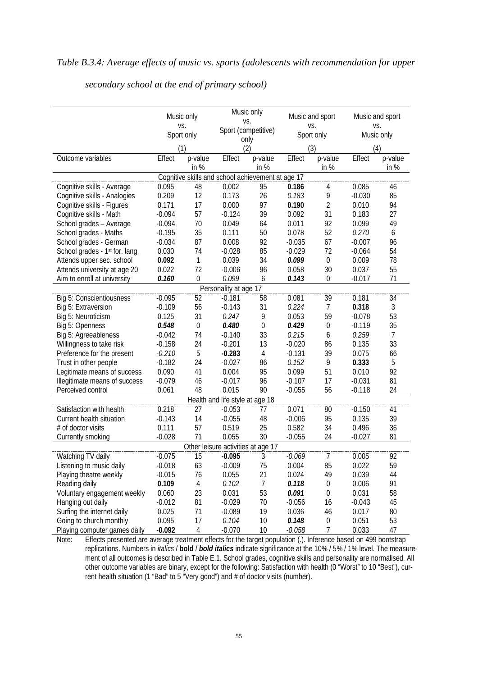#### *Table B.3.4: Average effects of music vs. sports (adolescents with recommendation for upper*

| Music only<br>Music only<br>Music and sport<br>Music and sport<br>VS.<br>VS.<br>VS.<br>VS.<br>Sport (competitive)<br>Sport only<br>Sport only<br>Music only<br>only<br>(2)<br>(3)<br>(1)<br>(4)<br>Outcome variables<br>Effect<br>Effect<br>Effect<br>Effect<br>p-value<br>p-value<br>p-value<br>p-value<br>in $%$<br>in $%$<br>in $%$<br>in $%$<br>Cognitive skills and school achievement at age 17<br>Cognitive skills - Average<br>48<br>0.002<br>95<br>4<br>0.085<br>0.095<br>0.186<br>46<br>Cognitive skills - Analogies<br>85<br>0.209<br>12<br>0.173<br>26<br>0.183<br>9<br>$-0.030$<br>$\overline{2}$<br>Cognitive skills - Figures<br>17<br>94<br>0.171<br>0.000<br>97<br>0.190<br>0.010<br>39<br>31<br>27<br>Cognitive skills - Math<br>$-0.094$<br>57<br>$-0.124$<br>0.092<br>0.183<br>School grades - Average<br>70<br>64<br>92<br>49<br>$-0.094$<br>0.049<br>0.011<br>0.099<br>6<br>35<br>50<br>52<br>0.270<br>School grades - Maths<br>$-0.195$<br>0.111<br>0.078<br>87<br>92<br>67<br>$-0.007$<br>96<br>School grades - German<br>$-0.034$<br>0.008<br>$-0.035$<br>72<br>School grades - 1 <sup>st</sup> for. lang.<br>74<br>85<br>54<br>0.030<br>$-0.028$<br>$-0.029$<br>$-0.064$<br>1<br>34<br>$\mathbf 0$<br>78<br>Attends upper sec. school<br>0.092<br>0.039<br>0.099<br>0.009<br>72<br>55<br>Attends university at age 20<br>0.022<br>96<br>0.058<br>30<br>0.037<br>$-0.006$<br>0.160<br>$\mathbf 0$<br>0.099<br>71<br>Aim to enroll at university<br>6<br>0.143<br>0<br>$-0.017$<br>Personality at age 17<br>39<br>34<br>Big 5: Conscientiousness<br>$-0.095$<br>52<br>$-0.181$<br>58<br>0.081<br>0.181<br>31<br>$\overline{7}$<br>0.318<br>3<br>Big 5: Extraversion<br>$-0.109$<br>56<br>$-0.143$<br>0.224<br>Big 5: Neuroticism<br>31<br>9<br>0.053<br>59<br>53<br>0.125<br>0.247<br>$-0.078$<br>35<br>Big 5: Openness<br>$\mathbf 0$<br>0.480<br>0<br>0.429<br>$\mathbf 0$<br>$-0.119$<br>0.548<br>Big 5: Agreeableness<br>33<br>$\overline{7}$<br>$-0.042$<br>74<br>0.215<br>6<br>0.259<br>$-0.140$<br>33<br>24<br>13<br>Willingness to take risk<br>$-0.158$<br>$-0.201$<br>$-0.020$<br>86<br>0.135<br>5<br>$\overline{4}$<br>39<br>66<br>Preference for the present<br>$-0.210$<br>$-0.283$<br>$-0.131$<br>0.075<br>5<br>24<br>9<br>0.333<br>Trust in other people<br>$-0.182$<br>$-0.027$<br>86<br>0.152<br>95<br>51<br>92<br>Legitimate means of success<br>0.090<br>41<br>0.004<br>0.099<br>0.010<br>Illegitimate means of success<br>96<br>17<br>81<br>$-0.079$<br>46<br>$-0.017$<br>$-0.107$<br>$-0.031$<br>0.061<br>48<br>0.015<br>90<br>$-0.055$<br>56<br>$-0.118$<br>24<br>Perceived control<br>Health and life style at age 18<br>Satisfaction with health<br>0.218<br>27<br>$-0.053$<br>0.071<br>$-0.150$<br>41<br>77<br>80<br>39<br>48<br>95<br>Current health situation<br>$-0.143$<br>14<br>$-0.055$<br>$-0.006$<br>0.135<br>57<br>25<br>34<br>36<br># of doctor visits<br>0.111<br>0.519<br>0.582<br>0.496<br>71<br>30<br>81<br>Currently smoking<br>$-0.028$<br>0.055<br>$-0.055$<br>24<br>$-0.027$<br>Other leisure activities at age 17<br>Watching TV daily<br>92<br>$-0.075$<br>15<br>$-0.095$<br>3<br>$-0.069$<br>$\overline{7}$<br>0.005<br>Listening to music daily<br>$-0.018$<br>63<br>$-0.009$<br>75<br>0.004<br>85<br>0.022<br>59 |                              |          |    |          |    |          |                |       |    |
|------------------------------------------------------------------------------------------------------------------------------------------------------------------------------------------------------------------------------------------------------------------------------------------------------------------------------------------------------------------------------------------------------------------------------------------------------------------------------------------------------------------------------------------------------------------------------------------------------------------------------------------------------------------------------------------------------------------------------------------------------------------------------------------------------------------------------------------------------------------------------------------------------------------------------------------------------------------------------------------------------------------------------------------------------------------------------------------------------------------------------------------------------------------------------------------------------------------------------------------------------------------------------------------------------------------------------------------------------------------------------------------------------------------------------------------------------------------------------------------------------------------------------------------------------------------------------------------------------------------------------------------------------------------------------------------------------------------------------------------------------------------------------------------------------------------------------------------------------------------------------------------------------------------------------------------------------------------------------------------------------------------------------------------------------------------------------------------------------------------------------------------------------------------------------------------------------------------------------------------------------------------------------------------------------------------------------------------------------------------------------------------------------------------------------------------------------------------------------------------------------------------------------------------------------------------------------------------------------------------------------------------------------------------------------------------------------------------------------------------------------------------------------------------------------------------------------------------------------------------------------------------------------------------------------------------------------------------------------------------------------------------------------------------------------------------------------------------------------------------------------------------------------------------------------------------------------------------------------------------------------------------------------------------|------------------------------|----------|----|----------|----|----------|----------------|-------|----|
|                                                                                                                                                                                                                                                                                                                                                                                                                                                                                                                                                                                                                                                                                                                                                                                                                                                                                                                                                                                                                                                                                                                                                                                                                                                                                                                                                                                                                                                                                                                                                                                                                                                                                                                                                                                                                                                                                                                                                                                                                                                                                                                                                                                                                                                                                                                                                                                                                                                                                                                                                                                                                                                                                                                                                                                                                                                                                                                                                                                                                                                                                                                                                                                                                                                                                          |                              |          |    |          |    |          |                |       |    |
|                                                                                                                                                                                                                                                                                                                                                                                                                                                                                                                                                                                                                                                                                                                                                                                                                                                                                                                                                                                                                                                                                                                                                                                                                                                                                                                                                                                                                                                                                                                                                                                                                                                                                                                                                                                                                                                                                                                                                                                                                                                                                                                                                                                                                                                                                                                                                                                                                                                                                                                                                                                                                                                                                                                                                                                                                                                                                                                                                                                                                                                                                                                                                                                                                                                                                          |                              |          |    |          |    |          |                |       |    |
|                                                                                                                                                                                                                                                                                                                                                                                                                                                                                                                                                                                                                                                                                                                                                                                                                                                                                                                                                                                                                                                                                                                                                                                                                                                                                                                                                                                                                                                                                                                                                                                                                                                                                                                                                                                                                                                                                                                                                                                                                                                                                                                                                                                                                                                                                                                                                                                                                                                                                                                                                                                                                                                                                                                                                                                                                                                                                                                                                                                                                                                                                                                                                                                                                                                                                          |                              |          |    |          |    |          |                |       |    |
|                                                                                                                                                                                                                                                                                                                                                                                                                                                                                                                                                                                                                                                                                                                                                                                                                                                                                                                                                                                                                                                                                                                                                                                                                                                                                                                                                                                                                                                                                                                                                                                                                                                                                                                                                                                                                                                                                                                                                                                                                                                                                                                                                                                                                                                                                                                                                                                                                                                                                                                                                                                                                                                                                                                                                                                                                                                                                                                                                                                                                                                                                                                                                                                                                                                                                          |                              |          |    |          |    |          |                |       |    |
|                                                                                                                                                                                                                                                                                                                                                                                                                                                                                                                                                                                                                                                                                                                                                                                                                                                                                                                                                                                                                                                                                                                                                                                                                                                                                                                                                                                                                                                                                                                                                                                                                                                                                                                                                                                                                                                                                                                                                                                                                                                                                                                                                                                                                                                                                                                                                                                                                                                                                                                                                                                                                                                                                                                                                                                                                                                                                                                                                                                                                                                                                                                                                                                                                                                                                          |                              |          |    |          |    |          |                |       |    |
|                                                                                                                                                                                                                                                                                                                                                                                                                                                                                                                                                                                                                                                                                                                                                                                                                                                                                                                                                                                                                                                                                                                                                                                                                                                                                                                                                                                                                                                                                                                                                                                                                                                                                                                                                                                                                                                                                                                                                                                                                                                                                                                                                                                                                                                                                                                                                                                                                                                                                                                                                                                                                                                                                                                                                                                                                                                                                                                                                                                                                                                                                                                                                                                                                                                                                          |                              |          |    |          |    |          |                |       |    |
|                                                                                                                                                                                                                                                                                                                                                                                                                                                                                                                                                                                                                                                                                                                                                                                                                                                                                                                                                                                                                                                                                                                                                                                                                                                                                                                                                                                                                                                                                                                                                                                                                                                                                                                                                                                                                                                                                                                                                                                                                                                                                                                                                                                                                                                                                                                                                                                                                                                                                                                                                                                                                                                                                                                                                                                                                                                                                                                                                                                                                                                                                                                                                                                                                                                                                          |                              |          |    |          |    |          |                |       |    |
|                                                                                                                                                                                                                                                                                                                                                                                                                                                                                                                                                                                                                                                                                                                                                                                                                                                                                                                                                                                                                                                                                                                                                                                                                                                                                                                                                                                                                                                                                                                                                                                                                                                                                                                                                                                                                                                                                                                                                                                                                                                                                                                                                                                                                                                                                                                                                                                                                                                                                                                                                                                                                                                                                                                                                                                                                                                                                                                                                                                                                                                                                                                                                                                                                                                                                          |                              |          |    |          |    |          |                |       |    |
|                                                                                                                                                                                                                                                                                                                                                                                                                                                                                                                                                                                                                                                                                                                                                                                                                                                                                                                                                                                                                                                                                                                                                                                                                                                                                                                                                                                                                                                                                                                                                                                                                                                                                                                                                                                                                                                                                                                                                                                                                                                                                                                                                                                                                                                                                                                                                                                                                                                                                                                                                                                                                                                                                                                                                                                                                                                                                                                                                                                                                                                                                                                                                                                                                                                                                          |                              |          |    |          |    |          |                |       |    |
|                                                                                                                                                                                                                                                                                                                                                                                                                                                                                                                                                                                                                                                                                                                                                                                                                                                                                                                                                                                                                                                                                                                                                                                                                                                                                                                                                                                                                                                                                                                                                                                                                                                                                                                                                                                                                                                                                                                                                                                                                                                                                                                                                                                                                                                                                                                                                                                                                                                                                                                                                                                                                                                                                                                                                                                                                                                                                                                                                                                                                                                                                                                                                                                                                                                                                          |                              |          |    |          |    |          |                |       |    |
|                                                                                                                                                                                                                                                                                                                                                                                                                                                                                                                                                                                                                                                                                                                                                                                                                                                                                                                                                                                                                                                                                                                                                                                                                                                                                                                                                                                                                                                                                                                                                                                                                                                                                                                                                                                                                                                                                                                                                                                                                                                                                                                                                                                                                                                                                                                                                                                                                                                                                                                                                                                                                                                                                                                                                                                                                                                                                                                                                                                                                                                                                                                                                                                                                                                                                          |                              |          |    |          |    |          |                |       |    |
|                                                                                                                                                                                                                                                                                                                                                                                                                                                                                                                                                                                                                                                                                                                                                                                                                                                                                                                                                                                                                                                                                                                                                                                                                                                                                                                                                                                                                                                                                                                                                                                                                                                                                                                                                                                                                                                                                                                                                                                                                                                                                                                                                                                                                                                                                                                                                                                                                                                                                                                                                                                                                                                                                                                                                                                                                                                                                                                                                                                                                                                                                                                                                                                                                                                                                          |                              |          |    |          |    |          |                |       |    |
|                                                                                                                                                                                                                                                                                                                                                                                                                                                                                                                                                                                                                                                                                                                                                                                                                                                                                                                                                                                                                                                                                                                                                                                                                                                                                                                                                                                                                                                                                                                                                                                                                                                                                                                                                                                                                                                                                                                                                                                                                                                                                                                                                                                                                                                                                                                                                                                                                                                                                                                                                                                                                                                                                                                                                                                                                                                                                                                                                                                                                                                                                                                                                                                                                                                                                          |                              |          |    |          |    |          |                |       |    |
|                                                                                                                                                                                                                                                                                                                                                                                                                                                                                                                                                                                                                                                                                                                                                                                                                                                                                                                                                                                                                                                                                                                                                                                                                                                                                                                                                                                                                                                                                                                                                                                                                                                                                                                                                                                                                                                                                                                                                                                                                                                                                                                                                                                                                                                                                                                                                                                                                                                                                                                                                                                                                                                                                                                                                                                                                                                                                                                                                                                                                                                                                                                                                                                                                                                                                          |                              |          |    |          |    |          |                |       |    |
|                                                                                                                                                                                                                                                                                                                                                                                                                                                                                                                                                                                                                                                                                                                                                                                                                                                                                                                                                                                                                                                                                                                                                                                                                                                                                                                                                                                                                                                                                                                                                                                                                                                                                                                                                                                                                                                                                                                                                                                                                                                                                                                                                                                                                                                                                                                                                                                                                                                                                                                                                                                                                                                                                                                                                                                                                                                                                                                                                                                                                                                                                                                                                                                                                                                                                          |                              |          |    |          |    |          |                |       |    |
|                                                                                                                                                                                                                                                                                                                                                                                                                                                                                                                                                                                                                                                                                                                                                                                                                                                                                                                                                                                                                                                                                                                                                                                                                                                                                                                                                                                                                                                                                                                                                                                                                                                                                                                                                                                                                                                                                                                                                                                                                                                                                                                                                                                                                                                                                                                                                                                                                                                                                                                                                                                                                                                                                                                                                                                                                                                                                                                                                                                                                                                                                                                                                                                                                                                                                          |                              |          |    |          |    |          |                |       |    |
|                                                                                                                                                                                                                                                                                                                                                                                                                                                                                                                                                                                                                                                                                                                                                                                                                                                                                                                                                                                                                                                                                                                                                                                                                                                                                                                                                                                                                                                                                                                                                                                                                                                                                                                                                                                                                                                                                                                                                                                                                                                                                                                                                                                                                                                                                                                                                                                                                                                                                                                                                                                                                                                                                                                                                                                                                                                                                                                                                                                                                                                                                                                                                                                                                                                                                          |                              |          |    |          |    |          |                |       |    |
|                                                                                                                                                                                                                                                                                                                                                                                                                                                                                                                                                                                                                                                                                                                                                                                                                                                                                                                                                                                                                                                                                                                                                                                                                                                                                                                                                                                                                                                                                                                                                                                                                                                                                                                                                                                                                                                                                                                                                                                                                                                                                                                                                                                                                                                                                                                                                                                                                                                                                                                                                                                                                                                                                                                                                                                                                                                                                                                                                                                                                                                                                                                                                                                                                                                                                          |                              |          |    |          |    |          |                |       |    |
|                                                                                                                                                                                                                                                                                                                                                                                                                                                                                                                                                                                                                                                                                                                                                                                                                                                                                                                                                                                                                                                                                                                                                                                                                                                                                                                                                                                                                                                                                                                                                                                                                                                                                                                                                                                                                                                                                                                                                                                                                                                                                                                                                                                                                                                                                                                                                                                                                                                                                                                                                                                                                                                                                                                                                                                                                                                                                                                                                                                                                                                                                                                                                                                                                                                                                          |                              |          |    |          |    |          |                |       |    |
|                                                                                                                                                                                                                                                                                                                                                                                                                                                                                                                                                                                                                                                                                                                                                                                                                                                                                                                                                                                                                                                                                                                                                                                                                                                                                                                                                                                                                                                                                                                                                                                                                                                                                                                                                                                                                                                                                                                                                                                                                                                                                                                                                                                                                                                                                                                                                                                                                                                                                                                                                                                                                                                                                                                                                                                                                                                                                                                                                                                                                                                                                                                                                                                                                                                                                          |                              |          |    |          |    |          |                |       |    |
|                                                                                                                                                                                                                                                                                                                                                                                                                                                                                                                                                                                                                                                                                                                                                                                                                                                                                                                                                                                                                                                                                                                                                                                                                                                                                                                                                                                                                                                                                                                                                                                                                                                                                                                                                                                                                                                                                                                                                                                                                                                                                                                                                                                                                                                                                                                                                                                                                                                                                                                                                                                                                                                                                                                                                                                                                                                                                                                                                                                                                                                                                                                                                                                                                                                                                          |                              |          |    |          |    |          |                |       |    |
|                                                                                                                                                                                                                                                                                                                                                                                                                                                                                                                                                                                                                                                                                                                                                                                                                                                                                                                                                                                                                                                                                                                                                                                                                                                                                                                                                                                                                                                                                                                                                                                                                                                                                                                                                                                                                                                                                                                                                                                                                                                                                                                                                                                                                                                                                                                                                                                                                                                                                                                                                                                                                                                                                                                                                                                                                                                                                                                                                                                                                                                                                                                                                                                                                                                                                          |                              |          |    |          |    |          |                |       |    |
|                                                                                                                                                                                                                                                                                                                                                                                                                                                                                                                                                                                                                                                                                                                                                                                                                                                                                                                                                                                                                                                                                                                                                                                                                                                                                                                                                                                                                                                                                                                                                                                                                                                                                                                                                                                                                                                                                                                                                                                                                                                                                                                                                                                                                                                                                                                                                                                                                                                                                                                                                                                                                                                                                                                                                                                                                                                                                                                                                                                                                                                                                                                                                                                                                                                                                          |                              |          |    |          |    |          |                |       |    |
|                                                                                                                                                                                                                                                                                                                                                                                                                                                                                                                                                                                                                                                                                                                                                                                                                                                                                                                                                                                                                                                                                                                                                                                                                                                                                                                                                                                                                                                                                                                                                                                                                                                                                                                                                                                                                                                                                                                                                                                                                                                                                                                                                                                                                                                                                                                                                                                                                                                                                                                                                                                                                                                                                                                                                                                                                                                                                                                                                                                                                                                                                                                                                                                                                                                                                          |                              |          |    |          |    |          |                |       |    |
|                                                                                                                                                                                                                                                                                                                                                                                                                                                                                                                                                                                                                                                                                                                                                                                                                                                                                                                                                                                                                                                                                                                                                                                                                                                                                                                                                                                                                                                                                                                                                                                                                                                                                                                                                                                                                                                                                                                                                                                                                                                                                                                                                                                                                                                                                                                                                                                                                                                                                                                                                                                                                                                                                                                                                                                                                                                                                                                                                                                                                                                                                                                                                                                                                                                                                          |                              |          |    |          |    |          |                |       |    |
|                                                                                                                                                                                                                                                                                                                                                                                                                                                                                                                                                                                                                                                                                                                                                                                                                                                                                                                                                                                                                                                                                                                                                                                                                                                                                                                                                                                                                                                                                                                                                                                                                                                                                                                                                                                                                                                                                                                                                                                                                                                                                                                                                                                                                                                                                                                                                                                                                                                                                                                                                                                                                                                                                                                                                                                                                                                                                                                                                                                                                                                                                                                                                                                                                                                                                          |                              |          |    |          |    |          |                |       |    |
|                                                                                                                                                                                                                                                                                                                                                                                                                                                                                                                                                                                                                                                                                                                                                                                                                                                                                                                                                                                                                                                                                                                                                                                                                                                                                                                                                                                                                                                                                                                                                                                                                                                                                                                                                                                                                                                                                                                                                                                                                                                                                                                                                                                                                                                                                                                                                                                                                                                                                                                                                                                                                                                                                                                                                                                                                                                                                                                                                                                                                                                                                                                                                                                                                                                                                          |                              |          |    |          |    |          |                |       |    |
|                                                                                                                                                                                                                                                                                                                                                                                                                                                                                                                                                                                                                                                                                                                                                                                                                                                                                                                                                                                                                                                                                                                                                                                                                                                                                                                                                                                                                                                                                                                                                                                                                                                                                                                                                                                                                                                                                                                                                                                                                                                                                                                                                                                                                                                                                                                                                                                                                                                                                                                                                                                                                                                                                                                                                                                                                                                                                                                                                                                                                                                                                                                                                                                                                                                                                          |                              |          |    |          |    |          |                |       |    |
|                                                                                                                                                                                                                                                                                                                                                                                                                                                                                                                                                                                                                                                                                                                                                                                                                                                                                                                                                                                                                                                                                                                                                                                                                                                                                                                                                                                                                                                                                                                                                                                                                                                                                                                                                                                                                                                                                                                                                                                                                                                                                                                                                                                                                                                                                                                                                                                                                                                                                                                                                                                                                                                                                                                                                                                                                                                                                                                                                                                                                                                                                                                                                                                                                                                                                          |                              |          |    |          |    |          |                |       |    |
|                                                                                                                                                                                                                                                                                                                                                                                                                                                                                                                                                                                                                                                                                                                                                                                                                                                                                                                                                                                                                                                                                                                                                                                                                                                                                                                                                                                                                                                                                                                                                                                                                                                                                                                                                                                                                                                                                                                                                                                                                                                                                                                                                                                                                                                                                                                                                                                                                                                                                                                                                                                                                                                                                                                                                                                                                                                                                                                                                                                                                                                                                                                                                                                                                                                                                          |                              |          |    |          |    |          |                |       |    |
|                                                                                                                                                                                                                                                                                                                                                                                                                                                                                                                                                                                                                                                                                                                                                                                                                                                                                                                                                                                                                                                                                                                                                                                                                                                                                                                                                                                                                                                                                                                                                                                                                                                                                                                                                                                                                                                                                                                                                                                                                                                                                                                                                                                                                                                                                                                                                                                                                                                                                                                                                                                                                                                                                                                                                                                                                                                                                                                                                                                                                                                                                                                                                                                                                                                                                          |                              |          |    |          |    |          |                |       |    |
|                                                                                                                                                                                                                                                                                                                                                                                                                                                                                                                                                                                                                                                                                                                                                                                                                                                                                                                                                                                                                                                                                                                                                                                                                                                                                                                                                                                                                                                                                                                                                                                                                                                                                                                                                                                                                                                                                                                                                                                                                                                                                                                                                                                                                                                                                                                                                                                                                                                                                                                                                                                                                                                                                                                                                                                                                                                                                                                                                                                                                                                                                                                                                                                                                                                                                          |                              |          |    |          |    |          |                |       |    |
|                                                                                                                                                                                                                                                                                                                                                                                                                                                                                                                                                                                                                                                                                                                                                                                                                                                                                                                                                                                                                                                                                                                                                                                                                                                                                                                                                                                                                                                                                                                                                                                                                                                                                                                                                                                                                                                                                                                                                                                                                                                                                                                                                                                                                                                                                                                                                                                                                                                                                                                                                                                                                                                                                                                                                                                                                                                                                                                                                                                                                                                                                                                                                                                                                                                                                          |                              |          |    |          |    |          |                |       |    |
|                                                                                                                                                                                                                                                                                                                                                                                                                                                                                                                                                                                                                                                                                                                                                                                                                                                                                                                                                                                                                                                                                                                                                                                                                                                                                                                                                                                                                                                                                                                                                                                                                                                                                                                                                                                                                                                                                                                                                                                                                                                                                                                                                                                                                                                                                                                                                                                                                                                                                                                                                                                                                                                                                                                                                                                                                                                                                                                                                                                                                                                                                                                                                                                                                                                                                          |                              |          |    |          |    |          |                |       |    |
|                                                                                                                                                                                                                                                                                                                                                                                                                                                                                                                                                                                                                                                                                                                                                                                                                                                                                                                                                                                                                                                                                                                                                                                                                                                                                                                                                                                                                                                                                                                                                                                                                                                                                                                                                                                                                                                                                                                                                                                                                                                                                                                                                                                                                                                                                                                                                                                                                                                                                                                                                                                                                                                                                                                                                                                                                                                                                                                                                                                                                                                                                                                                                                                                                                                                                          |                              |          |    |          |    |          |                |       |    |
|                                                                                                                                                                                                                                                                                                                                                                                                                                                                                                                                                                                                                                                                                                                                                                                                                                                                                                                                                                                                                                                                                                                                                                                                                                                                                                                                                                                                                                                                                                                                                                                                                                                                                                                                                                                                                                                                                                                                                                                                                                                                                                                                                                                                                                                                                                                                                                                                                                                                                                                                                                                                                                                                                                                                                                                                                                                                                                                                                                                                                                                                                                                                                                                                                                                                                          |                              |          |    |          |    |          |                |       |    |
|                                                                                                                                                                                                                                                                                                                                                                                                                                                                                                                                                                                                                                                                                                                                                                                                                                                                                                                                                                                                                                                                                                                                                                                                                                                                                                                                                                                                                                                                                                                                                                                                                                                                                                                                                                                                                                                                                                                                                                                                                                                                                                                                                                                                                                                                                                                                                                                                                                                                                                                                                                                                                                                                                                                                                                                                                                                                                                                                                                                                                                                                                                                                                                                                                                                                                          |                              |          |    |          |    |          |                |       |    |
|                                                                                                                                                                                                                                                                                                                                                                                                                                                                                                                                                                                                                                                                                                                                                                                                                                                                                                                                                                                                                                                                                                                                                                                                                                                                                                                                                                                                                                                                                                                                                                                                                                                                                                                                                                                                                                                                                                                                                                                                                                                                                                                                                                                                                                                                                                                                                                                                                                                                                                                                                                                                                                                                                                                                                                                                                                                                                                                                                                                                                                                                                                                                                                                                                                                                                          |                              |          |    |          |    |          |                |       |    |
|                                                                                                                                                                                                                                                                                                                                                                                                                                                                                                                                                                                                                                                                                                                                                                                                                                                                                                                                                                                                                                                                                                                                                                                                                                                                                                                                                                                                                                                                                                                                                                                                                                                                                                                                                                                                                                                                                                                                                                                                                                                                                                                                                                                                                                                                                                                                                                                                                                                                                                                                                                                                                                                                                                                                                                                                                                                                                                                                                                                                                                                                                                                                                                                                                                                                                          | Playing theatre weekly       | $-0.015$ | 76 | 0.055    | 21 | 0.024    | 49             | 0.039 | 44 |
| 0.109<br>91<br>Reading daily<br>4<br>0.102<br>7<br>0.118<br>0.006<br>$\boldsymbol{0}$                                                                                                                                                                                                                                                                                                                                                                                                                                                                                                                                                                                                                                                                                                                                                                                                                                                                                                                                                                                                                                                                                                                                                                                                                                                                                                                                                                                                                                                                                                                                                                                                                                                                                                                                                                                                                                                                                                                                                                                                                                                                                                                                                                                                                                                                                                                                                                                                                                                                                                                                                                                                                                                                                                                                                                                                                                                                                                                                                                                                                                                                                                                                                                                                    |                              |          |    |          |    |          |                |       |    |
| 53<br>0.091<br>58<br>Voluntary engagement weekly<br>0.060<br>23<br>0.031<br>0.031<br>0                                                                                                                                                                                                                                                                                                                                                                                                                                                                                                                                                                                                                                                                                                                                                                                                                                                                                                                                                                                                                                                                                                                                                                                                                                                                                                                                                                                                                                                                                                                                                                                                                                                                                                                                                                                                                                                                                                                                                                                                                                                                                                                                                                                                                                                                                                                                                                                                                                                                                                                                                                                                                                                                                                                                                                                                                                                                                                                                                                                                                                                                                                                                                                                                   |                              |          |    |          |    |          |                |       |    |
| 81<br>70<br>45<br>Hanging out daily<br>$-0.012$<br>$-0.029$<br>$-0.056$<br>16<br>$-0.043$                                                                                                                                                                                                                                                                                                                                                                                                                                                                                                                                                                                                                                                                                                                                                                                                                                                                                                                                                                                                                                                                                                                                                                                                                                                                                                                                                                                                                                                                                                                                                                                                                                                                                                                                                                                                                                                                                                                                                                                                                                                                                                                                                                                                                                                                                                                                                                                                                                                                                                                                                                                                                                                                                                                                                                                                                                                                                                                                                                                                                                                                                                                                                                                                |                              |          |    |          |    |          |                |       |    |
| 0.025<br>71<br>19<br>0.036<br>80<br>Surfing the internet daily<br>$-0.089$<br>46<br>0.017                                                                                                                                                                                                                                                                                                                                                                                                                                                                                                                                                                                                                                                                                                                                                                                                                                                                                                                                                                                                                                                                                                                                                                                                                                                                                                                                                                                                                                                                                                                                                                                                                                                                                                                                                                                                                                                                                                                                                                                                                                                                                                                                                                                                                                                                                                                                                                                                                                                                                                                                                                                                                                                                                                                                                                                                                                                                                                                                                                                                                                                                                                                                                                                                |                              |          |    |          |    |          |                |       |    |
| Going to church monthly<br>0.095<br>17<br>0.104<br>10<br>53<br>0.148<br>$\boldsymbol{0}$<br>0.051                                                                                                                                                                                                                                                                                                                                                                                                                                                                                                                                                                                                                                                                                                                                                                                                                                                                                                                                                                                                                                                                                                                                                                                                                                                                                                                                                                                                                                                                                                                                                                                                                                                                                                                                                                                                                                                                                                                                                                                                                                                                                                                                                                                                                                                                                                                                                                                                                                                                                                                                                                                                                                                                                                                                                                                                                                                                                                                                                                                                                                                                                                                                                                                        |                              |          |    |          |    |          |                |       |    |
|                                                                                                                                                                                                                                                                                                                                                                                                                                                                                                                                                                                                                                                                                                                                                                                                                                                                                                                                                                                                                                                                                                                                                                                                                                                                                                                                                                                                                                                                                                                                                                                                                                                                                                                                                                                                                                                                                                                                                                                                                                                                                                                                                                                                                                                                                                                                                                                                                                                                                                                                                                                                                                                                                                                                                                                                                                                                                                                                                                                                                                                                                                                                                                                                                                                                                          | Playing computer games daily | $-0.092$ | 4  | $-0.070$ | 10 | $-0.058$ | $\overline{7}$ | 0.033 | 47 |

#### *secondary school at the end of primary school)*

Note: Effects presented are average treatment effects for the target population (.). Inference based on 499 bootstrap replications. Numbers in *italics* / **bold** / *bold italics* indicate significance at the 10% / 5% / 1% level. The measurement of all outcomes is described in Table E.1. School grades, cognitive skills and personality are normalised. All other outcome variables are binary, except for the following: Satisfaction with health (0 "Worst" to 10 "Best"), current health situation (1 "Bad" to 5 "Very good") and # of doctor visits (number).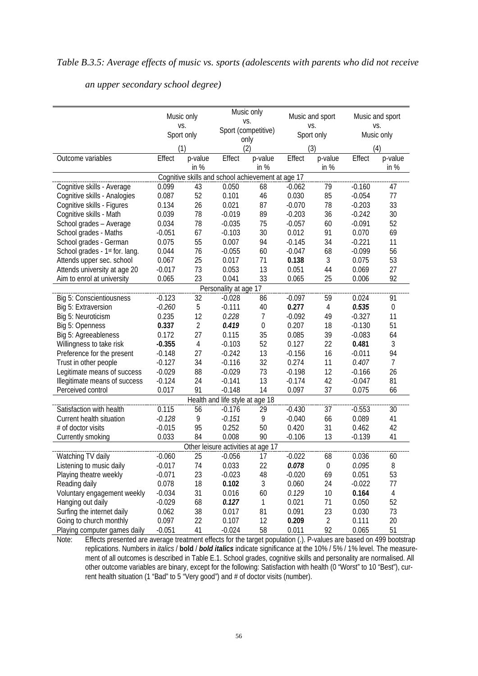#### *Table B.3.5: Average effects of music vs. sports (adolescents with parents who did not receive*

#### *an upper secondary school degree)*

|                                            | Music only<br>VS. |                |                                 | Music only<br>VS.                                 |          | Music and sport   | Music and sport<br>VS. |                  |  |
|--------------------------------------------|-------------------|----------------|---------------------------------|---------------------------------------------------|----------|-------------------|------------------------|------------------|--|
|                                            |                   | Sport only     |                                 | Sport (competitive)<br>only                       |          | VS.<br>Sport only |                        | Music only       |  |
|                                            |                   | (1)            |                                 | (2)                                               |          | (3)               |                        | (4)              |  |
| Outcome variables                          | Effect            | p-value        | Effect                          | p-value                                           | Effect   | p-value           | Effect                 | p-value          |  |
|                                            |                   | in $%$         |                                 | in $%$                                            |          | in $%$            |                        | in $%$           |  |
|                                            |                   |                |                                 | Cognitive skills and school achievement at age 17 |          |                   |                        |                  |  |
| Cognitive skills - Average                 | 0.099             | 43             | 0.050                           | 68                                                | $-0.062$ | 79                | $-0.160$               | 47               |  |
| Cognitive skills - Analogies               | 0.087             | 52             | 0.101                           | 46                                                | 0.030    | 85                | $-0.054$               | 77               |  |
| Cognitive skills - Figures                 | 0.134             | 26             | 0.021                           | 87                                                | $-0.070$ | 78                | $-0.203$               | 33               |  |
| Cognitive skills - Math                    | 0.039             | 78             | $-0.019$                        | 89                                                | $-0.203$ | 36                | $-0.242$               | 30               |  |
| School grades - Average                    | 0.034             | 78             | $-0.035$                        | 75                                                | $-0.057$ | 60                | $-0.091$               | 52               |  |
| School grades - Maths                      | $-0.051$          | 67             | $-0.103$                        | 30                                                | 0.012    | 91                | 0.070                  | 69               |  |
| School grades - German                     | 0.075             | 55             | 0.007                           | 94                                                | $-0.145$ | 34                | $-0.221$               | 11               |  |
| School grades - 1 <sup>st</sup> for. lang. | 0.044             | 76             | $-0.055$                        | 60                                                | $-0.047$ | 68                | $-0.099$               | 56               |  |
| Attends upper sec. school                  | 0.067             | 25             | 0.017                           | 71                                                | 0.138    | 3                 | 0.075                  | 53               |  |
| Attends university at age 20               | $-0.017$          | 73             | 0.053                           | 13                                                | 0.051    | 44                | 0.069                  | 27               |  |
| Aim to enrol at university                 | 0.065             | 23             | 0.041                           | 33                                                | 0.065    | 25                | 0.006                  | 92               |  |
|                                            |                   |                | Personality at age 17           |                                                   |          |                   |                        |                  |  |
| Big 5: Conscientiousness                   | $-0.123$          | 32             | $-0.028$                        | 86                                                | $-0.097$ | 59                | 0.024                  | 91               |  |
| Big 5: Extraversion                        | $-0.260$          | 5              | $-0.111$                        | 40                                                | 0.277    | $\overline{4}$    | 0.535                  | $\boldsymbol{0}$ |  |
| Big 5: Neuroticism                         | 0.235             | 12             | 0.228                           | 7                                                 | $-0.092$ | 49                | $-0.327$               | 11               |  |
| Big 5: Openness                            | 0.337             | $\overline{2}$ | 0.419                           | $\boldsymbol{0}$                                  | 0.207    | 18                | $-0.130$               | 51               |  |
| Big 5: Agreeableness                       | 0.172             | 27             | 0.115                           | 35                                                | 0.085    | 39                | $-0.083$               | 64               |  |
| Willingness to take risk                   | $-0.355$          | $\sqrt{4}$     | $-0.103$                        | 52                                                | 0.127    | 22                | 0.481                  | $\mathfrak{Z}$   |  |
| Preference for the present                 | $-0.148$          | 27             | $-0.242$                        | 13                                                | $-0.156$ | 16                | $-0.011$               | 94               |  |
| Trust in other people                      | $-0.127$          | 34             | $-0.116$                        | 32                                                | 0.274    | 11                | 0.407                  | $\overline{7}$   |  |
| Legitimate means of success                | $-0.029$          | 88             | $-0.029$                        | 73                                                | $-0.198$ | 12                | $-0.166$               | 26               |  |
| Illegitimate means of success              | $-0.124$          | 24             | $-0.141$                        | 13                                                | $-0.174$ | 42                | $-0.047$               | 81               |  |
| Perceived control                          | 0.017             | 91             | $-0.148$                        | 14                                                | 0.097    | 37                | 0.075                  | 66               |  |
|                                            |                   |                | Health and life style at age 18 |                                                   |          |                   |                        |                  |  |
| Satisfaction with health                   | 0.115             | 56             | $-0.176$                        | 29                                                | $-0.430$ | 37                | $-0.553$               | 30               |  |
| Current health situation                   | $-0.128$          | 9              | $-0.151$                        | 9                                                 | $-0.040$ | 66                | 0.089                  | 41               |  |
| # of doctor visits                         | $-0.015$          | 95             | 0.252                           | 50                                                | 0.420    | 31                | 0.462                  | 42               |  |
| Currently smoking                          | 0.033             | 84             | 0.008                           | 90                                                | $-0.106$ | 13                | $-0.139$               | 41               |  |
|                                            |                   |                |                                 | Other leisure activities at age 17                |          |                   |                        |                  |  |
| Watching TV daily                          | $-0.060$          | 25             | $-0.056$                        | 17                                                | $-0.022$ | 68                | 0.036                  | 60               |  |
| Listening to music daily                   | $-0.017$          | 74             | 0.033                           | 22                                                | 0.078    | 0                 | 0.095                  | 8                |  |
| Playing theatre weekly                     | $-0.071$          | 23             | $-0.023$                        | 48                                                | $-0.020$ | 69                | 0.051                  | 53               |  |
| Reading daily                              | 0.078             | 18             | 0.102                           | $\mathfrak{Z}$                                    | 0.060    | 24                | $-0.022$               | 77               |  |
| Voluntary engagement weekly                | $-0.034$          | 31             | 0.016                           | 60                                                | 0.129    | 10                | 0.164                  | $\overline{4}$   |  |
| Hanging out daily                          | $-0.029$          | 68             | 0.127                           | 1                                                 | 0.021    | 71                | 0.050                  | 52               |  |
| Surfing the internet daily                 | 0.062             | 38             | 0.017                           | 81                                                | 0.091    | 23                | 0.030                  | 73               |  |
| Going to church monthly                    | 0.097             | 22             | 0.107                           | 12                                                | 0.209    | $\overline{2}$    | 0.111                  | 20               |  |
| Playing computer games daily               | $-0.051$          | 41             | $-0.024$                        | 58                                                | 0.011    | 92                | 0.065                  | 51               |  |

Note: Effects presented are average treatment effects for the target population (.). P-values are based on 499 bootstrap replications. Numbers in *italics* / **bold** / *bold italics* indicate significance at the 10% / 5% / 1% level. The measurement of all outcomes is described in Table E.1. School grades, cognitive skills and personality are normalised. All other outcome variables are binary, except for the following: Satisfaction with health (0 "Worst" to 10 "Best"), current health situation (1 "Bad" to 5 "Very good") and # of doctor visits (number).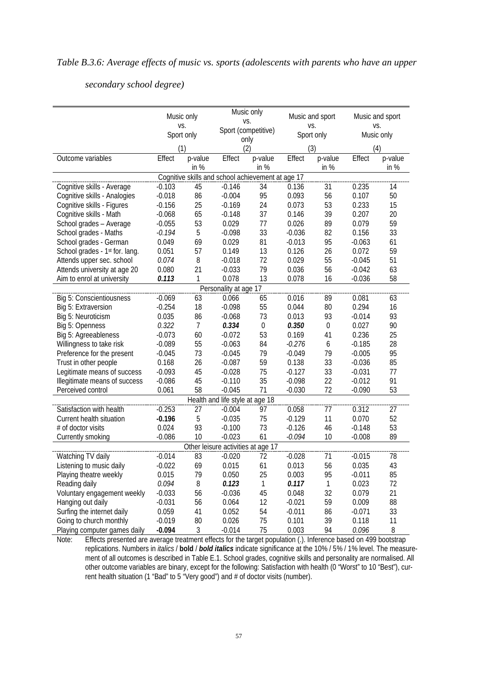#### *Table B.3.6: Average effects of music vs. sports (adolescents with parents who have an upper*

#### *secondary school degree)*

|                                            | Music only<br>VS. |             |                                    | Music only<br>VS.<br>Sport (competitive)          |          | Music and sport<br>VS. |            | Music and sport<br>VS. |
|--------------------------------------------|-------------------|-------------|------------------------------------|---------------------------------------------------|----------|------------------------|------------|------------------------|
|                                            |                   | Sport only  |                                    | only                                              |          | Sport only             | Music only |                        |
|                                            |                   | (1)         |                                    | (2)                                               |          | (3)                    |            | (4)                    |
| Outcome variables                          | Effect            | p-value     | Effect                             | p-value                                           | Effect   | p-value                | Effect     | p-value                |
|                                            |                   | in $%$      |                                    | in $%$                                            |          | in $%$                 |            | in $%$                 |
|                                            |                   |             |                                    | Cognitive skills and school achievement at age 17 |          |                        |            |                        |
| Cognitive skills - Average                 | $-0.103$          | 45          | $-0.146$                           | 34                                                | 0.136    | 31                     | 0.235      | 14                     |
| Cognitive skills - Analogies               | $-0.018$          | 86          | $-0.004$                           | 95                                                | 0.093    | 56                     | 0.107      | 50                     |
| Cognitive skills - Figures                 | $-0.156$          | 25          | $-0.169$                           | 24                                                | 0.073    | 53                     | 0.233      | 15                     |
| Cognitive skills - Math                    | $-0.068$          | 65          | $-0.148$                           | 37                                                | 0.146    | 39                     | 0.207      | 20                     |
| School grades - Average                    | $-0.055$          | 53          | 0.029                              | 77                                                | 0.026    | 89                     | 0.079      | 59                     |
| School grades - Maths                      | $-0.194$          | $\mathbf 5$ | $-0.098$                           | 33                                                | $-0.036$ | 82                     | 0.156      | 33                     |
| School grades - German                     | 0.049             | 69          | 0.029                              | 81                                                | $-0.013$ | 95                     | $-0.063$   | 61                     |
| School grades - 1 <sup>st</sup> for. lang. | 0.051             | 57          | 0.149                              | 13                                                | 0.126    | 26                     | 0.072      | 59                     |
| Attends upper sec. school                  | 0.074             | 8           | $-0.018$                           | 72                                                | 0.029    | 55                     | $-0.045$   | 51                     |
| Attends university at age 20               | 0.080             | 21          | $-0.033$                           | 79                                                | 0.036    | 56                     | $-0.042$   | 63                     |
| Aim to enrol at university                 | 0.113             | 1           | 0.078                              | 13                                                | 0.078    | 16                     | $-0.036$   | 58                     |
|                                            |                   |             | Personality at age 17              |                                                   |          |                        |            |                        |
| Big 5: Conscientiousness                   | $-0.069$          | 63          | 0.066                              | 65                                                | 0.016    | 89                     | 0.081      | 63                     |
| Big 5: Extraversion                        | $-0.254$          | 18          | $-0.098$                           | 55                                                | 0.044    | 80                     | 0.294      | 16                     |
| Big 5: Neuroticism                         | 0.035             | 86          | $-0.068$                           | 73                                                | 0.013    | 93                     | $-0.014$   | 93                     |
| Big 5: Openness                            | 0.322             | 7           | 0.334                              | $\boldsymbol{0}$                                  | 0.350    | $\mathbf 0$            | 0.027      | 90                     |
| Big 5: Agreeableness                       | $-0.073$          | 60          | $-0.072$                           | 53                                                | 0.169    | 41                     | 0.236      | 25                     |
| Willingness to take risk                   | $-0.089$          | 55          | $-0.063$                           | 84                                                | $-0.276$ | 6                      | $-0.185$   | 28                     |
| Preference for the present                 | $-0.045$          | 73          | $-0.045$                           | 79                                                | $-0.049$ | 79                     | $-0.005$   | 95                     |
| Trust in other people                      | 0.168             | 26          | $-0.087$                           | 59                                                | 0.138    | 33                     | $-0.036$   | 85                     |
| Legitimate means of success                | $-0.093$          | 45          | $-0.028$                           | 75                                                | $-0.127$ | 33                     | $-0.031$   | 77                     |
| Illegitimate means of success              | $-0.086$          | 45          | $-0.110$                           | 35                                                | $-0.098$ | 22                     | $-0.012$   | 91                     |
| Perceived control                          | 0.061             | 58          | $-0.045$                           | 71                                                | $-0.030$ | 72                     | $-0.090$   | 53                     |
|                                            |                   |             | Health and life style at age 18    |                                                   |          |                        |            |                        |
| Satisfaction with health                   | $-0.253$          | 27          | $-0.004$                           | 97                                                | 0.058    | 77                     | 0.312      | 27                     |
| Current health situation                   | $-0.196$          | 5           | $-0.035$                           | 75                                                | $-0.129$ | 11                     | 0.070      | 52                     |
| # of doctor visits                         | 0.024             | 93          | $-0.100$                           | 73                                                | $-0.126$ | 46                     | $-0.148$   | 53                     |
| Currently smoking                          | $-0.086$          | 10          | $-0.023$                           | 61                                                | $-0.094$ | 10                     | $-0.008$   | 89                     |
|                                            |                   |             | Other leisure activities at age 17 |                                                   |          |                        |            |                        |
| Watching TV daily                          | $-0.014$          | 83          | $-0.020$                           | 72                                                | $-0.028$ | 71                     | $-0.015$   | 78                     |
| Listening to music daily                   | $-0.022$          | 69          | 0.015                              | 61                                                | 0.013    | 56                     | 0.035      | 43                     |
| Playing theatre weekly                     | 0.015             | 79          | 0.050                              | 25                                                | 0.003    | 95                     | $-0.011$   | 85                     |
| Reading daily                              | 0.094             | 8           | 0.123                              | 1                                                 | 0.117    | 1                      | 0.023      | 72                     |
| Voluntary engagement weekly                | $-0.033$          | 56          | $-0.036$                           | 45                                                | 0.048    | 32                     | 0.079      | 21                     |
| Hanging out daily                          | $-0.031$          | 56          | 0.064                              | 12                                                | $-0.021$ | 59                     | 0.009      | 88                     |
| Surfing the internet daily                 | 0.059             | 41          | 0.052                              | 54                                                | $-0.011$ | 86                     | $-0.071$   | 33                     |
| Going to church monthly                    | $-0.019$          | 80          | 0.026                              | 75                                                | 0.101    | 39                     | 0.118      | 11                     |
| Playing computer games daily               | $-0.094$          | 3           | $-0.014$                           | 75                                                | 0.003    | 94                     | 0.096      | 8                      |

Note: Effects presented are average treatment effects for the target population (.). Inference based on 499 bootstrap replications. Numbers in *italics* / **bold** / *bold italics* indicate significance at the 10% / 5% / 1% level. The measurement of all outcomes is described in Table E.1. School grades, cognitive skills and personality are normalised. All other outcome variables are binary, except for the following: Satisfaction with health (0 "Worst" to 10 "Best"), current health situation (1 "Bad" to 5 "Very good") and # of doctor visits (number).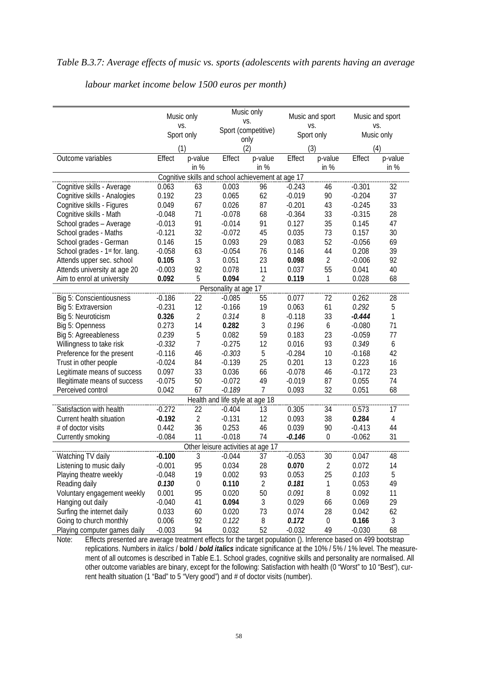#### *Table B.3.7: Average effects of music vs. sports (adolescents with parents having an average*

|                                            | Music only |                   |                                    | Music only<br>VS.                                           |          | Music and sport   | Music and sport |                   |
|--------------------------------------------|------------|-------------------|------------------------------------|-------------------------------------------------------------|----------|-------------------|-----------------|-------------------|
|                                            |            | VS.<br>Sport only |                                    | Sport (competitive)                                         |          | VS.<br>Sport only |                 | VS.<br>Music only |
|                                            |            | (1)               |                                    | only<br>(2)                                                 |          | (3)               |                 | (4)               |
| Outcome variables                          | Effect     | p-value           | Effect                             | p-value                                                     | Effect   | p-value           | Effect          | p-value           |
|                                            |            | in %              |                                    | in $%$<br>Cognitive skills and school achievement at age 17 |          | in %              |                 | in $%$            |
| Cognitive skills - Average                 | 0.063      | 63                | 0.003                              | 96                                                          | $-0.243$ | 46                | $-0.301$        | 32                |
| Cognitive skills - Analogies               | 0.192      | 23                | 0.065                              | 62                                                          | $-0.019$ | 90                | $-0.204$        | 37                |
| Cognitive skills - Figures                 | 0.049      | 67                | 0.026                              | 87                                                          | $-0.201$ | 43                | $-0.245$        | 33                |
| Cognitive skills - Math                    | $-0.048$   | 71                | $-0.078$                           | 68                                                          | $-0.364$ | 33                | $-0.315$        | 28                |
| School grades - Average                    | $-0.013$   | 91                | $-0.014$                           | 91                                                          | 0.127    | 35                | 0.145           | 47                |
| School grades - Maths                      | $-0.121$   | 32                | $-0.072$                           | 45                                                          | 0.035    | 73                | 0.157           | 30                |
| School grades - German                     | 0.146      | 15                | 0.093                              | 29                                                          | 0.083    | 52                | $-0.056$        | 69                |
| School grades - 1 <sup>st</sup> for. lang. | $-0.058$   | 63                | $-0.054$                           | 76                                                          | 0.146    | 44                | 0.208           | 39                |
| Attends upper sec. school                  | 0.105      | 3                 | 0.051                              | 23                                                          | 0.098    | $\overline{2}$    | $-0.006$        | 92                |
| Attends university at age 20               | $-0.003$   | 92                | 0.078                              | 11                                                          | 0.037    | 55                | 0.041           | 40                |
| Aim to enrol at university                 | 0.092      | 5                 | 0.094                              | $\overline{2}$                                              | 0.119    | 1                 | 0.028           | 68                |
|                                            |            |                   | Personality at age 17              |                                                             |          |                   |                 |                   |
| Big 5: Conscientiousness                   | $-0.186$   | 22                | $-0.085$                           | 55                                                          | 0.077    | 72                | 0.262           | 28                |
| Big 5: Extraversion                        | $-0.231$   | 12                | $-0.166$                           | 19                                                          | 0.063    | 61                | 0.292           | 5                 |
| Big 5: Neuroticism                         | 0.326      | $\overline{2}$    | 0.314                              | 8                                                           | $-0.118$ | 33                | $-0.444$        | 1                 |
| Big 5: Openness                            | 0.273      | 14                | 0.282                              | 3                                                           | 0.196    | 6                 | $-0.080$        | 71                |
| Big 5: Agreeableness                       | 0.239      | 5                 | 0.082                              | 59                                                          | 0.183    | 23                | $-0.059$        | 77                |
| Willingness to take risk                   | $-0.332$   | 7                 | $-0.275$                           | 12                                                          | 0.016    | 93                | 0.349           | 6                 |
| Preference for the present                 | $-0.116$   | 46                | $-0.303$                           | 5                                                           | $-0.284$ | 10                | $-0.168$        | 42                |
| Trust in other people                      | $-0.024$   | 84                | $-0.139$                           | 25                                                          | 0.201    | 13                | 0.223           | 16                |
| Legitimate means of success                | 0.097      | 33                | 0.036                              | 66                                                          | $-0.078$ | 46                | $-0.172$        | 23                |
| Illegitimate means of success              | $-0.075$   | 50                | $-0.072$                           | 49                                                          | $-0.019$ | 87                | 0.055           | 74                |
| Perceived control                          | 0.042      | 67                | $-0.189$                           | $\overline{7}$                                              | 0.093    | 32                | 0.051           | 68                |
|                                            |            |                   | Health and life style at age 18    |                                                             |          |                   |                 |                   |
| Satisfaction with health                   | $-0.272$   | 22                | $-0.404$                           | 13                                                          | 0.305    | 34                | 0.573           | 17                |
| Current health situation                   | $-0.192$   | $\overline{2}$    | $-0.131$                           | 12                                                          | 0.093    | 38                | 0.284           | $\overline{4}$    |
| # of doctor visits                         | 0.442      | 36                | 0.253                              | 46                                                          | 0.039    | 90                | $-0.413$        | 44                |
| Currently smoking                          | $-0.084$   | 11                | $-0.018$                           | 74                                                          | $-0.146$ | $\mathbf 0$       | $-0.062$        | 31                |
|                                            |            |                   | Other leisure activities at age 17 |                                                             |          |                   |                 |                   |
| Watching TV daily                          | $-0.100$   | 3                 | $-0.044$                           | 37                                                          | $-0.053$ | 30                | 0.047           | 48                |
| Listening to music daily                   | $-0.001$   | 95                | 0.034                              | 28                                                          | 0.070    | $\sqrt{2}$        | 0.072           | 14                |
| Playing theatre weekly                     | $-0.048$   | 19                | 0.002                              | 93                                                          | 0.053    | 25                | 0.103           | 5                 |
| Reading daily                              | 0.130      | $\boldsymbol{0}$  | 0.110                              | 2                                                           | 0.181    | 1                 | 0.053           | 49                |
| Voluntary engagement weekly                | 0.001      | 95                | 0.020                              | 50                                                          | 0.091    | 8                 | 0.092           | 11                |
| Hanging out daily                          | $-0.040$   | 41                | 0.094                              | 3                                                           | 0.029    | 66                | 0.069           | 29                |
| Surfing the internet daily                 | 0.033      | 60                | 0.020                              | 73                                                          | 0.074    | 28                | 0.042           | 62                |
| Going to church monthly                    | 0.006      | 92                | 0.122                              | 8                                                           | 0.172    | $\boldsymbol{0}$  | 0.166           | 3                 |
| Playing computer games daily               | $-0.003$   | 94                | 0.032                              | 52                                                          | $-0.032$ | 49                | $-0.030$        | 68                |

#### *labour market income below 1500 euros per month)*

Note: Effects presented are average treatment effects for the target population (). Inference based on 499 bootstrap replications. Numbers in *italics* / **bold** / *bold italics* indicate significance at the 10% / 5% / 1% level. The measurement of all outcomes is described in Table E.1. School grades, cognitive skills and personality are normalised. All other outcome variables are binary, except for the following: Satisfaction with health (0 "Worst" to 10 "Best"), current health situation (1 "Bad" to 5 "Very good") and # of doctor visits (number).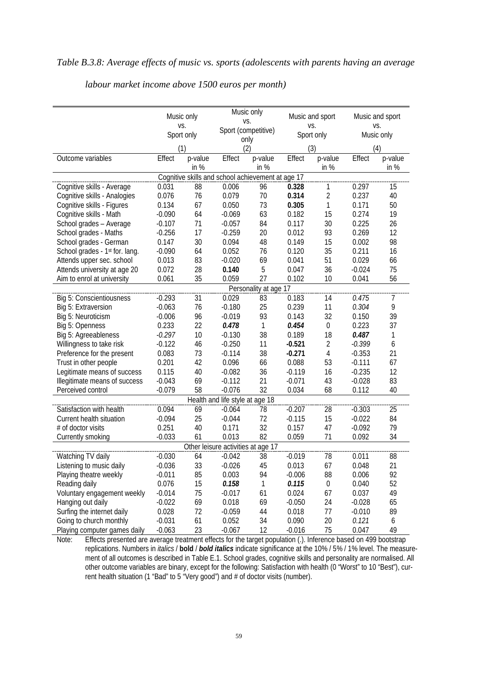#### *Table B.3.8: Average effects of music vs. sports (adolescents with parents having an average*

|                                            | Music only |                   |                                 | Music only<br>VS.                                 |          | Music and sport   | Music and sport |                   |
|--------------------------------------------|------------|-------------------|---------------------------------|---------------------------------------------------|----------|-------------------|-----------------|-------------------|
|                                            |            | VS.<br>Sport only |                                 | Sport (competitive)                               |          | VS.<br>Sport only |                 | VS.<br>Music only |
|                                            |            | (1)               |                                 | only<br>(2)                                       |          | (3)               |                 | (4)               |
| Outcome variables                          | Effect     | p-value           | Effect                          | p-value                                           | Effect   | p-value           | Effect          | p-value           |
|                                            |            | in %              |                                 | in $%$                                            |          | in %              |                 | in $%$            |
|                                            |            |                   |                                 | Cognitive skills and school achievement at age 17 |          |                   |                 |                   |
| Cognitive skills - Average                 | 0.031      | 88                | 0.006                           | 96                                                | 0.328    | 1                 | 0.297           | 15                |
| Cognitive skills - Analogies               | 0.076      | 76                | 0.079                           | 70                                                | 0.314    | $\overline{2}$    | 0.237           | 40                |
| Cognitive skills - Figures                 | 0.134      | 67                | 0.050                           | 73                                                | 0.305    | 1                 | 0.171           | 50                |
| Cognitive skills - Math                    | $-0.090$   | 64                | $-0.069$                        | 63                                                | 0.182    | 15                | 0.274           | 19                |
| School grades - Average                    | $-0.107$   | 71                | $-0.057$                        | 84                                                | 0.117    | 30                | 0.225           | 26                |
| School grades - Maths                      | $-0.256$   | 17                | $-0.259$                        | 20                                                | 0.012    | 93                | 0.269           | 12                |
| School grades - German                     | 0.147      | 30                | 0.094                           | 48                                                | 0.149    | 15                | 0.002           | 98                |
| School grades - 1 <sup>st</sup> for. lang. | $-0.090$   | 64                | 0.052                           | 76                                                | 0.120    | 35                | 0.211           | 16                |
| Attends upper sec. school                  | 0.013      | 83                | $-0.020$                        | 69                                                | 0.041    | 51                | 0.029           | 66                |
| Attends university at age 20               | 0.072      | 28                | 0.140                           | 5                                                 | 0.047    | 36                | $-0.024$        | 75                |
| Aim to enrol at university                 | 0.061      | 35                | 0.059                           | 27                                                | 0.102    | 10                | 0.041           | 56                |
|                                            |            |                   |                                 | Personality at age 17                             |          |                   |                 |                   |
| Big 5: Conscientiousness                   | $-0.293$   | 31                | 0.029                           | 83                                                | 0.183    | 14                | 0.475           | 7                 |
| Big 5: Extraversion                        | $-0.063$   | 76                | $-0.180$                        | 25                                                | 0.239    | 11                | 0.304           | 9                 |
| Big 5: Neuroticism                         | $-0.006$   | 96                | $-0.019$                        | 93                                                | 0.143    | 32                | 0.150           | 39                |
| Big 5: Openness                            | 0.233      | 22                | 0.478                           | 1                                                 | 0.454    | $\mathbf 0$       | 0.223           | 37                |
| Big 5: Agreeableness                       | $-0.297$   | 10                | $-0.130$                        | 38                                                | 0.189    | 18                | 0.487           | 1                 |
| Willingness to take risk                   | $-0.122$   | 46                | $-0.250$                        | 11                                                | $-0.521$ | $\overline{2}$    | $-0.399$        | 6                 |
| Preference for the present                 | 0.083      | 73                | $-0.114$                        | 38                                                | $-0.271$ | 4                 | $-0.353$        | 21                |
| Trust in other people                      | 0.201      | 42                | 0.096                           | 66                                                | 0.088    | 53                | $-0.111$        | 67                |
| Legitimate means of success                | 0.115      | 40                | $-0.082$                        | 36                                                | $-0.119$ | 16                | $-0.235$        | 12                |
| Illegitimate means of success              | $-0.043$   | 69                | $-0.112$                        | 21                                                | $-0.071$ | 43                | $-0.028$        | 83                |
| Perceived control                          | $-0.079$   | 58                | $-0.076$                        | 32                                                | 0.034    | 68                | 0.112           | 40                |
|                                            |            |                   | Health and life style at age 18 |                                                   |          |                   |                 |                   |
| Satisfaction with health                   | 0.094      | 69                | $-0.064$                        | 78                                                | $-0.207$ | 28                | $-0.303$        | 25                |
| Current health situation                   | $-0.094$   | 25                | $-0.044$                        | 72                                                | $-0.115$ | 15                | $-0.022$        | 84                |
| # of doctor visits                         | 0.251      | 40                | 0.171                           | 32                                                | 0.157    | 47                | $-0.092$        | 79                |
| Currently smoking                          | $-0.033$   | 61                | 0.013                           | 82                                                | 0.059    | 71                | 0.092           | 34                |
|                                            |            |                   |                                 | Other leisure activities at age 17                |          |                   |                 |                   |
| Watching TV daily                          | $-0.030$   | 64                | $-0.042$                        | 38                                                | $-0.019$ | 78                | 0.011           | 88                |
| Listening to music daily                   | $-0.036$   | 33                | $-0.026$                        | 45                                                | 0.013    | 67                | 0.048           | 21                |
| Playing theatre weekly                     | $-0.011$   | 85                | 0.003                           | 94                                                | $-0.006$ | 88                | 0.006           | 92                |
| Reading daily                              | 0.076      | 15                | 0.158                           | 1                                                 | 0.115    | $\boldsymbol{0}$  | 0.040           | 52                |
| Voluntary engagement weekly                | $-0.014$   | 75                | $-0.017$                        | 61                                                | 0.024    | 67                | 0.037           | 49                |
| Hanging out daily                          | $-0.022$   | 69                | 0.018                           | 69                                                | $-0.050$ | 24                | $-0.028$        | 65                |
| Surfing the internet daily                 | 0.028      | 72                | $-0.059$                        | 44                                                | 0.018    | 77                | $-0.010$        | 89                |
| Going to church monthly                    | $-0.031$   | 61                | 0.052                           | 34                                                | 0.090    | 20                | 0.121           | 6                 |
| Playing computer games daily               | $-0.063$   | 23                | $-0.067$                        | 12                                                | $-0.016$ | 75                | 0.047           | 49                |

#### *labour market income above 1500 euros per month)*

Note: Effects presented are average treatment effects for the target population (.). Inference based on 499 bootstrap replications. Numbers in *italics* / **bold** / *bold italics* indicate significance at the 10% / 5% / 1% level. The measurement of all outcomes is described in Table E.1. School grades, cognitive skills and personality are normalised. All other outcome variables are binary, except for the following: Satisfaction with health (0 "Worst" to 10 "Best"), current health situation (1 "Bad" to 5 "Very good") and # of doctor visits (number).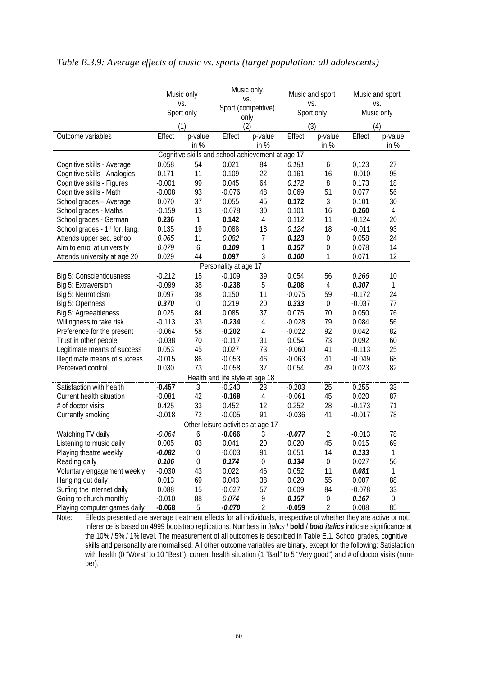|                                            | Music only |                  | Music only<br>VS.                  |                                                   | Music and sport |                  | Music and sport |                  |
|--------------------------------------------|------------|------------------|------------------------------------|---------------------------------------------------|-----------------|------------------|-----------------|------------------|
|                                            | VS.        |                  |                                    | Sport (competitive)                               |                 | VS.              |                 | VS.              |
|                                            |            | Sport only       |                                    | only                                              |                 | Sport only       |                 | Music only       |
|                                            | (1)        |                  |                                    | (2)                                               |                 | (3)              |                 | (4)              |
| Outcome variables                          | Effect     | p-value          | Effect                             | p-value                                           | Effect          | p-value          | Effect          | p-value          |
|                                            |            | in %             |                                    | in $%$                                            |                 | in $%$           |                 | in $%$           |
|                                            |            |                  |                                    | Cognitive skills and school achievement at age 17 |                 |                  |                 |                  |
| Cognitive skills - Average                 | 0.058      | 54               | 0.021                              | 84                                                | 0.181           | 6                | 0,123           | 27               |
| Cognitive skills - Analogies               | 0.171      | 11               | 0.109                              | 22                                                | 0.161           | 16               | $-0.010$        | 95               |
| Cognitive skills - Figures                 | $-0.001$   | 99               | 0.045                              | 64                                                | 0.172           | 8                | 0.173           | 18               |
| Cognitive skills - Math                    | $-0.008$   | 93               | $-0.076$                           | 48                                                | 0.069           | 51               | 0.077           | 56               |
| School grades - Average                    | 0.070      | 37               | 0.055                              | 45                                                | 0.172           | 3                | 0.101           | 30               |
| School grades - Maths                      | $-0.159$   | 13               | $-0.078$                           | 30                                                | 0.101           | 16               | 0.260           | 4                |
| School grades - German                     | 0.236      | 1                | 0.142                              | 4                                                 | 0.112           | 11               | $-0.124$        | 20               |
| School grades - 1 <sup>st</sup> for. lang. | 0.135      | 19               | 0.088                              | 18                                                | 0.124           | 18               | $-0.011$        | 93               |
| Attends upper sec. school                  | 0.065      | 11               | 0.082                              | 7                                                 | 0.123           | $\boldsymbol{0}$ | 0.058           | 24               |
| Aim to enrol at university                 | 0.079      | 6                | 0.109                              | 1                                                 | 0.157           | 0                | 0.078           | 14               |
| Attends university at age 20               | 0.029      | 44               | 0.097                              | 3                                                 | 0.100           | 1                | 0.071           | 12               |
|                                            |            |                  | Personality at age 17              |                                                   |                 |                  |                 |                  |
| Big 5: Conscientiousness                   | $-0.212$   | 15               | $-0.109$                           | 39                                                | 0.054           | 56               | 0.266           | 10               |
| Big 5: Extraversion                        | $-0.099$   | 38               | $-0.238$                           | 5                                                 | 0.208           | $\overline{4}$   | 0.307           | $\mathbf{1}$     |
| Big 5: Neuroticism                         | 0.097      | 38               | 0.150                              | 11                                                | $-0.075$        | 59               | $-0.172$        | 24               |
| Big 5: Openness                            | 0.370      | $\boldsymbol{0}$ | 0.219                              | 20                                                | 0.333           | $\boldsymbol{0}$ | $-0.037$        | 77               |
| Big 5: Agreeableness                       | 0.025      | 84               | 0.085                              | 37                                                | 0.075           | 70               | 0.050           | 76               |
| Willingness to take risk                   | $-0.113$   | 33               | $-0.234$                           | 4                                                 | $-0.028$        | 79               | 0.084           | 56               |
| Preference for the present                 | $-0.064$   | 58               | $-0.202$                           | 4                                                 | $-0.022$        | 92               | 0.042           | 82               |
| Trust in other people                      | $-0.038$   | 70               | $-0.117$                           | 31                                                | 0.054           | 73               | 0.092           | 60               |
| Legitimate means of success                | 0.053      | 45               | 0.027                              | 73                                                | $-0.060$        | 41               | $-0.113$        | 25               |
| Illegitimate means of success              | $-0.015$   | 86               | $-0.053$                           | 46                                                | $-0.063$        | 41               | $-0.049$        | 68               |
| Perceived control                          | 0.030      | 73               | $-0.058$                           | 37                                                | 0.054           | 49               | 0.023           | 82               |
|                                            |            |                  | Health and life style at age 18    |                                                   |                 |                  |                 |                  |
| Satisfaction with health                   | $-0.457$   | 3                | $-0.240$                           | 23                                                | $-0.203$        | 25               | 0.255           | 33               |
| Current health situation                   | $-0.081$   | 42               | $-0.168$                           | $\overline{4}$                                    | $-0.061$        | 45               | 0.020           | 87               |
| # of doctor visits                         | 0.425      | 33               | 0.452                              | 12                                                | 0.252           | 28               | $-0.173$        | 71               |
| Currently smoking                          | $-0.018$   | 72               | $-0.005$                           | 91                                                | $-0.036$        | 41               | $-0.017$        | 78               |
|                                            |            |                  | Other leisure activities at age 17 |                                                   |                 |                  |                 |                  |
| Watching TV daily                          | $-0.064$   | 6                | $-0.066$                           | 3                                                 | $-0.077$        | $\overline{2}$   | $-0.013$        | 78               |
| Listening to music daily                   | 0.005      | 83               | 0.041                              | 20                                                | 0.020           | 45               | 0.015           | 69               |
| Playing theatre weekly                     | $-0.082$   | $\mathbf 0$      | $-0.003$                           | 91                                                | 0.051           | 14               | 0.133           | 1                |
| Reading daily                              | 0.106      | $\boldsymbol{0}$ | 0.174                              | $\boldsymbol{0}$                                  | 0.134           | 0                | 0.027           | 56               |
| Voluntary engagement weekly                | $-0.030$   | 43               | 0.022                              | 46                                                | 0.052           | 11               | 0.081           | 1                |
| Hanging out daily                          | 0.013      | 69               | 0.043                              | 38                                                | 0.020           | 55               | 0.007           | 88               |
| Surfing the internet daily                 | 0.088      | 15               | $-0.027$                           | 57                                                | 0.009           | 84               | $-0.078$        | 33               |
| Going to church monthly                    | $-0.010$   | 88               | 0.074                              | 9                                                 | 0.157           | $\boldsymbol{0}$ | 0.167           | $\boldsymbol{0}$ |
| Playing computer games daily               |            |                  |                                    |                                                   |                 |                  |                 |                  |

#### *Table B.3.9: Average effects of music vs. sports (target population: all adolescents)*

Note: Effects presented are average treatment effects for all individuals, irrespective of whether they are active or not. Inference is based on 4999 bootstrap replications. Numbers in *italics* / **bold** / *bold italics* indicate significance at the 10% / 5% / 1% level. The measurement of all outcomes is described in Table E.1. School grades, cognitive skills and personality are normalised. All other outcome variables are binary, except for the following: Satisfaction with health (0 "Worst" to 10 "Best"), current health situation (1 "Bad" to 5 "Very good") and # of doctor visits (number).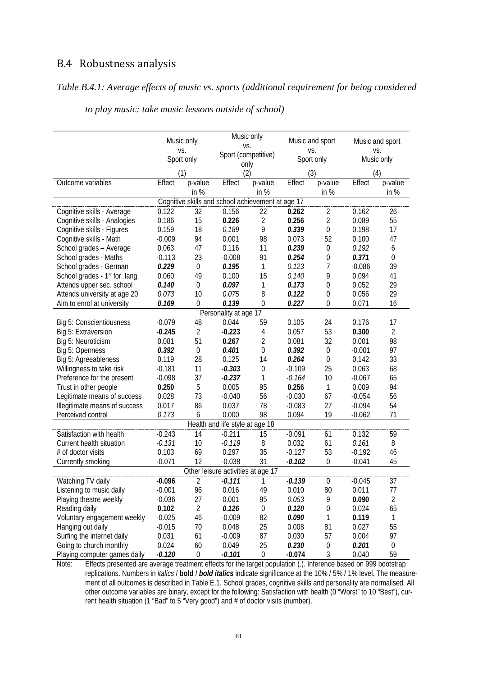### B.4 Robustness analysis

#### *Table B.4.1: Average effects of music vs. sports (additional requirement for being considered*

|                                            | Music only<br>VS.<br>Sport only |                  | Music only<br>VS.<br>Sport (competitive) |                                                   | Music and sport<br>VS.<br>Sport only |                  |          | Music and sport<br>VS. |  |
|--------------------------------------------|---------------------------------|------------------|------------------------------------------|---------------------------------------------------|--------------------------------------|------------------|----------|------------------------|--|
|                                            |                                 |                  |                                          | only<br>(2)                                       |                                      | (3)              |          | Music only             |  |
| Outcome variables                          | Effect                          | (1)<br>p-value   | Effect                                   | p-value                                           | Effect                               | p-value          | Effect   | (4)<br>p-value         |  |
|                                            |                                 | in %             |                                          | in $%$                                            |                                      | in $%$           |          | in $%$                 |  |
|                                            |                                 |                  |                                          | Cognitive skills and school achievement at age 17 |                                      |                  |          |                        |  |
| Cognitive skills - Average                 | 0.122                           | 32               | 0.156                                    | 22                                                | 0.262                                | $\overline{2}$   | 0.162    | 26                     |  |
| Cognitive skills - Analogies               | 0.186                           | 15               | 0.226                                    | $\sqrt{2}$                                        | 0.256                                | $\overline{2}$   | 0.089    | 55                     |  |
| Cognitive skills - Figures                 | 0.159                           | 18               | 0.189                                    | 9                                                 | 0.339                                | $\boldsymbol{0}$ | 0.198    | 17                     |  |
| Cognitive skills - Math                    | $-0.009$                        | 94               | 0.001                                    | 98                                                | 0.073                                | 52               | 0.100    | 47                     |  |
| School grades - Average                    | 0.063                           | 47               | 0.116                                    | 11                                                | 0.239                                | $\boldsymbol{0}$ | 0.192    | $\boldsymbol{6}$       |  |
| School grades - Maths                      | $-0.113$                        | 23               | $-0.008$                                 | 91                                                | 0.254                                | $\boldsymbol{0}$ | 0.371    | $\mathbf 0$            |  |
| School grades - German                     | 0.229                           | $\mathbf 0$      | 0.195                                    | $\mathbf{1}$                                      | 0.123                                | 7                | $-0.086$ | 39                     |  |
| School grades - 1 <sup>st</sup> for. lang. | 0.060                           | 49               | 0.100                                    | 15                                                | 0.140                                | 9                | 0.094    | 41                     |  |
| Attends upper sec. school                  | 0.140                           | $\boldsymbol{0}$ | 0.097                                    | 1                                                 | 0.173                                | $\boldsymbol{0}$ | 0.052    | 29                     |  |
| Attends university at age 20               | 0.073                           | 10               | 0.075                                    | 8                                                 | 0.122                                | 0                | 0.056    | 29                     |  |
| Aim to enrol at university                 | 0.169                           | 0                | 0.139                                    | $\boldsymbol{0}$                                  | 0.227                                | 0                | 0.071    | 16                     |  |
|                                            |                                 |                  | Personality at age 17                    |                                                   |                                      |                  |          |                        |  |
| Big 5: Conscientiousness                   | $-0.079$                        | 48               | 0.044                                    | 59                                                | 0.105                                | 24               | 0.176    | 17                     |  |
| Big 5: Extraversion                        | $-0.245$                        | $\overline{2}$   | $-0.223$                                 | 4                                                 | 0.057                                | 53               | 0.300    | $\overline{2}$         |  |
| Big 5: Neuroticism                         | 0.081                           | 51               | 0.267                                    | $\overline{2}$                                    | 0.081                                | 32               | 0.001    | 98                     |  |
| Big 5: Openness                            | 0.392                           | $\boldsymbol{0}$ | 0.401                                    | $\boldsymbol{0}$                                  | 0.392                                | $\boldsymbol{0}$ | $-0.001$ | 97                     |  |
| Big 5: Agreeableness                       | 0.119                           | 28               | 0.125                                    | 14                                                | 0.264                                | $\boldsymbol{0}$ | 0.142    | 33                     |  |
| Willingness to take risk                   | $-0.181$                        | 11               | $-0.303$                                 | $\boldsymbol{0}$                                  | $-0.109$                             | 25               | 0.063    | 68                     |  |
| Preference for the present                 | $-0.098$                        | 37               | $-0.237$                                 | 1                                                 | $-0.164$                             | 10               | $-0.067$ | 65                     |  |
| Trust in other people                      | 0.250                           | 5                | 0.005                                    | 95                                                | 0.256                                | 1                | 0.009    | 94                     |  |
| Legitimate means of success                | 0.028                           | 73               | $-0.040$                                 | 56                                                | $-0.030$                             | 67               | $-0.054$ | 56                     |  |
| Illegitimate means of success              | 0.017                           | 86               | 0.037                                    | 78                                                | $-0.083$                             | 27               | $-0.094$ | 54                     |  |
| Perceived control                          | 0.173                           | 6                | 0.000                                    | 98                                                | 0.094                                | 19               | $-0.062$ | 71                     |  |
|                                            |                                 |                  | Health and life style at age 18          |                                                   |                                      |                  |          |                        |  |
| Satisfaction with health                   | $-0.243$                        | 14               | $-0.211$                                 | 15                                                | $-0.091$                             | 61               | 0.132    | 59                     |  |
| Current health situation                   | $-0.131$                        | 10               | $-0.119$                                 | 8                                                 | 0.032                                | 61               | 0.161    | 8                      |  |
| # of doctor visits                         | 0.103                           | 69               | 0.297                                    | 35                                                | $-0.127$                             | 53               | $-0.192$ | 46                     |  |
| Currently smoking                          | $-0.071$                        | 12               | $-0.038$                                 | 31                                                | $-0.102$                             | 0                | $-0.041$ | 45                     |  |
|                                            |                                 |                  |                                          | Other leisure activities at age 17                |                                      |                  |          |                        |  |
| Watching TV daily                          | $-0.096$                        | $\overline{2}$   | $-0.111$                                 | 1                                                 | $-0.139$                             | $\boldsymbol{0}$ | $-0.045$ | 37                     |  |
| Listening to music daily                   | $-0.001$                        | 96               | 0.016                                    | 49                                                | 0.010                                | 80               | 0.011    | 77                     |  |
| Playing theatre weekly                     | $-0.036$                        | 27               | 0.001                                    | 95                                                | 0.053                                | 9                | 0.090    | $\overline{2}$         |  |
| Reading daily                              | 0.102                           | $\overline{2}$   | 0.126                                    | $\boldsymbol{0}$                                  | 0.120                                | $\boldsymbol{0}$ | 0.024    | 65                     |  |
| Voluntary engagement weekly                | $-0.025$                        | 46               | $-0.009$                                 | 82                                                | 0.090                                | 1                | 0.119    | $\mathbf{1}$           |  |
| Hanging out daily                          | $-0.015$                        | 70               | 0.048                                    | 25                                                | 0.008                                | 81               | 0.027    | 55                     |  |
| Surfing the internet daily                 | 0.031                           | 61               | $-0.009$                                 | 87                                                | 0.030                                | 57               | 0.004    | 97                     |  |
| Going to church monthly                    | 0.024                           | 60               | 0.049                                    | 25                                                | 0.230                                | 0                | 0.201    | $\boldsymbol{0}$       |  |
| Playing computer games daily               | $-0.120$                        | $\boldsymbol{0}$ | $-0.101$                                 | $\boldsymbol{0}$                                  | $-0.074$                             | $\mathfrak{Z}$   | 0.040    | 59                     |  |

*to play music: take music lessons outside of school)*

Note: Effects presented are average treatment effects for the target population (.). Inference based on 999 bootstrap replications. Numbers in *italics* / **bold** / *bold italics* indicate significance at the 10% / 5% / 1% level. The measurement of all outcomes is described in Table E.1. School grades, cognitive skills and personality are normalised. All other outcome variables are binary, except for the following: Satisfaction with health (0 "Worst" to 10 "Best"), current health situation (1 "Bad" to 5 "Very good") and # of doctor visits (number).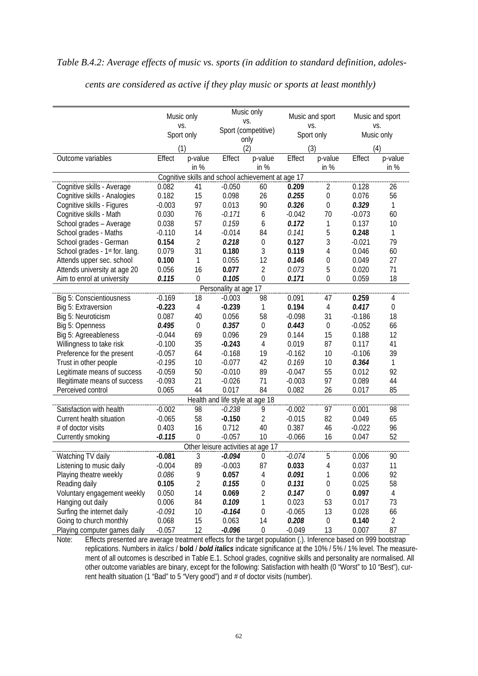#### *Table B.4.2: Average effects of music vs. sports (in addition to standard definition, adoles-*

|                                            |            | Music only     |                                 | Music only                                        |            | Music and sport  |            | Music and sport |
|--------------------------------------------|------------|----------------|---------------------------------|---------------------------------------------------|------------|------------------|------------|-----------------|
|                                            | VS.        |                | VS.<br>Sport (competitive)      |                                                   | VS.        |                  | VS.        |                 |
|                                            | Sport only |                |                                 |                                                   | Sport only |                  | Music only |                 |
|                                            | (1)        |                | only<br>(2)                     |                                                   | (3)        |                  | (4)        |                 |
| Outcome variables                          | Effect     | p-value        | Effect                          | p-value                                           | Effect     | p-value          | Effect     | p-value         |
|                                            |            | in %           |                                 | in $%$                                            |            | in $%$           |            | in $%$          |
|                                            |            |                |                                 | Cognitive skills and school achievement at age 17 |            |                  |            |                 |
| Cognitive skills - Average                 | 0.082      | 41             | $-0.050$                        | 60                                                | 0.209      | 2                | 0.128      | 26              |
| Cognitive skills - Analogies               | 0.182      | 15             | 0.098                           | 26                                                | 0.255      | $\mathbf 0$      | 0.076      | 56              |
| Cognitive skills - Figures                 | $-0.003$   | 97             | 0.013                           | 90                                                | 0.326      | $\mathbf 0$      | 0.329      | $\mathbf{1}$    |
| Cognitive skills - Math                    | 0.030      | 76             | $-0.171$                        | 6                                                 | $-0.042$   | 70               | $-0.073$   | 60              |
| School grades - Average                    | 0.038      | 57             | 0.159                           | 6                                                 | 0.172      | 1                | 0.137      | 10              |
| School grades - Maths                      | $-0.110$   | 14             | $-0.014$                        | 84                                                | 0.141      | 5                | 0.248      | $\mathbf{1}$    |
| School grades - German                     | 0.154      | $\overline{2}$ | 0.218                           | $\boldsymbol{0}$                                  | 0.127      | 3                | $-0.021$   | 79              |
| School grades - 1 <sup>st</sup> for. lang. | 0.079      | 31             | 0.180                           | 3                                                 | 0.119      | 4                | 0.046      | 60              |
| Attends upper sec. school                  | 0.100      | 1              | 0.055                           | 12                                                | 0.146      | $\boldsymbol{0}$ | 0.049      | 27              |
| Attends university at age 20               | 0.056      | 16             | 0.077                           | $\overline{2}$                                    | 0.073      | 5                | 0.020      | 71              |
| Aim to enrol at university                 | 0.115      | 0              | 0.105                           | $\boldsymbol{0}$                                  | 0.171      | 0                | 0.059      | 18              |
|                                            |            |                | Personality at age 17           |                                                   |            |                  |            |                 |
| Big 5: Conscientiousness                   | $-0.169$   | 18             | $-0.003$                        | 98                                                | 0.091      | 47               | 0.259      | $\overline{4}$  |
| Big 5: Extraversion                        | $-0.223$   | 4              | $-0.239$                        | 1                                                 | 0.194      | 4                | 0.417      | $\mathbf 0$     |
| Big 5: Neuroticism                         | 0.087      | 40             | 0.056                           | 58                                                | $-0.098$   | 31               | $-0.186$   | 18              |
| Big 5: Openness                            | 0.495      | $\mathbf 0$    | 0.357                           | $\boldsymbol{0}$                                  | 0.443      | $\boldsymbol{0}$ | $-0.052$   | 66              |
| Big 5: Agreeableness                       | $-0.044$   | 69             | 0.096                           | 29                                                | 0.144      | 15               | 0.188      | 12              |
| Willingness to take risk                   | $-0.100$   | 35             | $-0.243$                        | 4                                                 | 0.019      | 87               | 0.117      | 41              |
| Preference for the present                 | $-0.057$   | 64             | $-0.168$                        | 19                                                | $-0.162$   | 10               | $-0.106$   | 39              |
| Trust in other people                      | $-0.195$   | 10             | $-0.077$                        | 42                                                | 0.169      | 10               | 0.364      | $\mathbf{1}$    |
| Legitimate means of success                | $-0.059$   | 50             | $-0.010$                        | 89                                                | $-0.047$   | 55               | 0.012      | 92              |
| Illegitimate means of success              | $-0.093$   | 21             | $-0.026$                        | 71                                                | $-0.003$   | 97               | 0.089      | 44              |
| Perceived control                          | 0.065      | 44             | 0.017                           | 84                                                | 0.082      | 26               | 0.017      | 85              |
|                                            |            |                | Health and life style at age 18 |                                                   |            |                  |            |                 |
| Satisfaction with health                   | $-0.002$   | 98             | $-0.238$                        | 9                                                 | $-0.002$   | 97               | 0.001      | 98              |
| Current health situation                   | $-0.065$   | 58             | $-0.150$                        | $\overline{2}$                                    | $-0.015$   | 82               | 0.049      | 65              |
| # of doctor visits                         | 0.403      | 16             | 0.712                           | 40                                                | 0.387      | 46               | $-0.022$   | 96              |
| Currently smoking                          | $-0.115$   | $\mathbf 0$    | $-0.057$                        | 10                                                | $-0.066$   | 16               | 0.047      | 52              |
|                                            |            |                |                                 | Other leisure activities at age 17                |            |                  |            |                 |
| Watching TV daily                          | $-0.081$   | 3              | $-0.094$                        | 0                                                 | $-0.074$   | 5                | 0.006      | 90              |
| Listening to music daily                   | $-0.004$   | 89             | $-0.003$                        | 87                                                | 0.033      | 4                | 0.037      | 11              |
| Playing theatre weekly                     | 0.086      | 9              | 0.057                           | 4                                                 | 0.091      | 1                | 0.006      | 92              |
| Reading daily                              | 0.105      | 2              | 0.155                           | $\boldsymbol{0}$                                  | 0.131      | $\boldsymbol{0}$ | 0.025      | 58              |
| Voluntary engagement weekly                | 0.050      | 14             | 0.069                           | $\overline{\mathbf{c}}$                           | 0.147      | $\boldsymbol{0}$ | 0.097      | $\overline{4}$  |
| Hanging out daily                          | 0.006      | 84             | 0.109                           | 1                                                 | 0.023      | 53               | 0.017      | 73              |
| Surfing the internet daily                 | $-0.091$   | 10             | $-0.164$                        | $\boldsymbol{0}$                                  | $-0.065$   | 13               | 0.028      | 66              |
| Going to church monthly                    | 0.068      | 15             | 0.063                           | 14                                                | 0.208      | $\boldsymbol{0}$ | 0.140      | $\overline{2}$  |
| Playing computer games daily               | $-0.057$   | 12             | $-0.096$                        | 0                                                 | $-0.049$   | 13               | 0.007      | 87              |

*cents are considered as active if they play music or sports at least monthly)*

Note: Effects presented are average treatment effects for the target population (.). Inference based on 999 bootstrap replications. Numbers in *italics* / **bold** / *bold italics* indicate significance at the 10% / 5% / 1% level. The measurement of all outcomes is described in Table E.1. School grades, cognitive skills and personality are normalised. All other outcome variables are binary, except for the following: Satisfaction with health (0 "Worst" to 10 "Best"), current health situation (1 "Bad" to 5 "Very good") and # of doctor visits (number).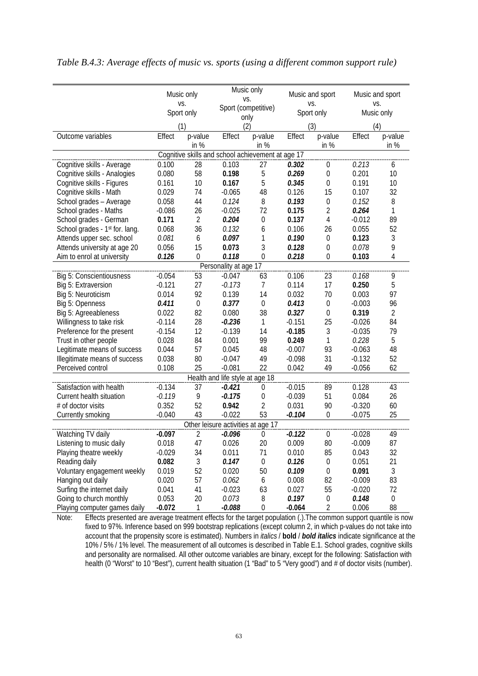|                                            | Music only        |                | Music only<br>VS.               |                                                   | Music and sport |                  | Music and sport |                  |
|--------------------------------------------|-------------------|----------------|---------------------------------|---------------------------------------------------|-----------------|------------------|-----------------|------------------|
|                                            | VS.<br>Sport only |                |                                 | Sport (competitive)                               | VS.             |                  | VS.             |                  |
|                                            |                   |                |                                 | Sport only<br>only                                |                 | Music only       |                 |                  |
|                                            |                   | (1)            |                                 | (2)                                               |                 | (3)              |                 | (4)              |
| Outcome variables                          | Effect            | p-value        | Effect                          | p-value                                           | Effect          | p-value          | Effect          | p-value          |
|                                            |                   | in %           |                                 | in %                                              |                 | in $%$           |                 | in $%$           |
|                                            |                   |                |                                 | Cognitive skills and school achievement at age 17 |                 |                  |                 |                  |
| Cognitive skills - Average                 | 0.100             | 28             | 0.103                           | 27                                                | 0.302           | $\boldsymbol{0}$ | 0.213           | 6                |
| Cognitive skills - Analogies               | 0.080             | 58             | 0.198                           | 5                                                 | 0.269           | $\boldsymbol{0}$ | 0.201           | 10               |
| Cognitive skills - Figures                 | 0.161             | 10             | 0.167                           | 5                                                 | 0.345           | 0                | 0.191           | 10               |
| Cognitive skills - Math                    | 0.029             | 74             | $-0.065$                        | 48                                                | 0.126           | 15               | 0.107           | 32               |
| School grades - Average                    | 0.058             | 44             | 0.124                           | 8                                                 | 0.193           | $\boldsymbol{0}$ | 0.152           | 8                |
| School grades - Maths                      | $-0.086$          | 26             | $-0.025$                        | 72                                                | 0.175           | $\overline{2}$   | 0.264           | 1                |
| School grades - German                     | 0.171             | $\overline{2}$ | 0.204                           | $\boldsymbol{0}$                                  | 0.137           | 4                | $-0.012$        | 89               |
| School grades - 1 <sup>st</sup> for. lang. | 0.068             | 36             | 0.132                           | 6                                                 | 0.106           | 26               | 0.055           | 52               |
| Attends upper sec. school                  | 0.081             | 6              | 0.097                           | 1                                                 | 0.190           | $\boldsymbol{0}$ | 0.123           | 3                |
| Attends university at age 20               | 0.056             | 15             | 0.073                           | 3                                                 | 0.128           | $\boldsymbol{0}$ | 0.078           | 9                |
| Aim to enrol at university                 | 0.126             | $\mathbf 0$    | 0.118                           | $\boldsymbol{0}$                                  | 0.218           | 0                | 0.103           | 4                |
| Personality at age 17                      |                   |                |                                 |                                                   |                 |                  |                 |                  |
| Big 5: Conscientiousness                   | $-0.054$          | 53             | $-0.047$                        | 63                                                | 0.106           | 23               | 0.168           | 9                |
| Big 5: Extraversion                        | $-0.121$          | 27             | $-0.173$                        | $\overline{7}$                                    | 0.114           | 17               | 0.250           | 5                |
| Big 5: Neuroticism                         | 0.014             | 92             | 0.139                           | 14                                                | 0.032           | 70               | 0.003           | 97               |
| Big 5: Openness                            | 0.411             | $\mathbf 0$    | 0.377                           | $\boldsymbol{0}$                                  | 0.413           | $\boldsymbol{0}$ | $-0.003$        | 96               |
| Big 5: Agreeableness                       | 0.022             | 82             | 0.080                           | 38                                                | 0.327           | 0                | 0.319           | $\overline{2}$   |
| Willingness to take risk                   | $-0.114$          | 28             | $-0.236$                        | 1                                                 | $-0.151$        | 25               | $-0.026$        | 84               |
| Preference for the present                 | $-0.154$          | 12             | $-0.139$                        | 14                                                | $-0.185$        | 3                | $-0.035$        | 79               |
| Trust in other people                      | 0.028             | 84             | 0.001                           | 99                                                | 0.249           | 1                | 0.228           | 5                |
| Legitimate means of success                | 0.044             | 57             | 0.045                           | 48                                                | $-0.007$        | 93               | $-0.063$        | 48               |
| Illegitimate means of success              | 0.038             | 80             | $-0.047$                        | 49                                                | $-0.098$        | 31               | $-0.132$        | 52               |
| Perceived control                          | 0.108             | 25             | $-0.081$                        | 22                                                | 0.042           | 49               | $-0.056$        | 62               |
|                                            |                   |                | Health and life style at age 18 |                                                   |                 |                  |                 |                  |
| Satisfaction with health                   | $-0.134$          | 37             | $-0.421$                        | 0                                                 | $-0.015$        | 89               | 0.128           | 43               |
| Current health situation                   | $-0.119$          | 9              | $-0.175$                        | $\boldsymbol{0}$                                  | $-0.039$        | 51               | 0.084           | 26               |
| # of doctor visits                         | 0.352             | 52             | 0.942                           | $\overline{2}$                                    | 0.031           | 90               | $-0.320$        | 60               |
| Currently smoking                          | $-0.040$          | 43             | $-0.022$                        | 53                                                | $-0.104$        | 0                | $-0.075$        | 25               |
| Other leisure activities at age 17         |                   |                |                                 |                                                   |                 |                  |                 |                  |
| Watching TV daily                          | $-0.097$          | $\overline{2}$ | $-0.096$                        | 0                                                 | $-0.122$        | $\mathbf 0$      | $-0.028$        | 49               |
| Listening to music daily                   | 0.018             | 47             | 0.026                           | 20                                                | 0.009           | 80               | $-0.009$        | 87               |
| Playing theatre weekly                     | $-0.029$          | 34             | 0.011                           | 71                                                | 0.010           | 85               | 0.043           | 32               |
| Reading daily                              | 0.082             | $\sqrt{3}$     | 0.147                           | 0                                                 | 0.126           | 0                | 0.051           | 21               |
| Voluntary engagement weekly                | 0.019             | 52             | 0.020                           | 50                                                | 0.109           | 0                | 0.091           | 3                |
| Hanging out daily                          | 0.020             | 57             | 0.062                           | 6                                                 | 0.008           | 82               | $-0.009$        | 83               |
| Surfing the internet daily                 | 0.041             | 41             | $-0.023$                        | 63                                                | 0.027           | 55               | $-0.020$        | 72               |
| Going to church monthly                    | 0.053             | 20             | 0.073                           | 8                                                 | 0.197           | $\boldsymbol{0}$ | 0.148           | $\boldsymbol{0}$ |
| Playing computer games daily               | $-0.072$          | 1              | $-0.088$                        | 0                                                 | $-0.064$        | 2                | 0.006           | 88               |

*Table B.4.3: Average effects of music vs. sports (using a different common support rule)*

Note: Effects presented are average treatment effects for the target population (.).The common support quantile is now fixed to 97%. Inference based on 999 bootstrap replications (except column 2, in which p-values do not take into account that the propensity score is estimated). Numbers in *italics* / **bold** / *bold italics* indicate significance at the 10% / 5% / 1% level. The measurement of all outcomes is described in Table E.1. School grades, cognitive skills and personality are normalised. All other outcome variables are binary, except for the following: Satisfaction with health (0 "Worst" to 10 "Best"), current health situation (1 "Bad" to 5 "Very good") and # of doctor visits (number).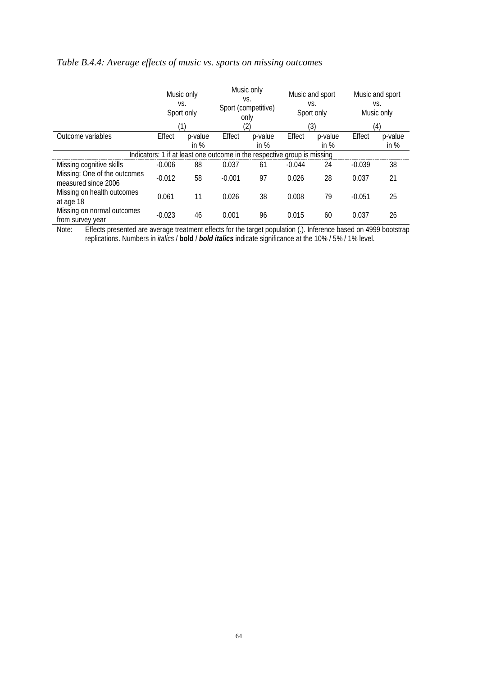|                                                     | Music only<br>VS.<br>Sport only |                   | Music only<br>VS.<br>Sport (competitive)<br>only |                                                                          | Music and sport<br>VS.<br>Sport only |                   | Music and sport<br>VS.<br>Music only |                   |
|-----------------------------------------------------|---------------------------------|-------------------|--------------------------------------------------|--------------------------------------------------------------------------|--------------------------------------|-------------------|--------------------------------------|-------------------|
|                                                     |                                 | '1)               |                                                  | (2)                                                                      |                                      | (3)               |                                      | (4)               |
| Outcome variables                                   | Effect                          | p-value<br>in $%$ | Effect                                           | p-value<br>in $%$                                                        | Effect                               | p-value<br>in $%$ | Effect                               | p-value<br>in $%$ |
|                                                     |                                 |                   |                                                  | Indicators: 1 if at least one outcome in the respective group is missing |                                      |                   |                                      |                   |
| Missing cognitive skills                            | $-0.006$                        | 88                | 0.037                                            | 61                                                                       | $-0.044$                             | 24                | $-0.039$                             | 38                |
| Missing: One of the outcomes<br>measured since 2006 | $-0.012$                        | 58                | $-0.001$                                         | 97                                                                       | 0.026                                | 28                | 0.037                                | 21                |
| Missing on health outcomes<br>at age 18             | 0.061                           | 11                | 0.026                                            | 38                                                                       | 0.008                                | 79                | $-0.051$                             | 25                |
| Missing on normal outcomes<br>from survey year      | $-0.023$                        | 46                | 0.001                                            | 96                                                                       | 0.015                                | 60                | 0.037                                | 26                |

### *Table B.4.4: Average effects of music vs. sports on missing outcomes*

Note: Effects presented are average treatment effects for the target population (.). Inference based on 4999 bootstrap replications. Numbers in *italics* / **bold** / *bold italics* indicate significance at the 10% / 5% / 1% level.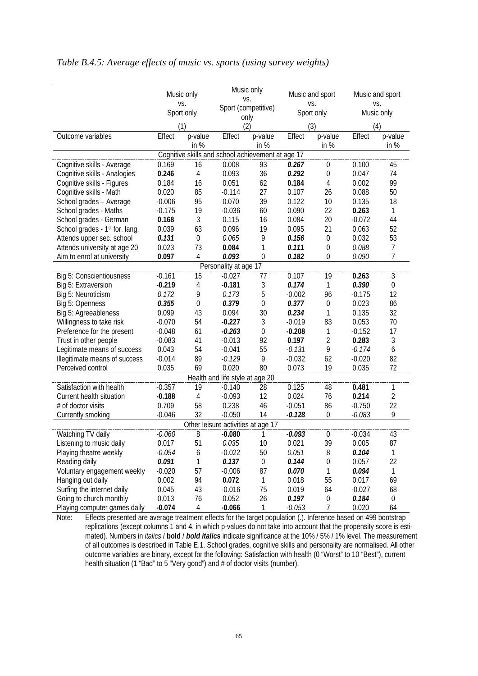|                                            | Music only        |                  |                                 | Music only<br>VS.                                 |          | Music and sport  | Music and sport |                  |
|--------------------------------------------|-------------------|------------------|---------------------------------|---------------------------------------------------|----------|------------------|-----------------|------------------|
|                                            | VS.<br>Sport only |                  | Sport (competitive)             |                                                   | VS.      |                  | VS.             |                  |
|                                            |                   |                  |                                 | Sport only<br>only                                |          | Music only       |                 |                  |
|                                            |                   | (1)              |                                 | (2)                                               |          | (3)              |                 | (4)              |
| Outcome variables                          | Effect            | p-value          | Effect                          | p-value                                           | Effect   | p-value          | Effect          | p-value          |
|                                            |                   | in $%$           |                                 | in %                                              |          | in $%$           |                 | in $%$           |
|                                            |                   |                  |                                 | Cognitive skills and school achievement at age 17 |          |                  |                 |                  |
| Cognitive skills - Average                 | 0.169             | 16               | 0.008                           | 93                                                | 0.267    | $\boldsymbol{0}$ | 0.100           | 45               |
| Cognitive skills - Analogies               | 0.246             | $\overline{4}$   | 0.093                           | 36                                                | 0.292    | 0                | 0.047           | 74               |
| Cognitive skills - Figures                 | 0.184             | 16               | 0.051                           | 62                                                | 0.184    | 4                | 0.002           | 99               |
| Cognitive skills - Math                    | 0.020             | 85               | $-0.114$                        | 27                                                | 0.107    | 26               | 0.088           | 50               |
| School grades - Average                    | $-0.006$          | 95               | 0.070                           | 39                                                | 0.122    | 10               | 0.135           | 18               |
| School grades - Maths                      | $-0.175$          | 19               | $-0.036$                        | 60                                                | 0.090    | 22               | 0.263           | $\mathbf{1}$     |
| School grades - German                     | 0.168             | 3                | 0.115                           | 16                                                | 0.084    | 20               | $-0.072$        | 44               |
| School grades - 1 <sup>st</sup> for. lang. | 0.039             | 63               | 0.096                           | 19                                                | 0.095    | 21               | 0.063           | 52               |
| Attends upper sec. school                  | 0.131             | $\boldsymbol{0}$ | 0.065                           | 9                                                 | 0.156    | $\mathbf 0$      | 0.032           | 53               |
| Attends university at age 20               | 0.023             | 73               | 0.084                           | 1                                                 | 0.111    | $\boldsymbol{0}$ | 0.088           | $\overline{7}$   |
| Aim to enrol at university                 | 0.097             | 4                | 0.093                           | $\boldsymbol{0}$                                  | 0.182    | 0                | 0.090           | 7                |
| Personality at age 17                      |                   |                  |                                 |                                                   |          |                  |                 |                  |
| Big 5: Conscientiousness                   | $-0.161$          | 15               | $-0.027$                        | 77                                                | 0.107    | 19               | 0.263           | 3                |
| Big 5: Extraversion                        | $-0.219$          | 4                | $-0.181$                        | 3                                                 | 0.174    | $\mathbf{1}$     | 0.390           | $\boldsymbol{0}$ |
| Big 5: Neuroticism                         | 0.172             | 9                | 0.173                           | 5                                                 | $-0.002$ | 96               | $-0.175$        | 12               |
| Big 5: Openness                            | 0.355             | $\boldsymbol{0}$ | 0.379                           | $\boldsymbol{0}$                                  | 0.377    | 0                | 0.023           | 86               |
| Big 5: Agreeableness                       | 0.099             | 43               | 0.094                           | 30                                                | 0.234    | 1                | 0.135           | 32               |
| Willingness to take risk                   | $-0.070$          | 54               | $-0.227$                        | 3                                                 | $-0.019$ | 83               | 0.053           | 70               |
| Preference for the present                 | $-0.048$          | 61               | $-0.263$                        | $\boldsymbol{0}$                                  | $-0.208$ | $\mathbf{1}$     | $-0.152$        | 17               |
| Trust in other people                      | $-0.083$          | 41               | $-0.013$                        | 92                                                | 0.197    | $\overline{2}$   | 0.283           | 3                |
| Legitimate means of success                | 0.043             | 54               | $-0.041$                        | 55                                                | $-0.131$ | 9                | $-0.174$        | 6                |
| Illegitimate means of success              | $-0.014$          | 89               | $-0.129$                        | 9                                                 | $-0.032$ | 62               | $-0.020$        | 82               |
| Perceived control                          | 0.035             | 69               | 0.020                           | 80                                                | 0.073    | 19               | 0.035           | 72               |
|                                            |                   |                  | Health and life style at age 20 |                                                   |          |                  |                 |                  |
| Satisfaction with health                   | $-0.357$          | 19               | $-0.140$                        | 28                                                | 0.125    | 48               | 0.481           | 1                |
| Current health situation                   | $-0.188$          | $\overline{4}$   | $-0.093$                        | 12                                                | 0.024    | 76               | 0.214           | $\overline{2}$   |
| # of doctor visits                         | 0.709             | 58               | 0.238                           | 46                                                | $-0.051$ | 86               | $-0.750$        | 22               |
| Currently smoking                          | $-0.046$          | 32               | $-0.050$                        | 14                                                | $-0.128$ | 0                | $-0.083$        | 9                |
| Other leisure activities at age 17         |                   |                  |                                 |                                                   |          |                  |                 |                  |
| Watching TV daily                          | $-0.060$          | 8                | $-0.080$                        | 1                                                 | $-0.093$ | $\mathbf 0$      | $-0.034$        | 43               |
| Listening to music daily                   | 0.017             | 51               | 0.035                           | 10                                                | 0.021    | 39               | 0.005           | 87               |
| Playing theatre weekly                     | $-0.054$          | 6                | $-0.022$                        | 50                                                | 0.051    | 8                | 0.104           | 1                |
| Reading daily                              | 0.091             | 1                | 0.137                           | 0                                                 | 0.144    | 0                | 0.057           | 22               |
| Voluntary engagement weekly                | $-0.020$          | 57               | $-0.006$                        | 87                                                | 0.070    | 1                | 0.094           | 1                |
| Hanging out daily                          | 0.002             | 94               | 0.072                           | 1                                                 | 0.018    | 55               | 0.017           | 69               |
| Surfing the internet daily                 | 0.045             | 43               | $-0.016$                        | 75                                                | 0.019    | 64               | $-0.027$        | 68               |
| Going to church monthly                    | 0.013             | 76               | 0.052                           | 26                                                | 0.197    | $\boldsymbol{0}$ | 0.184           | 0                |
| Playing computer games daily               | $-0.074$          | 4                | $-0.066$                        | 1                                                 | $-0.053$ | 7                | 0.020           | 64               |

#### *Table B.4.5: Average effects of music vs. sports (using survey weights)*

Note: Effects presented are average treatment effects for the target population (.). Inference based on 499 bootstrap replications (except columns 1 and 4, in which p-values do not take into account that the propensity score is estimated). Numbers in *italics* / **bold** / *bold italics* indicate significance at the 10% / 5% / 1% level. The measurement of all outcomes is described in Table E.1. School grades, cognitive skills and personality are normalised. All other outcome variables are binary, except for the following: Satisfaction with health (0 "Worst" to 10 "Best"), current health situation (1 "Bad" to 5 "Very good") and # of doctor visits (number).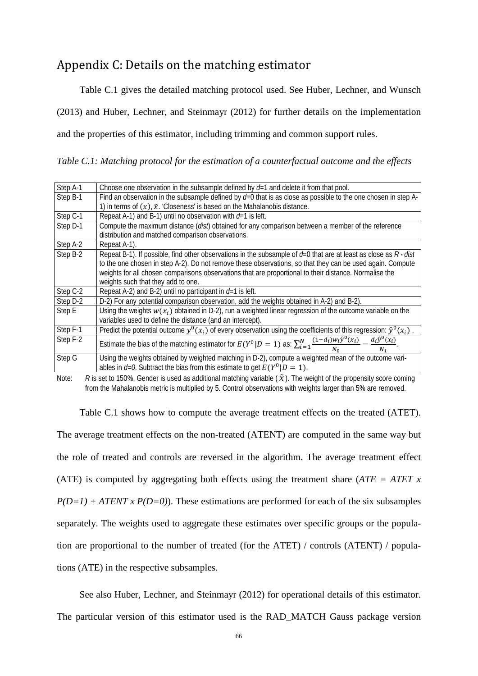### Appendix C: Details on the matching estimator

Table C.1 gives the detailed matching protocol used. See Huber, Lechner, and Wunsch (2013) and Huber, Lechner, and Steinmayr (2012) for further details on the implementation and the properties of this estimator, including trimming and common support rules.

*Table C.1: Matching protocol for the estimation of a counterfactual outcome and the effects*

| Step A-1 | Choose one observation in the subsample defined by $d=1$ and delete it from that pool.                                                                   |
|----------|----------------------------------------------------------------------------------------------------------------------------------------------------------|
| Step B-1 | Find an observation in the subsample defined by $d=0$ that is as close as possible to the one chosen in step A-                                          |
|          | 1) in terms of $(x)$ , $\tilde{x}$ . 'Closeness' is based on the Mahalanobis distance.                                                                   |
| Step C-1 | Repeat A-1) and B-1) until no observation with $d=1$ is left.                                                                                            |
| Step D-1 | Compute the maximum distance (dist) obtained for any comparison between a member of the reference                                                        |
|          | distribution and matched comparison observations.                                                                                                        |
| Step A-2 | Repeat A-1).                                                                                                                                             |
| Step B-2 | Repeat B-1). If possible, find other observations in the subsample of $d=0$ that are at least as close as $R \cdot dist$                                 |
|          | to the one chosen in step A-2). Do not remove these observations, so that they can be used again. Compute                                                |
|          | weights for all chosen comparisons observations that are proportional to their distance. Normalise the                                                   |
|          | weights such that they add to one.                                                                                                                       |
| Step C-2 | Repeat A-2) and B-2) until no participant in $d=1$ is left.                                                                                              |
| Step D-2 | D-2) For any potential comparison observation, add the weights obtained in A-2) and B-2).                                                                |
| Step E   | Using the weights $w(x_i)$ obtained in D-2), run a weighted linear regression of the outcome variable on the                                             |
|          | variables used to define the distance (and an intercept).                                                                                                |
| Step F-1 | Predict the potential outcome $y^0(x_i)$ of every observation using the coefficients of this regression: $\hat{y}^0(x_i)$ .                              |
| Step F-2 | Estimate the bias of the matching estimator for $E(Y^0 D=1)$ as: $\sum_{i=1}^{N} \frac{(1-d_i)w_i\hat{y}^0(x_i)}{w_i} - \frac{d_i\hat{y}^0(x_i)}{w_i}$ . |
|          |                                                                                                                                                          |
| Step G   | Using the weights obtained by weighted matching in D-2), compute a weighted mean of the outcome vari-                                                    |
|          | ables in $d=0$ . Subtract the bias from this estimate to get $E(Y^0 D=1)$ .                                                                              |
|          |                                                                                                                                                          |

Note: *R* is set to 150%. Gender is used as additional matching variable  $(\tilde{x})$ . The weight of the propensity score coming from the Mahalanobis metric is multiplied by 5. Control observations with weights larger than 5% are removed.

Table C.1 shows how to compute the average treatment effects on the treated (ATET). The average treatment effects on the non-treated (ATENT) are computed in the same way but the role of treated and controls are reversed in the algorithm. The average treatment effect (ATE) is computed by aggregating both effects using the treatment share (*ATE = ATET x*   $P(D=1) + ATENT \times P(D=0)$ . These estimations are performed for each of the six subsamples separately. The weights used to aggregate these estimates over specific groups or the population are proportional to the number of treated (for the ATET) / controls (ATENT) / populations (ATE) in the respective subsamples.

See also Huber, Lechner, and Steinmayr (2012) for operational details of this estimator. The particular version of this estimator used is the RAD\_MATCH Gauss package version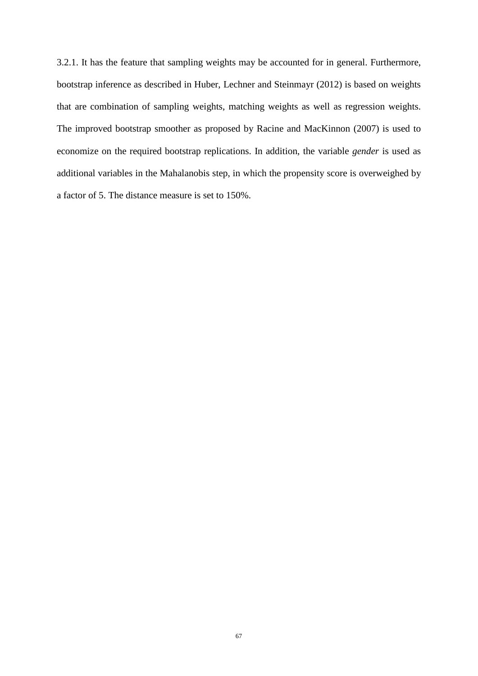3.2.1. It has the feature that sampling weights may be accounted for in general. Furthermore, bootstrap inference as described in Huber, Lechner and Steinmayr (2012) is based on weights that are combination of sampling weights, matching weights as well as regression weights. The improved bootstrap smoother as proposed by Racine and MacKinnon (2007) is used to economize on the required bootstrap replications. In addition, the variable *gender* is used as additional variables in the Mahalanobis step, in which the propensity score is overweighed by a factor of 5. The distance measure is set to 150%.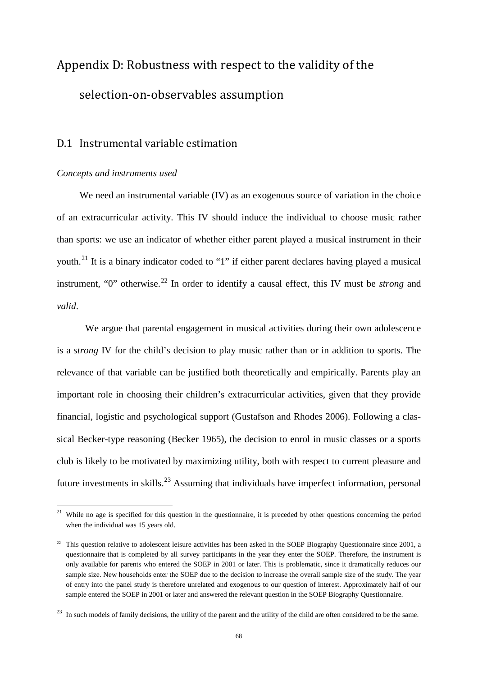# Appendix D: Robustness with respect to the validity of the selection-on-observables assumption

#### D.1 Instrumental variable estimation

#### *Concepts and instruments used*

We need an instrumental variable (IV) as an exogenous source of variation in the choice of an extracurricular activity. This IV should induce the individual to choose music rather than sports: we use an indicator of whether either parent played a musical instrument in their youth.<sup>[21](#page-70-0)</sup> It is a binary indicator coded to "1" if either parent declares having played a musical instrument, "0" otherwise.<sup>[22](#page-70-1)</sup> In order to identify a causal effect, this IV must be *strong* and *valid*.

We argue that parental engagement in musical activities during their own adolescence is a *strong* IV for the child's decision to play music rather than or in addition to sports. The relevance of that variable can be justified both theoretically and empirically. Parents play an important role in choosing their children's extracurricular activities, given that they provide financial, logistic and psychological support (Gustafson and Rhodes 2006). Following a classical Becker-type reasoning (Becker 1965), the decision to enrol in music classes or a sports club is likely to be motivated by maximizing utility, both with respect to current pleasure and future investments in skills.<sup>[23](#page-70-2)</sup> Assuming that individuals have imperfect information, personal

<span id="page-70-0"></span> $21$  While no age is specified for this question in the questionnaire, it is preceded by other questions concerning the period when the individual was 15 years old.

<span id="page-70-1"></span><sup>&</sup>lt;sup>22</sup> This question relative to adolescent leisure activities has been asked in the SOEP Biography Questionnaire since 2001, a questionnaire that is completed by all survey participants in the year they enter the SOEP. Therefore, the instrument is only available for parents who entered the SOEP in 2001 or later. This is problematic, since it dramatically reduces our sample size. New households enter the SOEP due to the decision to increase the overall sample size of the study. The year of entry into the panel study is therefore unrelated and exogenous to our question of interest. Approximately half of our sample entered the SOEP in 2001 or later and answered the relevant question in the SOEP Biography Questionnaire.

<span id="page-70-2"></span><sup>&</sup>lt;sup>23</sup> In such models of family decisions, the utility of the parent and the utility of the child are often considered to be the same.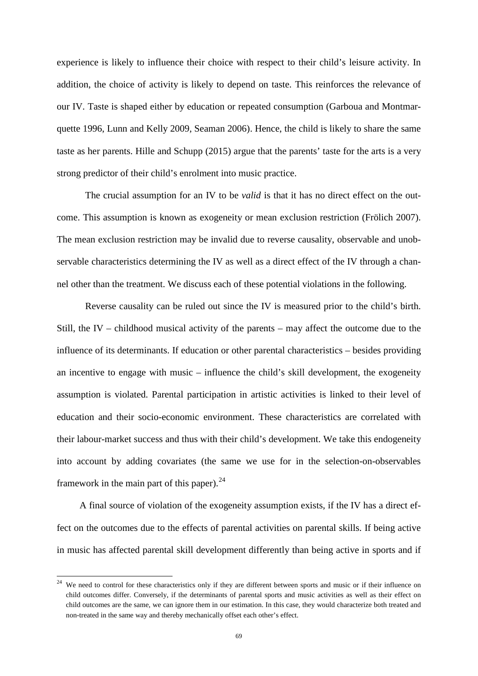experience is likely to influence their choice with respect to their child's leisure activity. In addition, the choice of activity is likely to depend on taste. This reinforces the relevance of our IV. Taste is shaped either by education or repeated consumption (Garboua and Montmarquette 1996, Lunn and Kelly 2009, Seaman 2006). Hence, the child is likely to share the same taste as her parents. Hille and Schupp (2015) argue that the parents' taste for the arts is a very strong predictor of their child's enrolment into music practice.

The crucial assumption for an IV to be *valid* is that it has no direct effect on the outcome. This assumption is known as exogeneity or mean exclusion restriction (Frölich 2007). The mean exclusion restriction may be invalid due to reverse causality, observable and unobservable characteristics determining the IV as well as a direct effect of the IV through a channel other than the treatment. We discuss each of these potential violations in the following.

Reverse causality can be ruled out since the IV is measured prior to the child's birth. Still, the IV – childhood musical activity of the parents – may affect the outcome due to the influence of its determinants. If education or other parental characteristics – besides providing an incentive to engage with music – influence the child's skill development, the exogeneity assumption is violated. Parental participation in artistic activities is linked to their level of education and their socio-economic environment. These characteristics are correlated with their labour-market success and thus with their child's development. We take this endogeneity into account by adding covariates (the same we use for in the selection-on-observables framework in the main part of this paper).  $24$ 

A final source of violation of the exogeneity assumption exists, if the IV has a direct effect on the outcomes due to the effects of parental activities on parental skills. If being active in music has affected parental skill development differently than being active in sports and if

<span id="page-71-0"></span><sup>&</sup>lt;sup>24</sup> We need to control for these characteristics only if they are different between sports and music or if their influence on child outcomes differ. Conversely, if the determinants of parental sports and music activities as well as their effect on child outcomes are the same, we can ignore them in our estimation. In this case, they would characterize both treated and non-treated in the same way and thereby mechanically offset each other's effect.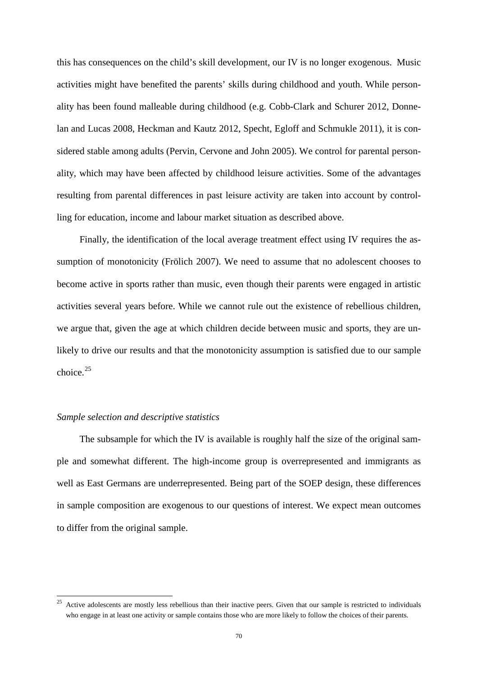this has consequences on the child's skill development, our IV is no longer exogenous. Music activities might have benefited the parents' skills during childhood and youth. While personality has been found malleable during childhood (e.g. Cobb-Clark and Schurer 2012, Donnelan and Lucas 2008, Heckman and Kautz 2012, Specht, Egloff and Schmukle 2011), it is considered stable among adults (Pervin, Cervone and John 2005). We control for parental personality, which may have been affected by childhood leisure activities. Some of the advantages resulting from parental differences in past leisure activity are taken into account by controlling for education, income and labour market situation as described above.

Finally, the identification of the local average treatment effect using IV requires the assumption of monotonicity (Frölich 2007). We need to assume that no adolescent chooses to become active in sports rather than music, even though their parents were engaged in artistic activities several years before. While we cannot rule out the existence of rebellious children, we argue that, given the age at which children decide between music and sports, they are unlikely to drive our results and that the monotonicity assumption is satisfied due to our sample choice.<sup>[25](#page-72-0)</sup>

#### *Sample selection and descriptive statistics*

The subsample for which the IV is available is roughly half the size of the original sample and somewhat different. The high-income group is overrepresented and immigrants as well as East Germans are underrepresented. Being part of the SOEP design, these differences in sample composition are exogenous to our questions of interest. We expect mean outcomes to differ from the original sample.

<span id="page-72-0"></span><sup>25</sup> Active adolescents are mostly less rebellious than their inactive peers. Given that our sample is restricted to individuals who engage in at least one activity or sample contains those who are more likely to follow the choices of their parents.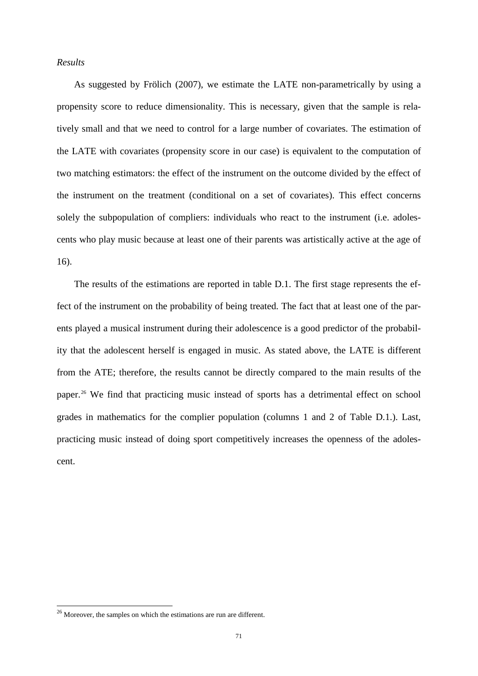#### *Results*

As suggested by Frölich (2007), we estimate the LATE non-parametrically by using a propensity score to reduce dimensionality. This is necessary, given that the sample is relatively small and that we need to control for a large number of covariates. The estimation of the LATE with covariates (propensity score in our case) is equivalent to the computation of two matching estimators: the effect of the instrument on the outcome divided by the effect of the instrument on the treatment (conditional on a set of covariates). This effect concerns solely the subpopulation of compliers: individuals who react to the instrument (i.e. adolescents who play music because at least one of their parents was artistically active at the age of 16).

The results of the estimations are reported in table D.1. The first stage represents the effect of the instrument on the probability of being treated. The fact that at least one of the parents played a musical instrument during their adolescence is a good predictor of the probability that the adolescent herself is engaged in music. As stated above, the LATE is different from the ATE; therefore, the results cannot be directly compared to the main results of the paper.[26](#page-73-0) We find that practicing music instead of sports has a detrimental effect on school grades in mathematics for the complier population (columns 1 and 2 of Table D.1.). Last, practicing music instead of doing sport competitively increases the openness of the adolescent.

<span id="page-73-0"></span><sup>&</sup>lt;sup>26</sup> Moreover, the samples on which the estimations are run are different.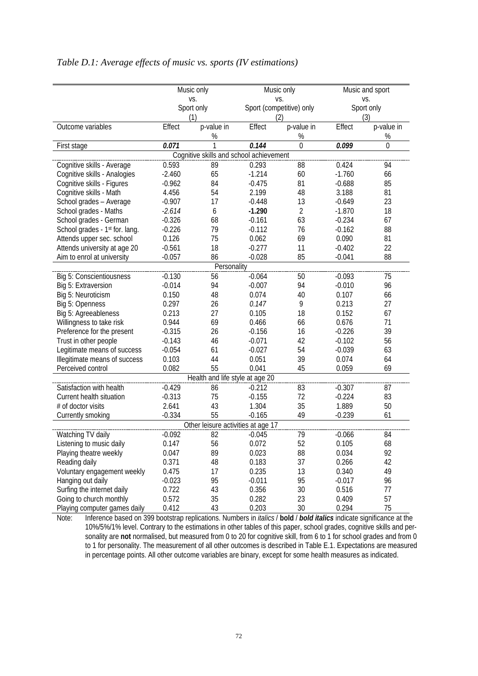|                                    | Music only        |                                         | Music only               |                    | Music and sport |                    |
|------------------------------------|-------------------|-----------------------------------------|--------------------------|--------------------|-----------------|--------------------|
|                                    | VS.               |                                         | VS.                      |                    | VS.             |                    |
|                                    | Sport only<br>(1) |                                         | Sport (competitive) only |                    | Sport only      |                    |
| Outcome variables                  |                   |                                         |                          | (2)                |                 | (3)                |
|                                    | Effect            | p-value in<br>$\%$                      | Effect                   | p-value in<br>$\%$ | Effect          | p-value in<br>$\%$ |
| First stage                        | 0.071             |                                         | 0.144                    | 0                  | 0.099           | $\mathbf 0$        |
|                                    |                   | Cognitive skills and school achievement |                          |                    |                 |                    |
| Cognitive skills - Average         | 0.593             | 89                                      | 0.293                    | 88                 | 0.424           | 94                 |
| Cognitive skills - Analogies       | $-2.460$          | 65                                      | $-1.214$                 | 60                 | $-1.760$        | 66                 |
| Cognitive skills - Figures         | $-0.962$          | 84                                      | $-0.475$                 | 81                 | $-0.688$        | 85                 |
| Cognitive skills - Math            | 4.456             | 54                                      | 2.199                    | 48                 | 3.188           | 81                 |
| School grades - Average            | $-0.907$          | 17                                      | $-0.448$                 | 13                 | $-0.649$        | 23                 |
| School grades - Maths              | $-2.614$          | 6                                       | $-1.290$                 | $\overline{2}$     | $-1.870$        | 18                 |
| School grades - German             | $-0.326$          | 68                                      | $-0.161$                 | 63                 | $-0.234$        | 67                 |
| School grades - 1st for. lang.     | $-0.226$          | 79                                      | $-0.112$                 | 76                 | $-0.162$        | 88                 |
| Attends upper sec. school          | 0.126             | 75                                      | 0.062                    | 69                 | 0.090           | 81                 |
| Attends university at age 20       | $-0.561$          | 18                                      | $-0.277$                 | 11                 | $-0.402$        | 22                 |
| Aim to enrol at university         | $-0.057$          | 86                                      | $-0.028$                 | 85                 | $-0.041$        | 88                 |
| Personality                        |                   |                                         |                          |                    |                 |                    |
| Big 5: Conscientiousness           | $-0.130$          | 56                                      | $-0.064$                 | 50                 | $-0.093$        | 75                 |
| Big 5: Extraversion                | $-0.014$          | 94                                      | $-0.007$                 | 94                 | $-0.010$        | 96                 |
| Big 5: Neuroticism                 | 0.150             | 48                                      | 0.074                    | 40                 | 0.107           | 66                 |
| Big 5: Openness                    | 0.297             | 26                                      | 0.147                    | 9                  | 0.213           | 27                 |
| Big 5: Agreeableness               | 0.213             | 27                                      | 0.105                    | 18                 | 0.152           | 67                 |
| Willingness to take risk           | 0.944             | 69                                      | 0.466                    | 66                 | 0.676           | 71                 |
| Preference for the present         | $-0.315$          | 26                                      | $-0.156$                 | 16                 | $-0.226$        | 39                 |
| Trust in other people              | $-0.143$          | 46                                      | $-0.071$                 | 42                 | $-0.102$        | 56                 |
| Legitimate means of success        | $-0.054$          | 61                                      | $-0.027$                 | 54                 | $-0.039$        | 63                 |
| Illegitimate means of success      | 0.103             | 44                                      | 0.051                    | 39                 | 0.074           | 64                 |
| Perceived control                  | 0.082             | 55                                      | 0.041                    | 45                 | 0.059           | 69                 |
|                                    |                   | Health and life style at age 20         |                          |                    |                 |                    |
| Satisfaction with health           | $-0.429$          | 86                                      | $-0.212$                 | 83                 | $-0.307$        | 87                 |
| Current health situation           | $-0.313$          | 75                                      | $-0.155$                 | 72                 | $-0.224$        | 83                 |
| # of doctor visits                 | 2.641             | 43                                      | 1.304                    | 35                 | 1.889           | 50                 |
| Currently smoking                  | $-0.334$          | 55                                      | $-0.165$                 | 49                 | $-0.239$        | 61                 |
| Other leisure activities at age 17 |                   |                                         |                          |                    |                 |                    |
| Watching TV daily                  | $-0.092$          | 82                                      | $-0.045$                 | 79                 | $-0.066$        | 84                 |
| Listening to music daily           | 0.147             | 56                                      | 0.072                    | 52                 | 0.105           | 68                 |
| Playing theatre weekly             | 0.047             | 89                                      | 0.023                    | 88                 | 0.034           | 92                 |
| Reading daily                      | 0.371             | 48                                      | 0.183                    | 37                 | 0.266           | 42                 |
| Voluntary engagement weekly        | 0.475             | 17                                      | 0.235                    | 13                 | 0.340           | 49                 |
| Hanging out daily                  | $-0.023$          | 95                                      | $-0.011$                 | 95                 | $-0.017$        | 96                 |
| Surfing the internet daily         | 0.722             | 43                                      | 0.356                    | 30                 | 0.516           | 77                 |
| Going to church monthly            | 0.572             | 35                                      | 0.282                    | 23                 | 0.409           | 57                 |
| Playing computer games daily       | 0.412             | 43                                      | 0.203                    | 30                 | 0.294           | 75                 |

### *Table D.1: Average effects of music vs. sports (IV estimations)*

Note: Inference based on 399 bootstrap replications. Numbers in *italics* / **bold** / *bold italics* indicate significance at the 10%/5%/1% level. Contrary to the estimations in other tables of this paper, school grades, cognitive skills and personality are **not** normalised, but measured from 0 to 20 for cognitive skill, from 6 to 1 for school grades and from 0 to 1 for personality. The measurement of all other outcomes is described in Table E.1. Expectations are measured in percentage points. All other outcome variables are binary, except for some health measures as indicated.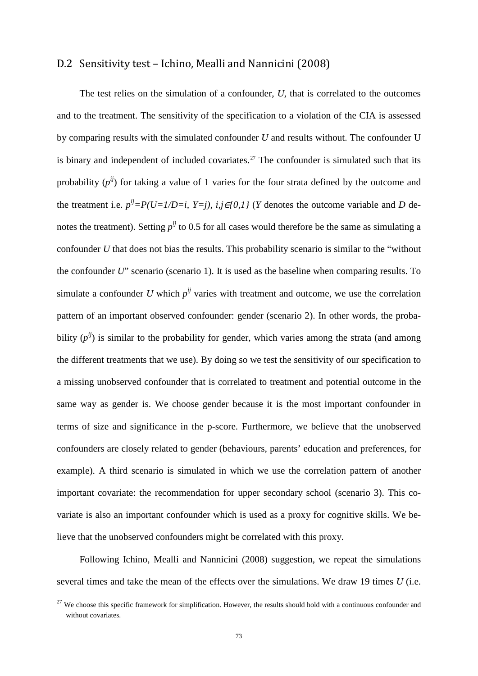#### D.2 Sensitivity test – Ichino, Mealli and Nannicini (2008)

The test relies on the simulation of a confounder, *U*, that is correlated to the outcomes and to the treatment. The sensitivity of the specification to a violation of the CIA is assessed by comparing results with the simulated confounder *U* and results without. The confounder U is binary and independent of included covariates. [27](#page-75-0) The confounder is simulated such that its probability  $(p^{ij})$  for taking a value of 1 varies for the four strata defined by the outcome and the treatment i.e.  $p^{ij} = P(U=1/D=i, Y=i)$ , *i,j∈{0,1}* (*Y* denotes the outcome variable and *D* denotes the treatment). Setting  $p^{ij}$  to 0.5 for all cases would therefore be the same as simulating a confounder *U* that does not bias the results. This probability scenario is similar to the "without the confounder *U*" scenario (scenario 1). It is used as the baseline when comparing results. To simulate a confounder *U* which  $p^{ij}$  varies with treatment and outcome, we use the correlation pattern of an important observed confounder: gender (scenario 2). In other words, the probability  $(p^{ij})$  is similar to the probability for gender, which varies among the strata (and among the different treatments that we use). By doing so we test the sensitivity of our specification to a missing unobserved confounder that is correlated to treatment and potential outcome in the same way as gender is. We choose gender because it is the most important confounder in terms of size and significance in the p-score. Furthermore, we believe that the unobserved confounders are closely related to gender (behaviours, parents' education and preferences, for example). A third scenario is simulated in which we use the correlation pattern of another important covariate: the recommendation for upper secondary school (scenario 3). This covariate is also an important confounder which is used as a proxy for cognitive skills. We believe that the unobserved confounders might be correlated with this proxy.

Following Ichino, Mealli and Nannicini (2008) suggestion, we repeat the simulations several times and take the mean of the effects over the simulations. We draw 19 times *U* (i.e.

<span id="page-75-0"></span> $27$  We choose this specific framework for simplification. However, the results should hold with a continuous confounder and without covariates.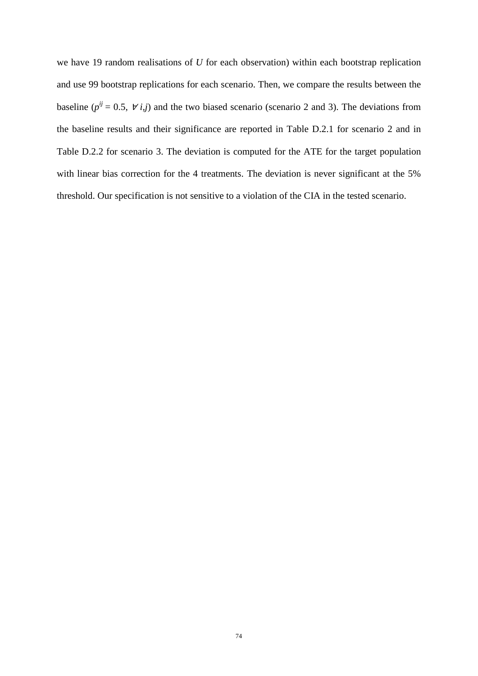we have 19 random realisations of *U* for each observation) within each bootstrap replication and use 99 bootstrap replications for each scenario. Then, we compare the results between the baseline ( $p^{ij} = 0.5$ ,  $\forall i, j$ ) and the two biased scenario (scenario 2 and 3). The deviations from the baseline results and their significance are reported in Table D.2.1 for scenario 2 and in Table D.2.2 for scenario 3. The deviation is computed for the ATE for the target population with linear bias correction for the 4 treatments. The deviation is never significant at the 5% threshold. Our specification is not sensitive to a violation of the CIA in the tested scenario.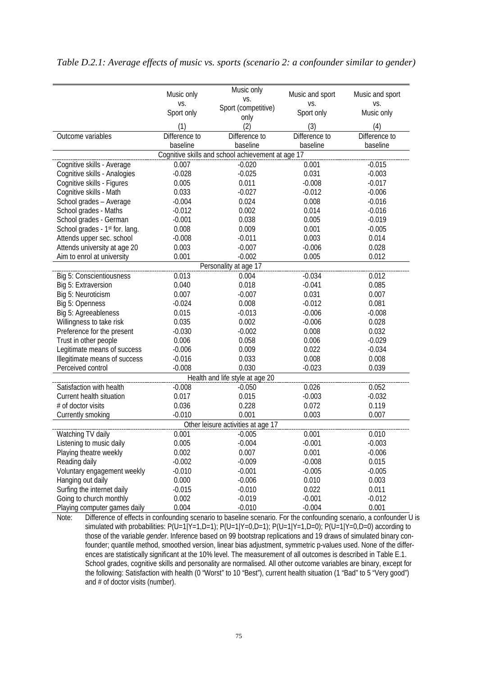|                                            | Music only    | Music only                                        | Music and sport | Music and sport |  |
|--------------------------------------------|---------------|---------------------------------------------------|-----------------|-----------------|--|
|                                            | VS.           | VS.                                               | VS.             | VS.             |  |
|                                            | Sport only    | Sport (competitive)                               | Sport only      | Music only      |  |
|                                            |               | only                                              |                 |                 |  |
|                                            | (1)           | (2)                                               | (3)             | (4)             |  |
| Outcome variables                          | Difference to | Difference to                                     | Difference to   | Difference to   |  |
|                                            | baseline      | baseline                                          | baseline        | baseline        |  |
|                                            |               | Cognitive skills and school achievement at age 17 |                 |                 |  |
| Cognitive skills - Average                 | 0.007         | $-0.020$                                          | 0.001           | $-0.015$        |  |
| Cognitive skills - Analogies               | $-0.028$      | $-0.025$                                          | 0.031           | $-0.003$        |  |
| Cognitive skills - Figures                 | 0.005         | 0.011                                             | $-0.008$        | $-0.017$        |  |
| Cognitive skills - Math                    | 0.033         | $-0.027$                                          | $-0.012$        | $-0.006$        |  |
| School grades - Average                    | $-0.004$      | 0.024                                             | 0.008           | $-0.016$        |  |
| School grades - Maths                      | $-0.012$      | 0.002                                             | 0.014           | $-0.016$        |  |
| School grades - German                     | $-0.001$      | 0.038                                             | 0.005           | $-0.019$        |  |
| School grades - 1 <sup>st</sup> for. lang. | 0.008         | 0.009                                             | 0.001           | $-0.005$        |  |
| Attends upper sec. school                  | $-0.008$      | $-0.011$                                          | 0.003           | 0.014           |  |
| Attends university at age 20               | 0.003         | $-0.007$                                          | $-0.006$        | 0.028           |  |
| Aim to enrol at university                 | 0.001         | $-0.002$                                          | 0.005           | 0.012           |  |
| Personality at age 17                      |               |                                                   |                 |                 |  |
| Big 5: Conscientiousness                   | 0.013         | 0.004                                             | $-0.034$        | 0.012           |  |
| Big 5: Extraversion                        | 0.040         | 0.018                                             | $-0.041$        | 0.085           |  |
| Big 5: Neuroticism                         | 0.007         | $-0.007$                                          | 0.031           | 0.007           |  |
| Big 5: Openness                            | $-0.024$      | 0.008                                             | $-0.012$        | 0.081           |  |
| Big 5: Agreeableness                       | 0.015         | $-0.013$                                          | $-0.006$        | $-0.008$        |  |
| Willingness to take risk                   | 0.035         | 0.002                                             | $-0.006$        | 0.028           |  |
| Preference for the present                 | $-0.030$      | $-0.002$                                          | 0.008           | 0.032           |  |
| Trust in other people                      | 0.006         | 0.058                                             | 0.006           | $-0.029$        |  |
| Legitimate means of success                | $-0.006$      | 0.009                                             | 0.022           | $-0.034$        |  |
| Illegitimate means of success              | $-0.016$      | 0.033                                             | 0.008           | 0.008           |  |
| Perceived control                          | $-0.008$      | 0.030                                             | $-0.023$        | 0.039           |  |
|                                            |               | Health and life style at age 20                   |                 |                 |  |
| Satisfaction with health                   | $-0.008$      | $-0.050$                                          | 0.026           | 0.052           |  |
| Current health situation                   | 0.017         | 0.015                                             | $-0.003$        | $-0.032$        |  |
| # of doctor visits                         | 0.036         | 0.228                                             | 0.072           | 0.119           |  |
| Currently smoking                          | $-0.010$      | 0.001                                             | 0.003           | 0.007           |  |
| Other leisure activities at age 17         |               |                                                   |                 |                 |  |
| Watching TV daily                          | 0.001         | $-0.005$                                          | 0.001           | 0.010           |  |
| Listening to music daily                   | 0.005         | $-0.004$                                          | $-0.001$        | $-0.003$        |  |
| Playing theatre weekly                     | 0.002         | 0.007                                             | 0.001           | $-0.006$        |  |
| Reading daily                              | $-0.002$      | $-0.009$                                          | $-0.008$        | 0.015           |  |
| Voluntary engagement weekly                | $-0.010$      | $-0.001$                                          | $-0.005$        | $-0.005$        |  |
| Hanging out daily                          | 0.000         | $-0.006$                                          | 0.010           | 0.003           |  |
| Surfing the internet daily                 | $-0.015$      | $-0.010$                                          | 0.022           | 0.011           |  |
| Going to church monthly                    | 0.002         | $-0.019$                                          | $-0.001$        | $-0.012$        |  |
| Playing computer games daily               | 0.004         | $-0.010$                                          | $-0.004$        | 0.001           |  |
|                                            |               |                                                   |                 |                 |  |

*Table D.2.1: Average effects of music vs. sports (scenario 2: a confounder similar to gender)*

Note: Difference of effects in confounding scenario to baseline scenario. For the confounding scenario, a confounder U is simulated with probabilities:  $P(U=1|Y=1,D=1)$ ;  $P(U=1|Y=0,D=1)$ ;  $P(U=1|Y=1,D=0)$ ;  $P(U=1|Y=0,D=0)$  according to those of the variable *gender*. Inference based on 99 bootstrap replications and 19 draws of simulated binary confounder; quantile method, smoothed version, linear bias adjustment, symmetric p-values used. None of the differences are statistically significant at the 10% level. The measurement of all outcomes is described in Table E.1. School grades, cognitive skills and personality are normalised. All other outcome variables are binary, except for the following: Satisfaction with health (0 "Worst" to 10 "Best"), current health situation (1 "Bad" to 5 "Very good") and # of doctor visits (number).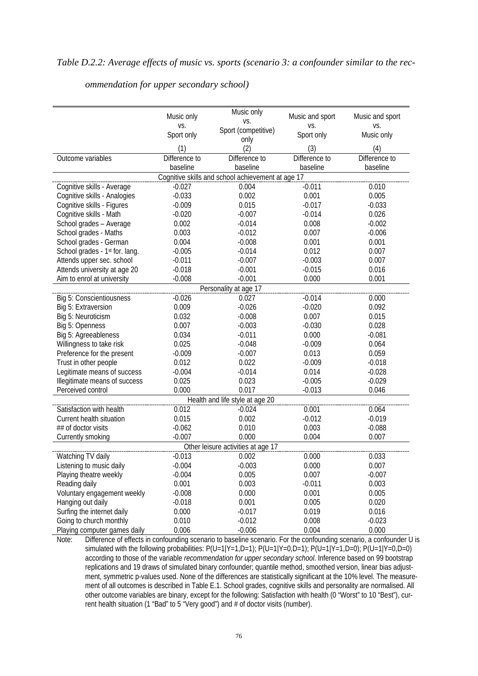#### *Table D.2.2: Average effects of music vs. sports (scenario 3: a confounder similar to the rec-*

|                                            | Music only    | Music only                                        | Music and sport | Music and sport |  |
|--------------------------------------------|---------------|---------------------------------------------------|-----------------|-----------------|--|
|                                            | VS.           | VS.                                               | VS.             | VS.             |  |
|                                            | Sport only    | Sport (competitive)                               | Sport only      | Music only      |  |
|                                            | (1)           | only<br>(2)                                       | (3)             | (4)             |  |
| Outcome variables                          | Difference to | Difference to                                     | Difference to   | Difference to   |  |
|                                            | baseline      | baseline                                          | baseline        | baseline        |  |
|                                            |               | Cognitive skills and school achievement at age 17 |                 |                 |  |
| Cognitive skills - Average                 | $-0.027$      | 0.004                                             | $-0.011$        | 0.010           |  |
| Cognitive skills - Analogies               | $-0.033$      | 0.002                                             | 0.001           | 0.005           |  |
| Cognitive skills - Figures                 | $-0.009$      | 0.015                                             | $-0.017$        | $-0.033$        |  |
| Cognitive skills - Math                    | $-0.020$      | $-0.007$                                          | $-0.014$        | 0.026           |  |
| School grades - Average                    | 0.002         | $-0.014$                                          | 0.008           | $-0.002$        |  |
| School grades - Maths                      | 0.003         | $-0.012$                                          | 0.007           | $-0.006$        |  |
| School grades - German                     | 0.004         | $-0.008$                                          | 0.001           | 0.001           |  |
| School grades - 1 <sup>st</sup> for. lang. | $-0.005$      | $-0.014$                                          | 0.012           | 0.007           |  |
| Attends upper sec. school                  | $-0.011$      | $-0.007$                                          | $-0.003$        | 0.007           |  |
| Attends university at age 20               | $-0.018$      | $-0.001$                                          | $-0.015$        | 0.016           |  |
| Aim to enrol at university                 | $-0.008$      | $-0.001$                                          | 0.000           | 0.001           |  |
| Personality at age 17                      |               |                                                   |                 |                 |  |
| Big 5: Conscientiousness                   | $-0.026$      | 0.027                                             | $-0.014$        | 0.000           |  |
| Big 5: Extraversion                        | 0.009         | $-0.026$                                          | $-0.020$        | 0.092           |  |
| Big 5: Neuroticism                         | 0.032         | $-0.008$                                          | 0.007           | 0.015           |  |
| Big 5: Openness                            | 0.007         | $-0.003$                                          | $-0.030$        | 0.028           |  |
| Big 5: Agreeableness                       | 0.034         | $-0.011$                                          | 0.000           | $-0.081$        |  |
| Willingness to take risk                   | 0.025         | $-0.048$                                          | $-0.009$        | 0.064           |  |
| Preference for the present                 | $-0.009$      | $-0.007$                                          | 0.013           | 0.059           |  |
| Trust in other people                      | 0.012         | 0.022                                             | $-0.009$        | $-0.018$        |  |
| Legitimate means of success                | $-0.004$      | $-0.014$                                          | 0.014           | $-0.028$        |  |
| Illegitimate means of success              | 0.025         | 0.023                                             | $-0.005$        | $-0.029$        |  |
| Perceived control                          | 0.000         | 0.017                                             | $-0.013$        | 0.046           |  |
|                                            |               | Health and life style at age 20                   |                 |                 |  |
| Satisfaction with health                   | 0.012         | $-0.024$                                          | 0.001           | 0.064           |  |
| Current health situation                   | 0.015         | 0.002                                             | $-0.012$        | $-0.019$        |  |
| ## of doctor visits                        | $-0.062$      | 0.010                                             | 0.003           | $-0.088$        |  |
| Currently smoking                          | $-0.007$      | 0.000                                             | 0.004           | 0.007           |  |
| Other leisure activities at age 17         |               |                                                   |                 |                 |  |
| Watching TV daily                          | $-0.013$      | 0.002                                             | 0.000           | 0.033           |  |
| Listening to music daily                   | $-0.004$      | $-0.003$                                          | 0.000           | 0.007           |  |
| Playing theatre weekly                     | $-0.004$      | 0.005                                             | 0.007           | $-0.007$        |  |
| Reading daily                              | 0.001         | 0.003                                             | $-0.011$        | 0.003           |  |
| Voluntary engagement weekly                | $-0.008$      | 0.000                                             | 0.001           | 0.005           |  |
| Hanging out daily                          | $-0.018$      | 0.001                                             | 0.005           | 0.020           |  |
| Surfing the internet daily                 | 0.000         | $-0.017$                                          | 0.019           | 0.016           |  |
| Going to church monthly                    | 0.010         | $-0.012$                                          | 0.008           | $-0.023$        |  |
| Playing computer games daily               | 0.006         | $-0.006$                                          | 0.004           | 0.000           |  |

#### *ommendation for upper secondary school)*

Note: Difference of effects in confounding scenario to baseline scenario. For the confounding scenario, a confounder U is simulated with the following probabilities:  $P(U=1|Y=1,D=1)$ ;  $P(U=1|Y=0,D=1)$ ;  $P(U=1|Y=1,D=0)$ ;  $P(U=1|Y=0,D=0)$ according to those of the variable *recommendation for upper secondary school*. Inference based on 99 bootstrap replications and 19 draws of simulated binary confounder; quantile method, smoothed version, linear bias adjustment, symmetric p-values used. None of the differences are statistically significant at the 10% level. The measurement of all outcomes is described in Table E.1. School grades, cognitive skills and personality are normalised. All other outcome variables are binary, except for the following: Satisfaction with health (0 "Worst" to 10 "Best"), current health situation (1 "Bad" to 5 "Very good") and # of doctor visits (number).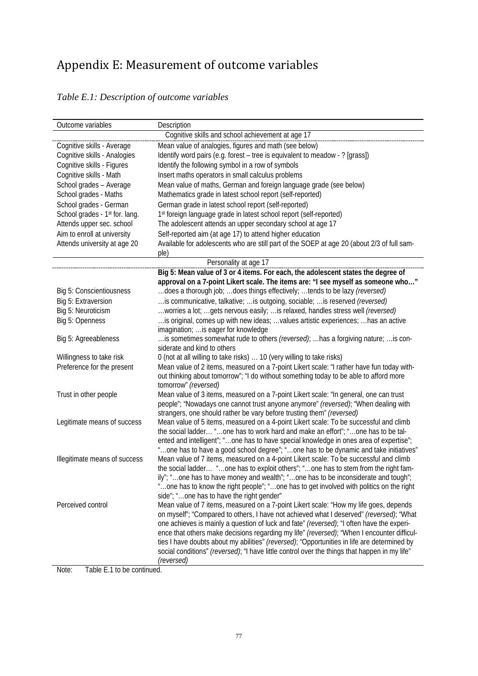# Appendix E: Measurement of outcome variables

## *Table E.1: Description of outcome variables*

| Outcome variables                          | Description                                                                                                                                                     |
|--------------------------------------------|-----------------------------------------------------------------------------------------------------------------------------------------------------------------|
|                                            | Cognitive skills and school achievement at age 17                                                                                                               |
| Cognitive skills - Average                 | Mean value of analogies, figures and math (see below)                                                                                                           |
| Cognitive skills - Analogies               | Identify word pairs (e.g. forest – tree is equivalent to meadow - ? [grass])                                                                                    |
| Cognitive skills - Figures                 | Identify the following symbol in a row of symbols                                                                                                               |
| Cognitive skills - Math                    | Insert maths operators in small calculus problems                                                                                                               |
| School grades - Average                    | Mean value of maths, German and foreign language grade (see below)                                                                                              |
| School grades - Maths                      | Mathematics grade in latest school report (self-reported)                                                                                                       |
| School grades - German                     | German grade in latest school report (self-reported)                                                                                                            |
| School grades - 1 <sup>st</sup> for. lang. | 1st foreign language grade in latest school report (self-reported)                                                                                              |
| Attends upper sec. school                  | The adolescent attends an upper secondary school at age 17                                                                                                      |
| Aim to enroll at university                | Self-reported aim (at age 17) to attend higher education                                                                                                        |
| Attends university at age 20               | Available for adolescents who are still part of the SOEP at age 20 (about 2/3 of full sam-                                                                      |
|                                            | ple)                                                                                                                                                            |
|                                            | Personality at age 17                                                                                                                                           |
|                                            | Big 5: Mean value of 3 or 4 items. For each, the adolescent states the degree of                                                                                |
|                                            | approval on a 7-point Likert scale. The items are: "I see myself as someone who"<br>does a thorough job;  does things effectively;  tends to be lazy (reversed) |
| Big 5: Conscientiousness                   |                                                                                                                                                                 |
| Big 5: Extraversion                        | is communicative, talkative;  is outgoing, sociable;  is reserved (reversed)                                                                                    |
| Big 5: Neuroticism                         | worries a lot;  gets nervous easily;  is relaxed, handles stress well (reversed)                                                                                |
| Big 5: Openness                            | is original, comes up with new ideas;  values artistic experiences;  has an active<br>imagination;  is eager for knowledge                                      |
| Big 5: Agreeableness                       | is sometimes somewhat rude to others (reversed);  has a forgiving nature;  is con-                                                                              |
|                                            | siderate and kind to others                                                                                                                                     |
| Willingness to take risk                   | 0 (not at all willing to take risks)  10 (very willing to take risks)                                                                                           |
| Preference for the present                 | Mean value of 2 items, measured on a 7-point Likert scale: "I rather have fun today with-                                                                       |
|                                            | out thinking about tomorrow"; "I do without something today to be able to afford more                                                                           |
|                                            | tomorrow" (reversed)                                                                                                                                            |
| Trust in other people                      | Mean value of 3 items, measured on a 7-point Likert scale: "In general, one can trust                                                                           |
|                                            | people"; "Nowadays one cannot trust anyone anymore" (reversed); "When dealing with                                                                              |
|                                            | strangers, one should rather be vary before trusting them" (reversed)                                                                                           |
| Legitimate means of success                | Mean value of 5 items, measured on a 4-point Likert scale: To be successful and climb                                                                           |
|                                            | the social ladder "one has to work hard and make an effort"; "one has to be tal-                                                                                |
|                                            | ented and intelligent"; "one has to have special knowledge in ones area of expertise";                                                                          |
|                                            | "one has to have a good school degree"; "one has to be dynamic and take initiatives"                                                                            |
| Illegitimate means of success              | Mean value of 7 items, measured on a 4-point Likert scale: To be successful and climb                                                                           |
|                                            | the social ladder "one has to exploit others"; "one has to stem from the right fam-                                                                             |
|                                            | ily"; "one has to have money and wealth"; "one has to be inconsiderate and tough";                                                                              |
|                                            | "one has to know the right people"; "one has to get involved with politics on the right<br>side"; "one has to have the right gender"                            |
| Perceived control                          | Mean value of 7 items, measured on a 7-point Likert scale: "How my life goes, depends                                                                           |
|                                            | on myself"; "Compared to others, I have not achieved what I deserved" (reversed); "What                                                                         |
|                                            | one achieves is mainly a question of luck and fate" (reversed); "I often have the experi-                                                                       |
|                                            | ence that others make decisions regarding my life" (reversed); "When I encounter difficul-                                                                      |
|                                            | ties I have doubts about my abilities" (reversed); "Opportunities in life are determined by                                                                     |
|                                            | social conditions" (reversed); "I have little control over the things that happen in my life"                                                                   |
|                                            | (reversed)                                                                                                                                                      |

Note: Table E.1 to be continued.